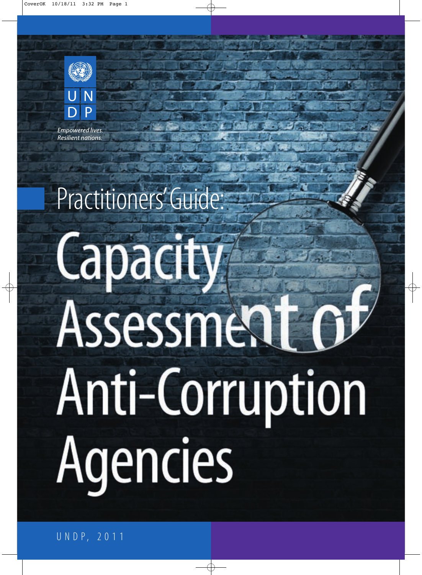

Empowered lives. Resilient nations.

# Practitioners' Guide: Capacity Assessment ( Anti-Corruption Agencies

U N D P, 2 0 1 1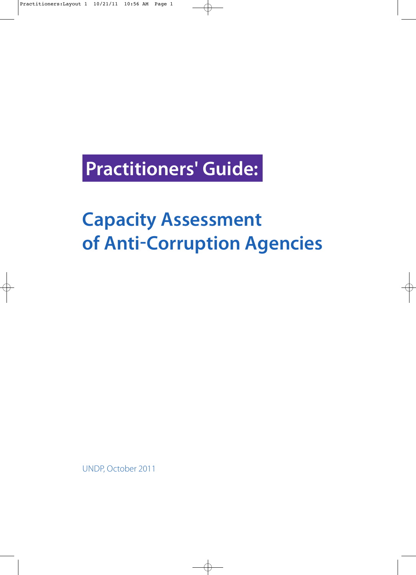# **Practitioners' Guide:**

# **Capacity Assessment of Anti-Corruption Agencies**

UNDP, October 2011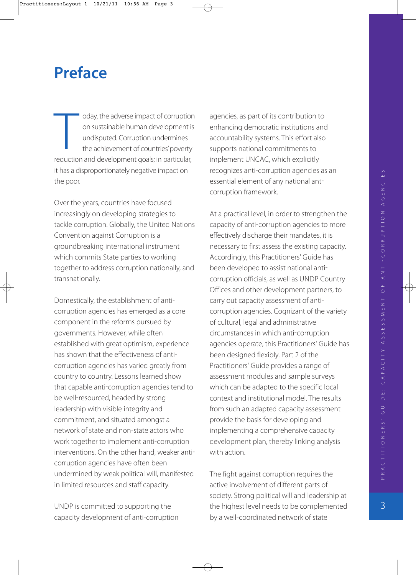### **Preface**

oday, the adverse impact of corruption on sustainable human development is undisputed. Corruption undermines the achievement of countries' poverty oday, the adverse impact of corruptio<br>
on sustainable human development is<br>
undisputed. Corruption undermines<br>
the achievement of countries' poverty<br>
reduction and development goals; in particular, it has a disproportionately negative impact on the poor.

Over the years, countries have focused increasingly on developing strategies to tackle corruption. Globally, the United Nations Convention against Corruption is a groundbreaking international instrument which commits State parties to working together to address corruption nationally, and transnationally.

Domestically, the establishment of anti corruption agencies has emerged as a core component in the reforms pursued by governments. However, while often established with great optimism, experience has shown that the effectiveness of anti corruption agencies has varied greatly from country to country. Lessons learned show that capable anti-corruption agencies tend to be well-resourced, headed by strong leadership with visible integrity and commitment, and situated amongst a network of state and non-state actors who work together to implement anti-corruption interventions. On the other hand, weaker anti corruption agencies have often been undermined by weak political will, manifested in limited resources and staff capacity.

UNDP is committed to supporting the capacity development of anti-corruption agencies, as part of its contribution to enhancing democratic institutions and accountability systems. This effort also supports national commitments to implement UNCAC, which explicitly recognizes anti-corruption agencies as an essential element of any national ant corruption framework.

At a practical level, in order to strengthen the capacity of anti-corruption agencies to more effectively discharge their mandates, it is necessary to first assess the existing capacity. Accordingly, this Practitioners' Guide has been developed to assist national anti corruption officials, as well as UNDP Country Offices and other development partners, to carry out capacity assessment of anti corruption agencies. Cognizant of the variety of cultural, legal and administrative circumstances in which anti-corruption agencies operate, this Practitioners' Guide has been designed flexibly. Part 2 of the Practitioners' Guide provides a range of assessment modules and sample surveys which can be adapted to the specific local context and institutional model. The results from such an adapted capacity assessment provide the basis for developing and implementing a comprehensive capacity development plan, thereby linking analysis with action.

The fight against corruption requires the active involvement of different parts of society. Strong political will and leadership at the highest level needs to be complemented by a well-coordinated network of state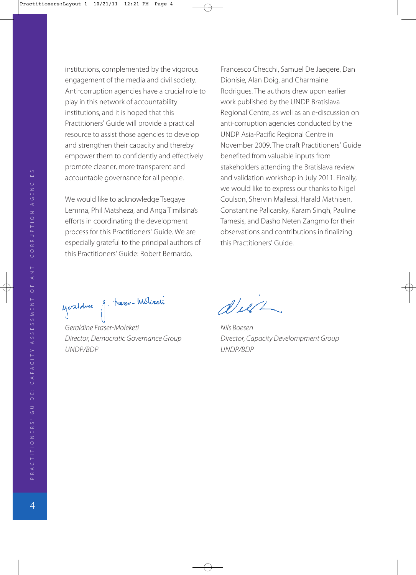institutions, complemented by the vigorous engagement of the media and civil society. Anti-corruption agencies have a crucial role to play in this network of accountability institutions, and it is hoped that this Practitioners' Guide will provide a practical resource to assist those agencies to develop and strengthen their capacity and thereby empower them to confidently and effectively promote cleaner, more transparent and accountable governance for all people.

We would like to acknowledge Tsegaye Lemma, Phil Matsheza, and Anga Timilsina's efforts in coordinating the development process for this Practitioners' Guide. We are especially grateful to the principal authors of this Practitioners' Guide: Robert Bernardo,

Francesco Checchi, Samuel De Jaegere, Dan Dionisie, Alan Doig, and Charmaine Rodrigues. The authors drew upon earlier work published by the UNDP Bratislava Regional Centre, as well as an e-discussion on anti-corruption agencies conducted by the UNDP Asia-Pacific Regional Centre in November 2009. The draft Practitioners' Guide benefited from valuable inputs from stakeholders attending the Bratislava review and validation workshop in July 2011. Finally, we would like to express our thanks to Nigel Coulson, Shervin Majlessi, Harald Mathisen, Constantine Palicarsky, Karam Singh, Pauline Tamesis, and Dasho Neten Zangmo for their observations and contributions in finalizing this Practitioners' Guide.

yeraldine 9. traser-Wisleteta

Geraldine Fraser-Moleketi Nils Boesen UNDP/BDP UNDP/BDP

 $d\mu$ 

Director, Democratic Governance Group Director, Capacity Develompment Group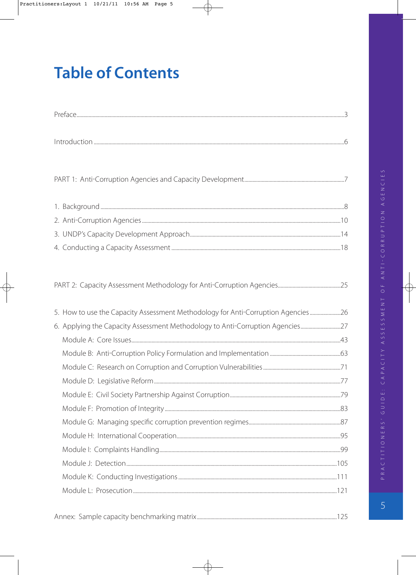# **Table of Contents**

| 5. How to use the Capacity Assessment Methodology for Anti-Corruption Agencies26 |  |
|----------------------------------------------------------------------------------|--|
| 6. Applying the Capacity Assessment Methodology to Anti-Corruption Agencies27    |  |
|                                                                                  |  |
|                                                                                  |  |
|                                                                                  |  |
|                                                                                  |  |
|                                                                                  |  |
|                                                                                  |  |
|                                                                                  |  |
|                                                                                  |  |
|                                                                                  |  |
|                                                                                  |  |
|                                                                                  |  |
|                                                                                  |  |

 $\overline{5}$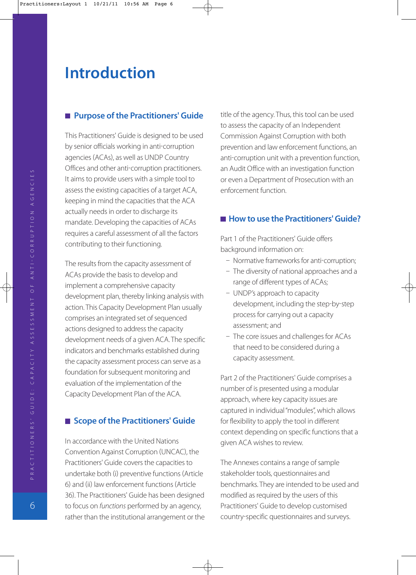### **Introduction**

#### **Purpose of the Practitioners' Guide**

This Practitioners' Guide is designed to be used by senior officials working in anti-corruption agencies (ACAs), as well as UNDP Country Offices and other anti-corruption practitioners. It aims to provide users with a simple tool to assess the existing capacities of a target ACA, keeping in mind the capacities that the ACA actually needs in order to discharge its mandate. Developing the capacities of ACAs requires a careful assessment of all the factors contributing to their functioning.

The results from the capacity assessment of ACAs provide the basis to develop and implement a comprehensive capacity development plan, thereby linking analysis with action. This Capacity Development Plan usually comprises an integrated set of sequenced actions designed to address the capacity development needs of a given ACA. The specific indicators and benchmarks established during the capacity assessment process can serve as a foundation for subsequent monitoring and evaluation of the implementation of the Capacity Development Plan of the ACA.

#### ■ Scope of the Practitioners' Guide

In accordance with the United Nations Convention Against Corruption UNCAC, the Practitioners' Guide covers the capacities to undertake both (i) preventive functions (Article 6) and (ii) law enforcement functions (Article 36. The Practitioners' Guide has been designed to focus on functions performed by an agency, rather than the institutional arrangement or the title of the agency. Thus, this tool can be used to assess the capacity of an Independent Commission Against Corruption with both prevention and law enforcement functions, an anti-corruption unit with a prevention function, an Audit Office with an investigation function or even a Department of Prosecution with an enforcement function.

#### ■ How to use the Practitioners' Guide?

Part 1 of the Practitioners' Guide offers background information on:

- Normative frameworks for anti-corruption;
- The diversity of national approaches and a range of different types of ACAs;
- UNDP's approach to capacity development, including the step-by-step process for carrying out a capacity assessment; and
- The core issues and challenges for ACAs that need to be considered during a capacity assessment.

Part 2 of the Practitioners' Guide comprises a number of is presented using a modular approach, where key capacity issues are captured in individual "modules", which allows for flexibility to apply the tool in different context depending on specific functions that a given ACA wishes to review.

The Annexes contains a range of sample stakeholder tools, questionnaires and benchmarks. They are intended to be used and modified as required by the users of this Practitioners' Guide to develop customised country-specific questionnaires and surveys.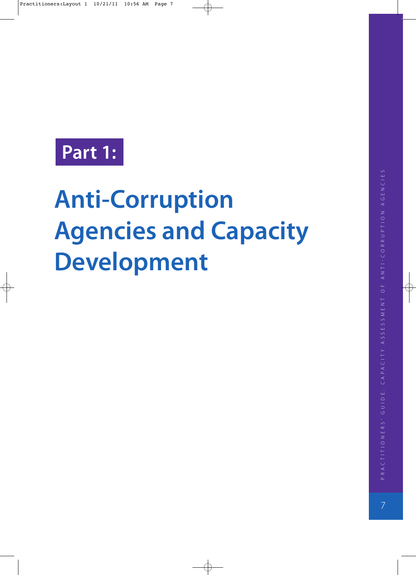# **Part 1:**

# **Anti-Corruption Agencies and Capacity Development**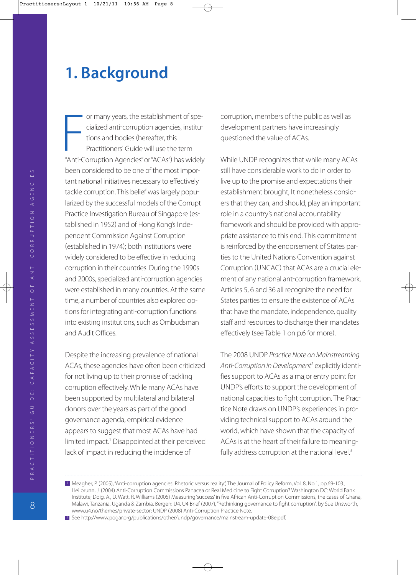# **1. Background**

or many years, the establishment of spe cialized anti-corruption agencies, institutions and bodies (hereafter, this Practitioners' Guide will use the term or many years, the establishment of specialized anti-corruption agencies, institutions and bodies (hereafter, this<br>Practitioners' Guide will use the term<br>"Anti-Corruption Agencies" or "ACAs") has widely been considered to be one of the most impor tant national initiatives necessary to effectively tackle corruption. This belief was largely popu larized by the successful models of the Corrupt Practice Investigation Bureau of Singapore (established in 1952) and of Hong Kong's Independent Commission Against Corruption established in 1974; both institutions were widely considered to be effective in reducing corruption in their countries. During the 1990s and 2000s, specialized anti-corruption agencies were established in many countries. At the same time, a number of countries also explored op tions for integrating anti-corruption functions into existing institutions, such as Ombudsman and Audit Offices.

Despite the increasing prevalence of national ACAs, these agencies have often been criticized for not living up to their promise of tackling corruption effectively. While many ACAs have been supported by multilateral and bilateral donors over the years as part of the good governance agenda, empirical evidence appears to suggest that most ACAs have had limited impact.<sup>1</sup> Disappointed at their perceived lack of impact in reducing the incidence of

corruption, members of the public as well as development partners have increasingly questioned the value of ACAs.

While UNDP recognizes that while many ACAs still have considerable work to do in order to live up to the promise and expectations their establishment brought, It nonetheless consid ers that they can, and should, play an important role in a country's national accountability framework and should be provided with appro priate assistance to this end. This commitment is reinforced by the endorsement of States par ties to the United Nations Convention against Corruption (UNCAC) that ACAs are a crucial element of any national ant-corruption framework. Articles 5, 6 and 36 all recognize the need for States parties to ensure the existence of ACAs that have the mandate, independence, quality staff and resources to discharge their mandates effectively (see Table 1 on p.6 for more).

The 2008 UNDP Practice Note on Mainstreaming Anti-Corruption in Development<sup>2</sup> explicitly identifies support to ACAs as a major entry point for UNDP's efforts to support the development of national capacities to fight corruption. The Prac tice Note draws on UNDP's experiences in pro viding technical support to ACAs around the world, which have shown that the capacity of ACAs is at the heart of their failure to meaning fully address corruption at the national level.<sup>3</sup>

<sup>1</sup> Meagher, P. (2005), "Anti-corruption agencies: Rhetoric versus reality", The Journal of Policy Reform, Vol. 8, No.1, pp.69-103.; Heilbrunn, J. (2004) Anti-Corruption Commissions Panacea or Real Medicine to Fight Corruption? Washington DC: World Bank Institute; Doig, A., D. Watt, R. Williams (2005) Measuring 'success' in five African Anti-Corruption Commissions, the cases of Ghana, Malawi, Tanzania, Uganda & Zambia. Bergen: U4. U4 Brief (2007), "Rethinking governance to fight corruption", by Sue Unsworth, www.u4.no/themes/private-sector; UNDP (2008) Anti-Corruption Practice Note.

<sup>2</sup> See http://www.pogar.org/publications/other/undp/governance/mainstream-update-08e.pdf.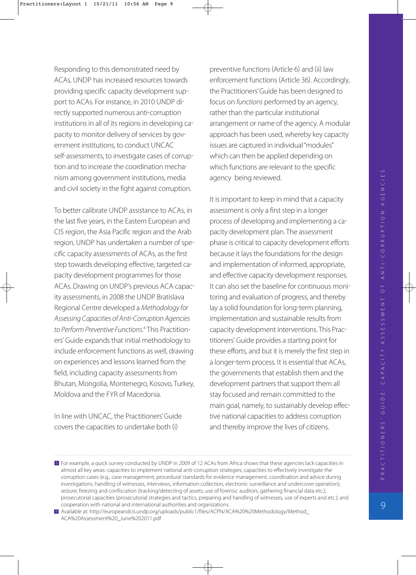Responding to this demonstrated need by ACAs, UNDP has increased resources towards providing specific capacity development sup port to ACAs. For instance, in 2010 UNDP di rectly supported numerous anti-corruption institutions in all of its regions in developing ca pacity to monitor delivery of services by gov ernment institutions, to conduct UNCAC self-assessments, to investigate cases of corruption and to increase the coordination mecha nism among government institutions, media and civil society in the fight against corruption.

To better calibrate UNDP assistance to ACAs, in the last five years, in the Eastern European and CIS region, the Asia Pacific region and the Arab region, UNDP has undertaken a number of spe cific capacity assessments of ACAs, as the first step towards developing effective, targeted ca pacity development programmes for those ACAs. Drawing on UNDP's previous ACA capac ity assessments, in 2008 the UNDP Bratislava Regional Centre developed a Methodology for Assessing Capacities of Anti-Corruption Agencies to Perform Preventive Functions. <sup>4</sup> This Practition ers' Guide expands that initial methodology to include enforcement functions as well, drawing on experiences and lessons learned from the field, including capacity assessments from Bhutan, Mongolia, Montenegro, Kosovo, Turkey, Moldova and the FYR of Macedonia.

In line with UNCAC, the Practitioners' Guide covers the capacities to undertake both (i)

preventive functions (Article 6) and (ii) law enforcement functions (Article 36). Accordingly, the Practitioners' Guide has been designed to focus on functions performed by an agency, rather than the particular institutional arrangement or name of the agency. A modular approach has been used, whereby key capacity issues are captured in individual "modules" which can then be applied depending on which functions are relevant to the specific agency being reviewed.

It is important to keep in mind that a capacity assessment is only a first step in a longer process of developing and implementing a ca pacity development plan. The assessment phase is critical to capacity development efforts because it lays the foundations for the design and implementation of informed, appropriate, and effective capacity development responses. It can also set the baseline for continuous moni toring and evaluation of progress, and thereby lay a solid foundation for long-term planning, implementation and sustainable results from capacity development interventions. This Prac titioners' Guide provides a starting point for these efforts, and but it is merely the first step in a longer-term process. It is essential that ACAs, the governments that establish them and the development partners that support them all stay focused and remain committed to the main goal, namely, to sustainably develop effec tive national capacities to address corruption and thereby improve the lives of citizens.

<sup>&</sup>lt;sup>2</sup> For example, a quick survey conducted by UNDP in 2009 of 12 ACAs from Africa shows that these agencies lack capacities in almost all key areas: capacities to implement national anti-corruption strategies; capacities to effectively investigate the corruption cases (e.g., case management, procedural standards for evidence management, coordination and advice during investigations, handling of witnesses, interviews, information collection, electronic surveillance and undercover operation); seizure, freezing and confiscation (tracking/detecting of assets, use of forensic auditors, gathering financial data etc.); prosecutorial capacities (prosecutorial strategies and tactics, preparing and handling of witnesses, use of experts and etc.); and cooperation with national and international authorities and organizations.

Available at: http://europeandcis.undp.org/uploads/public1/files/ACPN/ACA%20%20Methodology/Method\_ 4 ACA%20Assessment%20\_June%202011.pdf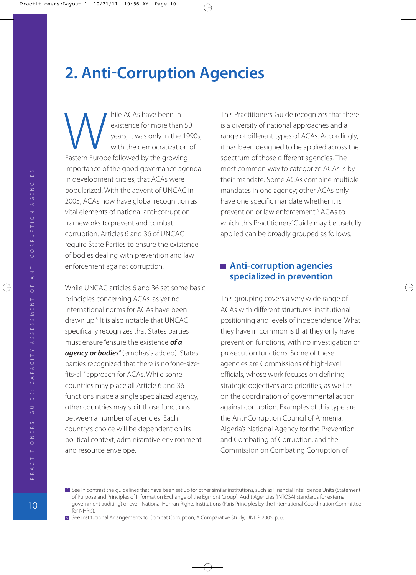# **2. Anti-Corruption Agencies**

hile ACAs have been in existence for more than 50 years, it was only in the 1990s, with the democratization of hile ACAs have been in<br>
existence for more than 5<br>
years, it was only in the 19<br>
with the democratization<br>
Eastern Europe followed by the growing importance of the good governance agenda in development circles, that ACAs were popularized. With the advent of UNCAC in 2005, ACAs now have global recognition as vital elements of national anti-corruption frameworks to prevent and combat corruption. Articles 6 and 36 of UNCAC require State Parties to ensure the existence of bodies dealing with prevention and law enforcement against corruption.

While UNCAC articles 6 and 36 set some basic principles concerning ACAs, as yet no international norms for ACAs have been drawn up.5 It is also notable that UNCAC specifically recognizes that States parties must ensure "ensure the existence *of a* agency or bodies" (emphasis added). States parties recognized that there is no "one-sizefits-all" approach for ACAs. While some countries may place all Article 6 and 36 functions inside a single specialized agency, other countries may split those functions between a number of agencies. Each country's choice will be dependent on its political context, administrative environment and resource envelope.

This Practitioners' Guide recognizes that there is a diversity of national approaches and a range of different types of ACAs. Accordingly, it has been designed to be applied across the spectrum of those different agencies. The most common way to categorize ACAs is by their mandate. Some ACAs combine multiple mandates in one agency; other ACAs only have one specific mandate whether it is prevention or law enforcement.6 ACAs to which this Practitioners' Guide may be usefully applied can be broadly grouped as follows:

#### **Anti-corruption agencies specialized in prevention**

This grouping covers a very wide range of ACAs with different structures, institutional positioning and levels of independence. What they have in common is that they only have prevention functions, with no investigation or prosecution functions. Some of these agencies are Commissions of high-level officials, whose work focuses on defining strategic objectives and priorities, as well as on the coordination of governmental action against corruption. Examples of this type are the Anti-Corruption Council of Armenia, Algeria's National Agency for the Prevention and Combating of Corruption, and the Commission on Combating Corruption of

**E** See in contrast the guidelines that have been set up for other similar institutions, such as Financial Intelligence Units (Statement of Purpose and Principles of Information Exchange of the Egmont Group), Audit Agencies (INTOSAI standards for external government auditing) or even National Human Rights Institutions (Paris Principles by the International Coordination Committee for NHRIs).

<sup>6</sup> See Institutional Arrangements to Combat Corruption, A Comparative Study, UNDP, 2005, p. 6.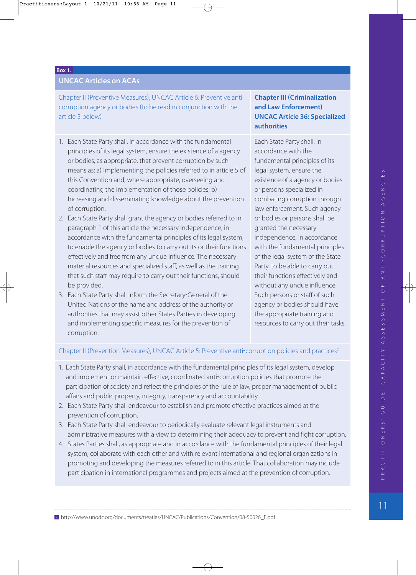#### **Box 1.**

#### **UNCAC Articles on ACAs**

Chapter II (Preventive Measures), UNCAC Article 6: Preventive anticorruption agency or bodies (to be read in conjunction with the article 5 below

- 1. Each State Party shall, in accordance with the fundamental principles of its legal system, ensure the existence of a agency or bodies, as appropriate, that prevent corruption by such means as: a) Implementing the policies referred to in article 5 of this Convention and, where appropriate, overseeing and coordinating the implementation of those policies; b Increasing and disseminating knowledge about the prevention of corruption.
- 2. Each State Party shall grant the agency or bodies referred to in paragraph 1 of this article the necessary independence, in accordance with the fundamental principles of its legal system, to enable the agency or bodies to carry out its or their functions effectively and free from any undue influence. The necessary material resources and specialized staff, as well as the training that such staff may require to carry out their functions, should be provided.
- 3. Each State Party shall inform the Secretary-General of the United Nations of the name and address of the authority or authorities that may assist other States Parties in developing and implementing specific measures for the prevention of corruption.

#### **Chapter III Criminalization and Law Enforcement UNCAC Article 36: Specialized authorities**

Each State Party shall, in accordance with the fundamental principles of its legal system, ensure the existence of a agency or bodies or persons specialized in combating corruption through law enforcement. Such agency or bodies or persons shall be granted the necessary independence, in accordance with the fundamental principles of the legal system of the State Party, to be able to carry out their functions effectively and without any undue influence. Such persons or staff of such agency or bodies should have the appropriate training and resources to carry out their tasks.

#### Chapter II (Prevention Measures), UNCAC Article 5: Preventive anti-corruption policies and practices<sup>7</sup>

- 1. Each State Party shall, in accordance with the fundamental principles of its legal system, develop and implement or maintain effective, coordinated anti-corruption policies that promote the participation of society and reflect the principles of the rule of law, proper management of public affairs and public property, integrity, transparency and accountability.
- 2. Each State Party shall endeavour to establish and promote effective practices aimed at the prevention of corruption.
- 3. Each State Party shall endeavour to periodically evaluate relevant legal instruments and administrative measures with a view to determining their adequacy to prevent and fight corruption.
- 4. States Parties shall, as appropriate and in accordance with the fundamental principles of their legal system, collaborate with each other and with relevant international and regional organizations in promoting and developing the measures referred to in this article. That collaboration may include participation in international programmes and projects aimed at the prevention of corruption.

<sup>7</sup> http://www.unodc.org/documents/treaties/UNCAC/Publications/Convention/08-50026\_E.pdf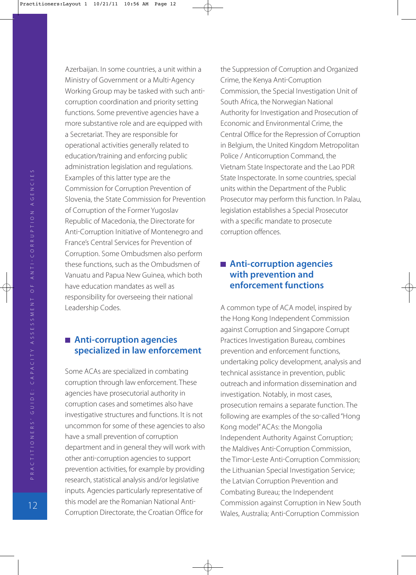Azerbaijan. In some countries, a unit within a Ministry of Government or a Multi-Agency Working Group may be tasked with such anti corruption coordination and priority setting functions. Some preventive agencies have a more substantive role and are equipped with a Secretariat. They are responsible for operational activities generally related to education/training and enforcing public administration legislation and regulations. Examples of this latter type are the Commission for Corruption Prevention of Slovenia, the State Commission for Prevention of Corruption of the Former Yugoslav Republic of Macedonia, the Directorate for Anti-Corruption Initiative of Montenegro and France's Central Services for Prevention of Corruption. Some Ombudsmen also perform these functions, such as the Ombudsmen of Vanuatu and Papua New Guinea, which both have education mandates as well as responsibility for overseeing their national Leadership Codes.

#### ■ Anti-corruption agencies **specialized in law enforcement**

Some ACAs are specialized in combating corruption through law enforcement. These agencies have prosecutorial authority in corruption cases and sometimes also have investigative structures and functions. It is not uncommon for some of these agencies to also have a small prevention of corruption department and in general they will work with other anti-corruption agencies to support prevention activities, for example by providing research, statistical analysis and/or legislative inputs. Agencies particularly representative of this model are the Romanian National Anti Corruption Directorate, the Croatian Office for

the Suppression of Corruption and Organized Crime, the Kenya Anti-Corruption Commission, the Special Investigation Unit of South Africa, the Norwegian National Authority for Investigation and Prosecution of Economic and Environmental Crime, the Central Office for the Repression of Corruption in Belgium, the United Kingdom Metropolitan Police / Anticorruption Command, the Vietnam State Inspectorate and the Lao PDR State Inspectorate. In some countries, special units within the Department of the Public Prosecutor may perform this function. In Palau, legislation establishes a Special Prosecutor with a specific mandate to prosecute corruption offences.

#### ■ Anti-corruption agencies **with prevention and enforcement functions**

A common type of ACA model, inspired by the Hong Kong Independent Commission against Corruption and Singapore Corrupt Practices Investigation Bureau, combines prevention and enforcement functions, undertaking policy development, analysis and technical assistance in prevention, public outreach and information dissemination and investigation. Notably, in most cases, prosecution remains a separate function. The following are examples of the so-called "Hong Kong model" ACAs: the Mongolia Independent Authority Against Corruption; the Maldives Anti-Corruption Commission, the Timor-Leste Anti-Corruption Commission; the Lithuanian Special Investigation Service; the Latvian Corruption Prevention and Combating Bureau; the Independent Commission against Corruption in New South Wales, Australia; Anti-Corruption Commission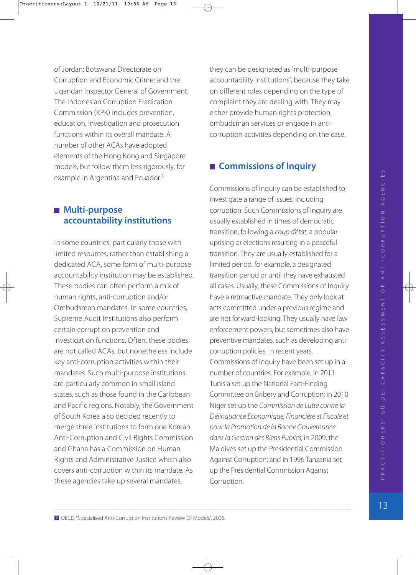of Jordan; Botswana Directorate on Corruption and Economic Crime; and the Ugandan Inspector General of Government. The Indonesian Corruption Eradication Commission (KPK) includes prevention, education, investigation and prosecution functions within its overall mandate. A number of other ACAs have adopted elements of the Hong Kong and Singapore models, but follow them less rigorously, for example in Argentina and Ecuador.<sup>8</sup>

#### **Multi-purpose accountability institutions**

In some countries, particularly those with limited resources, rather than establishing a dedicated ACA, some form of multi-purpose accountability institution may be established. These bodies can often perform a mix of human rights, anti-corruption and/or Ombudsman mandates. In some countries, Supreme Audit Institutions also perform certain corruption prevention and investigation functions. Often, these bodies are not called ACAs, but nonetheless include key anti-corruption activities within their mandates. Such multi-purpose institutions are particularly common in small island states, such as those found in the Caribbean and Pacific regions. Notably, the Government of South Korea also decided recently to merge three institutions to form one Korean Anti-Corruption and Civil Rights Commission and Ghana has a Commission on Human Rights and Administrative Justice which also covers anti-corruption within its mandate. As these agencies take up several mandates,

they can be designated as "multi-purpose accountability institutions", because they take on different roles depending on the type of complaint they are dealing with. They may either provide human rights protection, ombudsman services or engage in anti corruption activities depending on the case.

#### **Commissions of Inquiry**

Commissions of Inquiry can be established to investigate a range of issues, including corruption. Such Commissions of Inquiry are usually established in times of democratic transition, following a coup d'état, a popular uprising or elections resulting in a peaceful transition. They are usually established for a limited period, for example, a designated transition period or until they have exhausted all cases. Usually, these Commissions of Inquiry have a retroactive mandate. They only look at acts committed under a previous regime and are not forward-looking. They usually have law enforcement powers, but sometimes also have preventive mandates, such as developing anti corruption policies. In recent years, Commissions of Inquiry have been set up in a number of countries. For example, in 2011 Tunisia set up the National Fact-Finding Committee on Bribery and Corruption; in 2010 Niger set up the Commission de Lutte contre la Délinquance Economique, Financière et Fiscale et pour la Promotion de la Bonne Gouvernance dans la Gestion des Biens Publics; in 2009, the Maldives set up the Presidential Commission Against Corruption; and in 1996 Tanzania set up the Presidential Commission Against Corruption.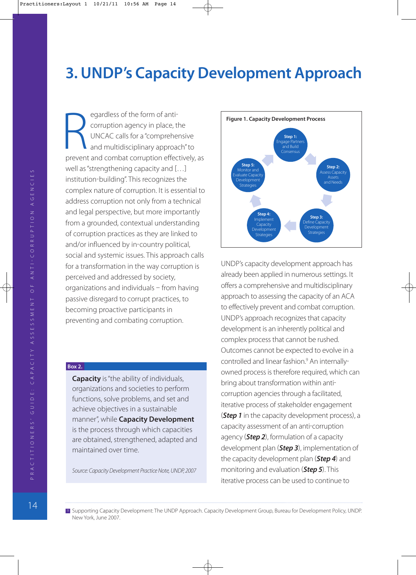## **3. UNDP's Capacity Development Approach**

egardless of the form of anti corruption agency in place, the UNCAC calls for a "comprehensive and multidisciplinary approach" to prevent and combat corruption effectively, as well as "strengthening capacity and [...] institution-building". This recognizes the complex nature of corruption. It is essential to address corruption not only from a technical and legal perspective, but more importantly from a grounded, contextual understanding of corruption practices as they are linked to and/or influenced by in-country political, social and systemic issues. This approach calls for a transformation in the way corruption is perceived and addressed by society, organizations and individuals  $-$  from having passive disregard to corrupt practices, to becoming proactive participants in preventing and combating corruption. Expandless of the form of anti-<br>
corruption agency in place, the<br>
UNCAC calls for a "comprehensive<br>
and multidisciplinary approach" to<br>
prevent and combat corruption effectively, as<br> **Figure 1. Capacity Development Process** 

#### **Box 2.**

**Capacity** is "the ability of individuals, organizations and societies to perform functions, solve problems, and set and achieve objectives in a sustainable manner", while **Capacity Development** is the process through which capacities are obtained, strengthened, adapted and maintained over time.

Source: Capacity Development Practice Note, UNDP, 2007



UNDP's capacity development approach has already been applied in numerous settings. It offers a comprehensive and multidisciplinary approach to assessing the capacity of an ACA to effectively prevent and combat corruption. UNDP's approach recognizes that capacity development is an inherently political and complex process that cannot be rushed. Outcomes cannot be expected to evolve in a controlled and linear fashion.<sup>9</sup> An internallyowned process is therefore required, which can bring about transformation within anti corruption agencies through a facilitated, iterative process of stakeholder engagement (**Step 1** in the capacity development process), a capacity assessment of an anti-corruption agency *Step 2*, formulation of a capacity development plan *Step 3*, implementation of the capacity development plan (**Step 4**) and monitoring and evaluation *Step 5*. This iterative process can be used to continue to

9 Supporting Capacity Development: The UNDP Approach. Capacity Development Group, Bureau for Development Policy, UNDP. New York, June 2007.

PRACTITIONERS / GUIDE: CAPACITY ASSESSMENT OF ANTI-CORRUPTION AGENCIES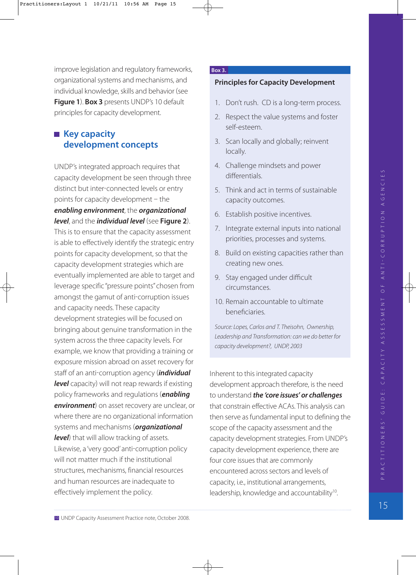improve legislation and regulatory frameworks, organizational systems and mechanisms, and individual knowledge, skills and behavior (see **Figure 1**. **Box 3** presents UNDP's 10 default principles for capacity development.

#### **Key capacity development concepts**

UNDP's integrated approach requires that capacity development be seen through three distinct but inter-connected levels or entry points for capacity development  $-$  the *enabling environment*, the *organizational level*, and the *individual level* (see Figure 2). This is to ensure that the capacity assessment is able to effectively identify the strategic entry points for capacity development, so that the capacity development strategies which are eventually implemented are able to target and leverage specific "pressure points" chosen from amongst the gamut of anti-corruption issues and capacity needs. These capacity development strategies will be focused on bringing about genuine transformation in the system across the three capacity levels. For example, we know that providing a training or exposure mission abroad on asset recovery for staff of an anti-corruption agency *(individual* **level** capacity) will not reap rewards if existing policy frameworks and regulations *enabling* **environment**) on asset recovery are unclear, or where there are no organizational information systems and mechanisms *organizational* **level**) that will allow tracking of assets. Likewise, a 'very good' anti-corruption policy will not matter much if the institutional structures, mechanisms, financial resources and human resources are inadequate to effectively implement the policy.

#### **Box 3.**

#### **Principles for Capacity Development**

- 1. Don't rush. CD is a long-term process.
- 2. Respect the value systems and foster self-esteem.
- 3. Scan locally and globally; reinvent locally.
- 4. Challenge mindsets and power differentials.
- 5. Think and act in terms of sustainable capacity outcomes.
- 6. Establish positive incentives.
- 7. Integrate external inputs into national priorities, processes and systems.
- 8. Build on existing capacities rather than creating new ones.
- 9. Stay engaged under difficult circumstances.
- 10. Remain accountable to ultimate beneficiaries.

Source: Lopes, Carlos and T. Theisohn, Ownership, Leadership and Transformation: can we do better for capacity development?, UNDP, 2003

Inherent to this integrated capacity development approach therefore, is the need to understand *the 'core issues' or challenges* that constrain effective ACAs. This analysis can then serve as fundamental input to defining the scope of the capacity assessment and the capacity development strategies. From UNDP's capacity development experience, there are four core issues that are commonly encountered across sectors and levels of capacity, i.e., institutional arrangements, leadership, knowledge and accountability<sup>10</sup>.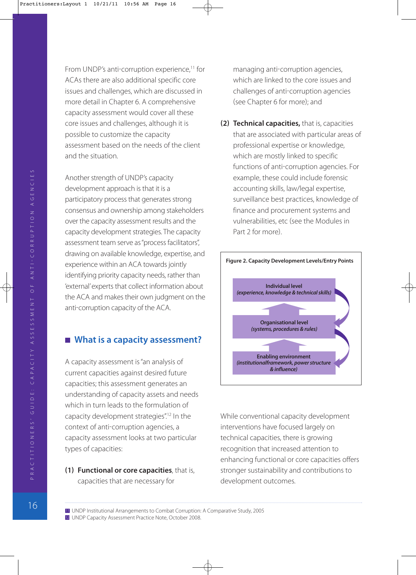From UNDP's anti-corruption experience,<sup>11</sup> for ACAs there are also additional specific core issues and challenges, which are discussed in more detail in Chapter 6. A comprehensive capacity assessment would cover all these core issues and challenges, although it is possible to customize the capacity assessment based on the needs of the client and the situation.

Another strength of UNDP's capacity development approach is that it is a participatory process that generates strong consensus and ownership among stakeholders over the capacity assessment results and the capacity development strategies. The capacity assessment team serve as "process facilitators", drawing on available knowledge, expertise, and experience within an ACA towards jointly identifying priority capacity needs, rather than 'external' experts that collect information about the ACA and makes their own judgment on the anti-corruption capacity of the ACA.

#### **What is a capacity assessment?**

A capacity assessment is "an analysis of current capacities against desired future capacities; this assessment generates an understanding of capacity assets and needs which in turn leads to the formulation of capacity development strategies".12 In the context of anti-corruption agencies, a capacity assessment looks at two particular types of capacities:

**11) Functional or core capacities**, that is, capacities that are necessary for

managing anti-corruption agencies, which are linked to the core issues and challenges of anti-corruption agencies (see Chapter 6 for more); and

**(2) Technical capacities, that is, capacities** that are associated with particular areas of professional expertise or knowledge, which are mostly linked to specific functions of anti-corruption agencies. For example, these could include forensic accounting skills, law/legal expertise, surveillance best practices, knowledge of finance and procurement systems and vulnerabilities, etc (see the Modules in Part 2 for more).



While conventional capacity development interventions have focused largely on technical capacities, there is growing recognition that increased attention to enhancing functional or core capacities offers stronger sustainability and contributions to development outcomes.

PRACTITIONERS / GUIDE: CAPACITY ASSESSMENT OF ANTI-CORRUPTION AGENCIES

<sup>12</sup> UNDP Capacity Assessment Practice Note, October 2008. 11 UNDP Institutional Arrangements to Combat Corruption: A Comparative Study, 2005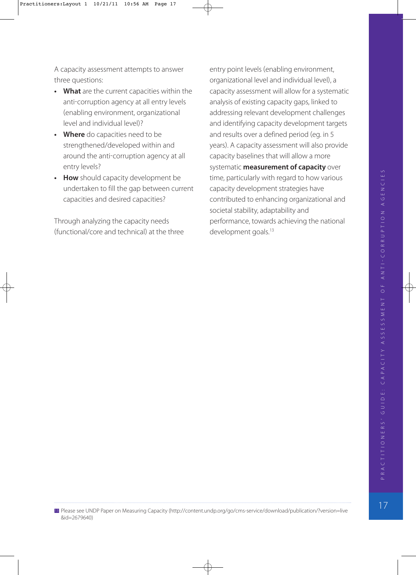A capacity assessment attempts to answer three questions:

- **What** are the current capacities within the anti-corruption agency at all entry levels enabling environment, organizational level and individual level?
- **Where** do capacities need to be strengthened/developed within and around the anti-corruption agency at all entry levels?
- **How** should capacity development be undertaken to fill the gap between current capacities and desired capacities?

Through analyzing the capacity needs (functional/core and technical) at the three

entry point levels (enabling environment, organizational level and individual level, a capacity assessment will allow for a systematic analysis of existing capacity gaps, linked to addressing relevant development challenges and identifying capacity development targets and results over a defined period (eg. in 5 years). A capacity assessment will also provide capacity baselines that will allow a more systematic **measurement of capacity** over time, particularly with regard to how various capacity development strategies have contributed to enhancing organizational and societal stability, adaptability and performance, towards achieving the national development goals.<sup>13</sup>

<sup>13</sup> Please see UNDP Paper on Measuring Capacity (http://content.undp.org/go/cms-service/download/publication/?version=live &id=2679640)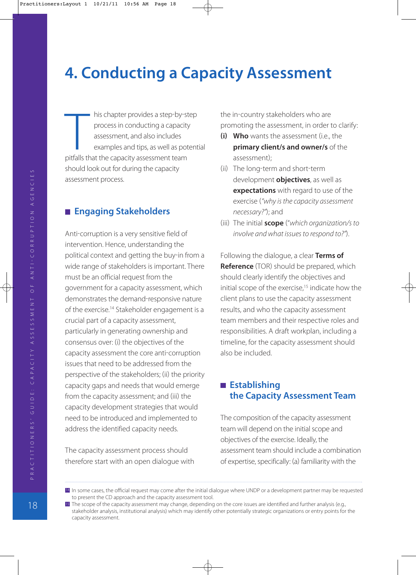# **4. Conducting a Capacity Assessment**

his chapter provides a step-by-step process in conducting a capacity assessment, and also includes examples and tips, as well as potential his chapter provides a step-by-s<br>process in conducting a capacit<br>assessment, and also includes<br>examples and tips, as well as po<br>pitfalls that the capacity assessment team should look out for during the capacity assessment process.

#### **Engaging Stakeholders**

Anti-corruption is a very sensitive field of intervention. Hence, understanding the political context and getting the buy-in from a wide range of stakeholders is important. There must be an official request from the government for a capacity assessment, which demonstrates the demand-responsive nature of the exercise.14 Stakeholder engagement is a crucial part of a capacity assessment, particularly in generating ownership and consensus over: (i) the objectives of the capacity assessment the core anti-corruption issues that need to be addressed from the perspective of the stakeholders; (ii) the priority capacity gaps and needs that would emerge from the capacity assessment; and (iii) the capacity development strategies that would need to be introduced and implemented to address the identified capacity needs.

The capacity assessment process should therefore start with an open dialogue with the in-country stakeholders who are promoting the assessment, in order to clarify:

- **(i) Who** wants the assessment (i.e., the **primary client/s and owner/s** of the assessment;
- (ii) The long-term and short-term development **objectives**, as well as **expectations** with regard to use of the exercise ("why is the capacity assessment necessary?"); and
- (iii) The initial **scope** ("which organization/s to involve and what issues to respond to?").

Following the dialogue, a clear **Terms of Reference** (TOR) should be prepared, which should clearly identify the objectives and initial scope of the exercise,<sup>15</sup> indicate how the client plans to use the capacity assessment results, and who the capacity assessment team members and their respective roles and responsibilities. A draft workplan, including a timeline, for the capacity assessment should also be included.

#### **Establishing the Capacity Assessment Team**

The composition of the capacity assessment team will depend on the initial scope and objectives of the exercise. Ideally, the assessment team should include a combination of expertise, specifically: (a) familiarity with the

14 In some cases, the official request may come after the initial dialogue where UNDP or a development partner may be requested to present the CD approach and the capacity assessment tool.

15 The scope of the capacity assessment may change, depending on the core issues are identified and further analysis (e.g., stakeholder analysis, institutional analysis) which may identify other potentially strategic organizations or entry points for the capacity assessment.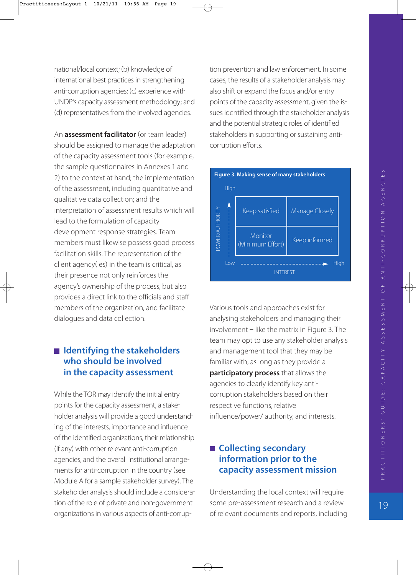national/local context; (b) knowledge of international best practices in strengthening anti-corruption agencies; (c) experience with UNDP's capacity assessment methodology; and (d) representatives from the involved agencies.

An **assessment facilitator** (or team leader) should be assigned to manage the adaptation of the capacity assessment tools (for example, the sample questionnaires in Annexes 1 and 2) to the context at hand; the implementation of the assessment, including quantitative and qualitative data collection; and the interpretation of assessment results which will lead to the formulation of capacity development response strategies. Team members must likewise possess good process facilitation skills. The representation of the client agency(ies) in the team is critical, as their presence not only reinforces the agency's ownership of the process, but also provides a direct link to the officials and staff members of the organization, and facilitate dialogues and data collection.

#### ■ Identifying the stakeholders **who should be involved in the capacity assessment**

While the TOR may identify the initial entry points for the capacity assessment, a stake holder analysis will provide a good understand ing of the interests, importance and influence of the identified organizations, their relationship (if any) with other relevant anti-corruption agencies, and the overall institutional arrange ments for anti-corruption in the country (see Module A for a sample stakeholder survey. The stakeholder analysis should include a considera tion of the role of private and non-government organizations in various aspects of anti-corruption prevention and law enforcement. In some cases, the results of a stakeholder analysis may also shift or expand the focus and/or entry points of the capacity assessment, given the is sues identified through the stakeholder analysis and the potential strategic roles of identified stakeholders in supporting or sustaining anti corruption efforts.



Various tools and approaches exist for analysing stakeholders and managing their  $involvement - like the matrix in Figure 3. The$ team may opt to use any stakeholder analysis and management tool that they may be familiar with, as long as they provide a **participatory process** that allows the agencies to clearly identify key anti corruption stakeholders based on their respective functions, relative influence/power/ authority, and interests.

#### ■ Collecting secondary **information prior to the capacity assessment mission**

Understanding the local context will require some pre-assessment research and a review of relevant documents and reports, including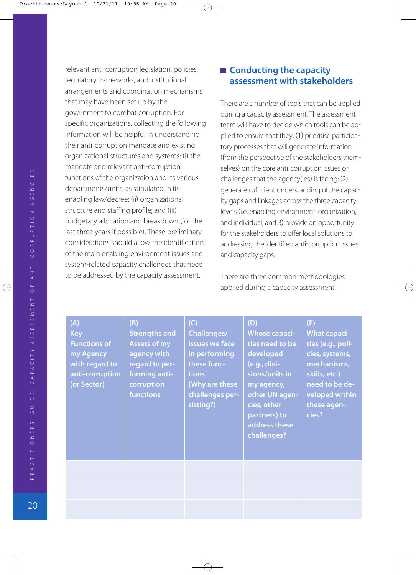PRACTITIONERS / GUIDE: CAPACITY ASSESSMENT OF ANTI-CORRUPTION AGENCIES 20P R AC T I T I O N E R S' G U I D E : C A PAC I T Y A S S E S S M E N T O F A N T I CO R R U P T I O N AG E N C I E S relevant anti-corruption legislation, policies, regulatory frameworks, and institutional arrangements and coordination mechanisms that may have been set up by the government to combat corruption. For specific organizations, collecting the following information will be helpful in understanding their anti-corruption mandate and existing organizational structures and systems: (i) the mandate and relevant anti-corruption functions of the organization and its various departments/units, as stipulated in its enabling law/decree; (ii) organizational structure and staffing profile; and (iii) budgetary allocation and breakdown (for the last three years if possible). These preliminary considerations should allow the identification of the main enabling environment issues and system-related capacity challenges that need to be addressed by the capacity assessment.

#### ■ Conducting the capacity **assessment with stakeholders**

There are a number of tools that can be applied during a capacity assessment. The assessment team will have to decide which tools can be ap plied to ensure that they: (1) prioritise participatory processes that will generate information from the perspective of the stakeholders them selves) on the core anti-corruption issues or challenges that the agency(ies) is facing; (2) generate sufficient understanding of the capac ity gaps and linkages across the three capacity levels (i.e. enabling environment, organization, and individual; and 3) provide an opportunity for the stakeholders to offer local solutions to addressing the identified anti-corruption issues and capacity gaps.

There are three common methodologies applied during a capacity assessment:

| (A)<br><b>Key</b><br><b>Functions of</b><br>my Agency<br>with regard to<br>anti-corruption<br>(or Sector) | (B)<br><b>Strengths and</b><br><b>Assets of my</b><br>agency with<br>regard to per-<br>forming anti-<br>corruption<br><b>functions</b> | (C)<br><b>Challenges/</b><br><b>Issues we face</b><br>in performing<br>these func-<br><b>tions</b><br>(Why are these<br>challenges per-<br>sisting?) | (D)<br><b>Whose capaci-</b><br>ties need to be<br>developed<br>(e.g., divi-<br>sions/units in<br>my agency,<br>other UN agen-<br>cies, other<br>partners) to<br>address these<br>challenges? | (E)<br><b>What capaci-</b><br>ties (e.g., poli-<br>cies, systems,<br>mechanisms,<br>skills, etc.)<br>need to be de-<br>veloped within<br>these agen-<br>cies? |
|-----------------------------------------------------------------------------------------------------------|----------------------------------------------------------------------------------------------------------------------------------------|------------------------------------------------------------------------------------------------------------------------------------------------------|----------------------------------------------------------------------------------------------------------------------------------------------------------------------------------------------|---------------------------------------------------------------------------------------------------------------------------------------------------------------|
|                                                                                                           |                                                                                                                                        |                                                                                                                                                      |                                                                                                                                                                                              |                                                                                                                                                               |
|                                                                                                           |                                                                                                                                        |                                                                                                                                                      |                                                                                                                                                                                              |                                                                                                                                                               |
|                                                                                                           |                                                                                                                                        |                                                                                                                                                      |                                                                                                                                                                                              |                                                                                                                                                               |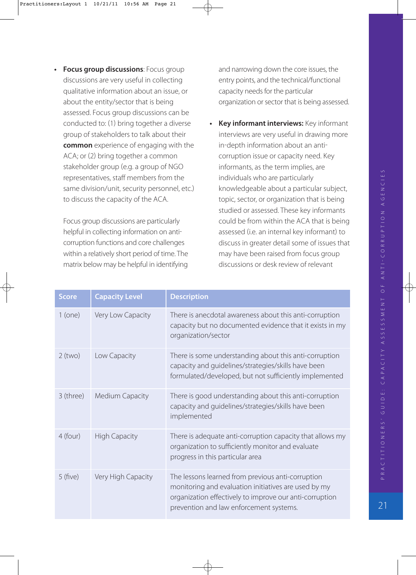**• Focus group discussions**: Focus group discussions are very useful in collecting qualitative information about an issue, or about the entity/sector that is being assessed. Focus group discussions can be conducted to: (1) bring together a diverse group of stakeholders to talk about their **common** experience of engaging with the ACA; or (2) bring together a common stakeholder group (e.g. a group of NGO representatives, staff members from the same division/unit, security personnel, etc. to discuss the capacity of the ACA.

Focus group discussions are particularly helpful in collecting information on anti corruption functions and core challenges within a relatively short period of time. The matrix below may be helpful in identifying

and narrowing down the core issues, the entry points, and the technical/functional capacity needs for the particular organization or sector that is being assessed.

**• Key informant interviews:** Key informant interviews are very useful in drawing more in-depth information about an anticorruption issue or capacity need. Key informants, as the term implies, are individuals who are particularly knowledgeable about a particular subject, topic, sector, or organization that is being studied or assessed. These key informants could be from within the ACA that is being assessed (i.e. an internal key informant) to discuss in greater detail some of issues that may have been raised from focus group discussions or desk review of relevant

| <b>Score</b> | <b>Capacity Level</b> | <b>Description</b>                                                                                                                                                                                              |
|--------------|-----------------------|-----------------------------------------------------------------------------------------------------------------------------------------------------------------------------------------------------------------|
| $1$ (one)    | Very Low Capacity     | There is anecdotal awareness about this anti-corruption<br>capacity but no documented evidence that it exists in my<br>organization/sector                                                                      |
| $2$ (two)    | Low Capacity          | There is some understanding about this anti-corruption<br>capacity and guidelines/strategies/skills have been<br>formulated/developed, but not sufficiently implemented                                         |
| 3 (three)    | Medium Capacity       | There is good understanding about this anti-corruption<br>capacity and guidelines/strategies/skills have been<br>implemented                                                                                    |
| 4 (four)     | <b>High Capacity</b>  | There is adequate anti-corruption capacity that allows my<br>organization to sufficiently monitor and evaluate<br>progress in this particular area                                                              |
| 5(five)      | Very High Capacity    | The lessons learned from previous anti-corruption<br>monitoring and evaluation initiatives are used by my<br>organization effectively to improve our anti-corruption<br>prevention and law enforcement systems. |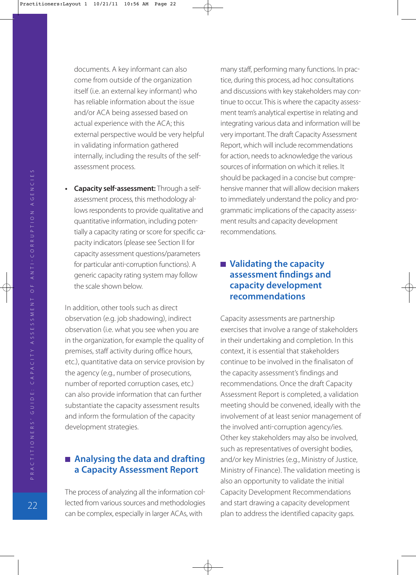documents. A key informant can also come from outside of the organization itself (i.e. an external key informant) who has reliable information about the issue and/or ACA being assessed based on actual experience with the ACA; this external perspective would be very helpful in validating information gathered internally, including the results of the self assessment process.

• Capacity self-assessment: Through a selfassessment process, this methodology al lows respondents to provide qualitative and quantitative information, including poten tially a capacity rating or score for specific ca pacity indicators (please see Section II for capacity assessment questions/parameters for particular anti-corruption functions). A generic capacity rating system may follow the scale shown below.

In addition, other tools such as direct observation (e.g. job shadowing), indirect observation (i.e. what you see when you are in the organization, for example the quality of premises, staff activity during office hours, etc.), quantitative data on service provision by the agency (e.g., number of prosecutions, number of reported corruption cases, etc. can also provide information that can further substantiate the capacity assessment results and inform the formulation of the capacity development strategies.

#### **Analysing the data and drafting a Capacity Assessment Report**

The process of analyzing all the information col lected from various sources and methodologies can be complex, especially in larger ACAs, with

many staff, performing many functions. In prac tice, during this process, ad hoc consultations and discussions with key stakeholders may con tinue to occur. This is where the capacity assess ment team's analytical expertise in relating and integrating various data and information will be very important. The draft Capacity Assessment Report, which will include recommendations for action, needs to acknowledge the various sources of information on which it relies. It should be packaged in a concise but compre hensive manner that will allow decision makers to immediately understand the policy and pro grammatic implications of the capacity assess ment results and capacity development recommendations.

#### ■ Validating the capacity **assessment findings and capacity development recommendations**

Capacity assessments are partnership exercises that involve a range of stakeholders in their undertaking and completion. In this context, it is essential that stakeholders continue to be involved in the finalisaton of the capacity assessment's findings and recommendations. Once the draft Capacity Assessment Report is completed, a validation meeting should be convened, ideally with the involvement of at least senior management of the involved anti-corruption agency/ies. Other key stakeholders may also be involved, such as representatives of oversight bodies, and/or key Ministries (e.g., Ministry of Justice, Ministry of Finance). The validation meeting is also an opportunity to validate the initial Capacity Development Recommendations and start drawing a capacity development plan to address the identified capacity gaps.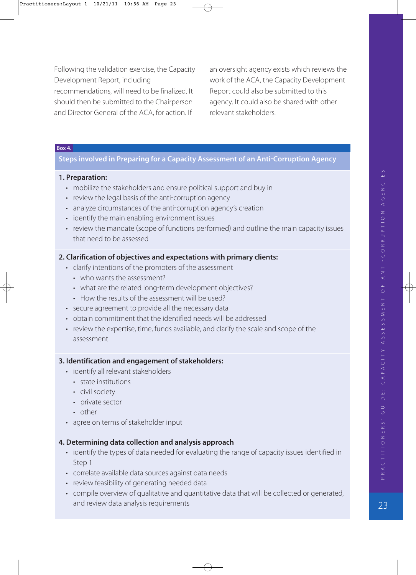Following the validation exercise, the Capacity Development Report, including recommendations, will need to be finalized. It should then be submitted to the Chairperson and Director General of the ACA, for action. If

an oversight agency exists which reviews the work of the ACA, the Capacity Development Report could also be submitted to this agency. It could also be shared with other relevant stakeholders.

#### **Box 4.**

#### **Steps involved in Preparing for a Capacity Assessment of an Anti-Corruption Agency**

#### **1. Preparation:**

- mobilize the stakeholders and ensure political support and buy in
- review the legal basis of the anti-corruption agency
- analyze circumstances of the anti-corruption agency's creation
- identify the main enabling environment issues
- review the mandate (scope of functions performed) and outline the main capacity issues that need to be assessed

#### **2. Clarification of objectives and expectations with primary clients:**

- clarify intentions of the promoters of the assessment
	- who wants the assessment?
	- what are the related long-term development objectives?
	- How the results of the assessment will be used?
- secure agreement to provide all the necessary data
- obtain commitment that the identified needs will be addressed
- review the expertise, time, funds available, and clarify the scale and scope of the assessment

#### **3. Identification and engagement of stakeholders:**

- identify all relevant stakeholders
	- state institutions
	- civil society
	- private sector
	- other
- agree on terms of stakeholder input

#### **4. Determining data collection and analysis approach**

- identify the types of data needed for evaluating the range of capacity issues identified in Step 1
- correlate available data sources against data needs
- review feasibility of generating needed data
- compile overview of qualitative and quantitative data that will be collected or generated, and review data analysis requirements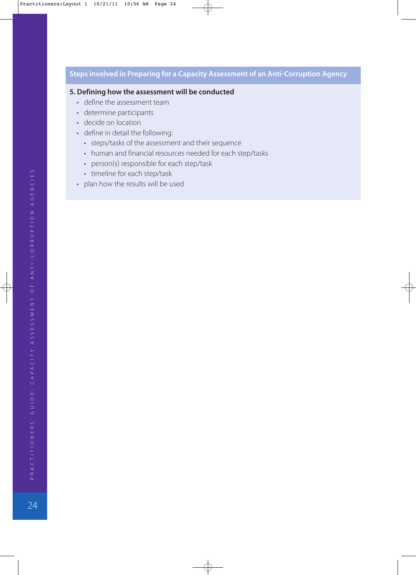#### **Steps involved in Preparing for a Capacity Assessment of an Anti-Corruption Agency**

#### **5. Defining how the assessment will be conducted**

- define the assessment team
- determine participants
- decide on location
- define in detail the following:
	- steps/tasks of the assessment and their sequence
	- human and financial resources needed for each step/tasks
	- person(s) responsible for each step/task
	- timeline for each step/task
- plan how the results will be used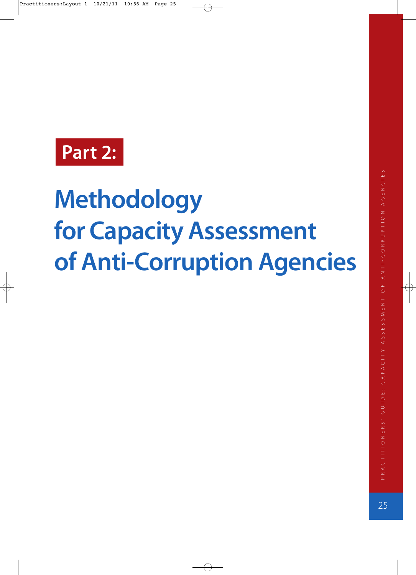# **Part 2:**

# **Methodology for Capacity Assessment of Anti-Corruption Agencies**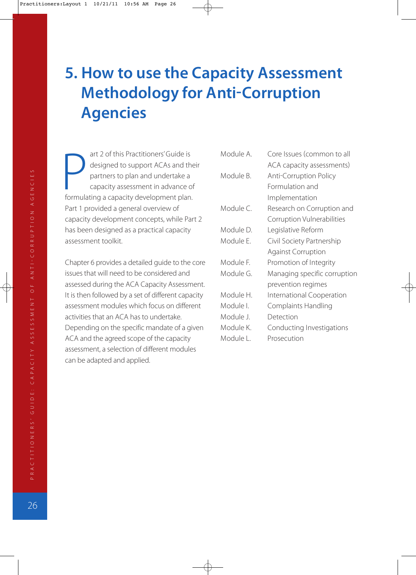# **5. How to use the Capacity Assessment Methodology for Anti-Corruption Agencies**

art 2 of this Practitioners' Guide is designed to support ACAs and their partners to plan and undertake a capacity assessment in advance of art 2 of this Practitioners' Guide is<br>designed to support ACAs and th<br>partners to plan and undertake a<br>capacity assessment in advance o<br>formulating a capacity development plan. Part 1 provided a general overview of capacity development concepts, while Part 2 has been designed as a practical capacity assessment toolkit.

Chapter 6 provides a detailed guide to the core issues that will need to be considered and assessed during the ACA Capacity Assessment. It is then followed by a set of different capacity assessment modules which focus on different activities that an ACA has to undertake. Depending on the specific mandate of a given ACA and the agreed scope of the capacity assessment, a selection of different modules can be adapted and applied.

| Module A. | Core Issues (common to all    |
|-----------|-------------------------------|
|           | ACA capacity assessments)     |
| Module B. | <b>Anti-Corruption Policy</b> |
|           | Formulation and               |
|           | Implementation                |
| Module C. | Research on Corruption and    |
|           | Corruption Vulnerabilities    |
| Module D. | Legislative Reform            |
| Module E. | Civil Society Partnership     |
|           | <b>Against Corruption</b>     |
| Module F. | Promotion of Integrity        |
| Module G. | Managing specific corruption  |
|           | prevention regimes            |
| Module H. | International Cooperation     |
| Module I. | Complaints Handling           |
| Module J. | Detection                     |
| Module K. | Conducting Investigations     |
| Module L. | Prosecution                   |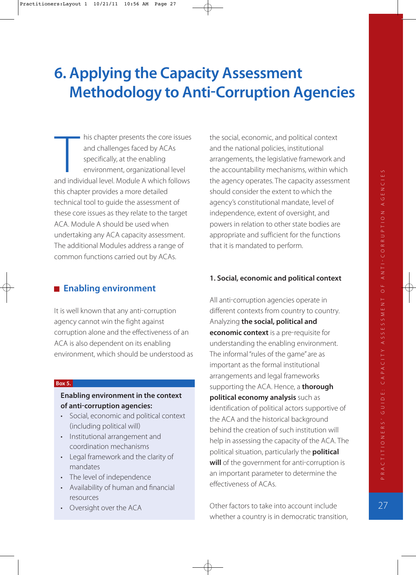# **6. Applying the Capacity Assessment Methodology to Anti-Corruption Agencies**

his chapter presents the core issues and challenges faced by ACAs specifically, at the enabling environment, organizational level his chapter presents the core issues<br>
and challenges faced by ACAs<br>
specifically, at the enabling<br>
environment, organizational level<br>
and individual level. Module A which follows this chapter provides a more detailed technical tool to guide the assessment of these core issues as they relate to the target ACA. Module A should be used when undertaking any ACA capacity assessment. The additional Modules address a range of common functions carried out by ACAs.

#### **Enabling environment**

It is well known that any anti-corruption agency cannot win the fight against corruption alone and the effectiveness of an ACA is also dependent on its enabling environment, which should be understood as

#### **Box 5.**

#### **Enabling environment in the context of anti-corruption agencies:**

- Social, economic and political context including political will
- Institutional arrangement and coordination mechanisms
- Legal framework and the clarity of mandates
- The level of independence
- Availability of human and financial resources
- Oversight over the ACA

the social, economic, and political context and the national policies, institutional arrangements, the legislative framework and the accountability mechanisms, within which the agency operates. The capacity assessment should consider the extent to which the agency's constitutional mandate, level of independence, extent of oversight, and powers in relation to other state bodies are appropriate and sufficient for the functions that it is mandated to perform.

#### **1. Social, economic and political context**

All anti-corruption agencies operate in different contexts from country to country. Analyzing **the social, political and economic context** is a pre-requisite for understanding the enabling environment. The informal "rules of the game" are as important as the formal institutional arrangements and legal frameworks supporting the ACA. Hence, a **thorough political economy analysis** such as identification of political actors supportive of the ACA and the historical background behind the creation of such institution will help in assessing the capacity of the ACA. The political situation, particularly the **political** will of the government for anti-corruption is an important parameter to determine the effectiveness of ACAs.

Other factors to take into account include whether a country is in democratic transition,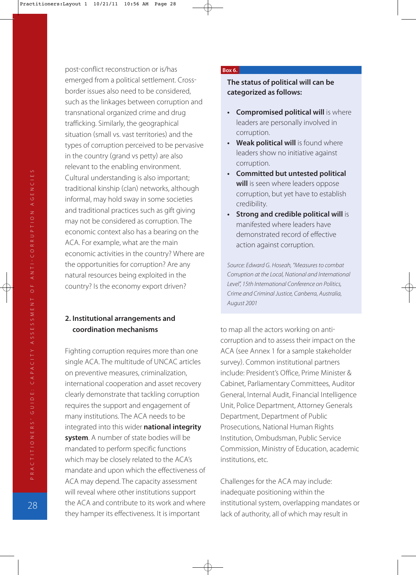post-conflict reconstruction or is/has emerged from a political settlement. Cross border issues also need to be considered, such as the linkages between corruption and transnational organized crime and drug trafficking. Similarly, the geographical situation (small vs. vast territories) and the types of corruption perceived to be pervasive in the country (grand vs petty) are also relevant to the enabling environment. Cultural understanding is also important; traditional kinship (clan) networks, although informal, may hold sway in some societies and traditional practices such as gift giving may not be considered as corruption. The economic context also has a bearing on the ACA. For example, what are the main economic activities in the country? Where are the opportunities for corruption? Are any natural resources being exploited in the country? Is the economy export driven?

#### **2. Institutional arrangements and coordination mechanisms**

Fighting corruption requires more than one single ACA. The multitude of UNCAC articles on preventive measures, criminalization, international cooperation and asset recovery clearly demonstrate that tackling corruption requires the support and engagement of many institutions. The ACA needs to be integrated into this wider **national integrity system**. A number of state bodies will be mandated to perform specific functions which may be closely related to the ACA's mandate and upon which the effectiveness of ACA may depend. The capacity assessment will reveal where other institutions support the ACA and contribute to its work and where they hamper its effectiveness. It is important

#### **Box 6.**

**The status of political will can be categorized as follows:**

- **Compromised political will** is where leaders are personally involved in corruption.
- **Weak political will** is found where leaders show no initiative against corruption.
- **Committed but untested political will** is seen where leaders oppose corruption, but yet have to establish credibility.
- **Strong and credible political will** is manifested where leaders have demonstrated record of effective action against corruption.

Source: Edward G. Hoseah, "Measures to combat Corruption at the Local, National and International Level", 15th International Conference on Politics, Crime and Criminal Justice, Canberra, Australia, August 2001

to map all the actors working on anti corruption and to assess their impact on the ACA (see Annex 1 for a sample stakeholder survey. Common institutional partners include: President's Office, Prime Minister & Cabinet, Parliamentary Committees, Auditor General, Internal Audit, Financial Intelligence Unit, Police Department, Attorney Generals Department, Department of Public Prosecutions, National Human Rights Institution, Ombudsman, Public Service Commission, Ministry of Education, academic institutions, etc.

Challenges for the ACA may include: inadequate positioning within the institutional system, overlapping mandates or lack of authority, all of which may result in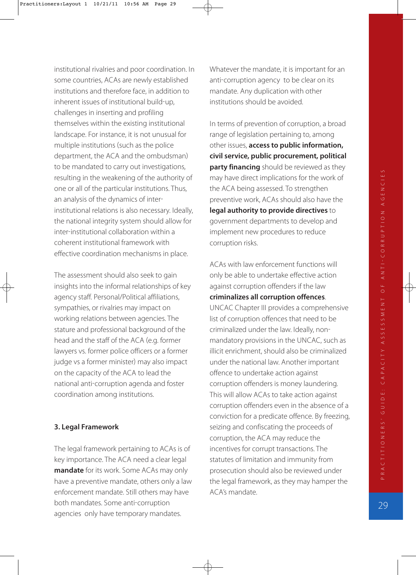institutional rivalries and poor coordination. In some countries, ACAs are newly established institutions and therefore face, in addition to inherent issues of institutional build-up, challenges in inserting and profiling themselves within the existing institutional landscape. For instance, it is not unusual for multiple institutions (such as the police department, the ACA and the ombudsman to be mandated to carry out investigations, resulting in the weakening of the authority of one or all of the particular institutions. Thus, an analysis of the dynamics of inter institutional relations is also necessary. Ideally, the national integrity system should allow for inter-institutional collaboration within a coherent institutional framework with effective coordination mechanisms in place.

The assessment should also seek to gain insights into the informal relationships of key agency staff. Personal/Political affiliations, sympathies, or rivalries may impact on working relations between agencies. The stature and professional background of the head and the staff of the ACA (e.g. former lawyers vs. former police officers or a former judge vs a former minister) may also impact on the capacity of the ACA to lead the national anti-corruption agenda and foster coordination among institutions.

#### **3. Legal Framework**

The legal framework pertaining to ACAs is of key importance. The ACA need a clear legal **mandate** for its work. Some ACAs may only have a preventive mandate, others only a law enforcement mandate. Still others may have both mandates. Some anti-corruption agencies only have temporary mandates.

Whatever the mandate, it is important for an anti-corruption agency to be clear on its mandate. Any duplication with other institutions should be avoided.

In terms of prevention of corruption, a broad range of legislation pertaining to, among other issues, **access to public information, civil service, public procurement, political party financing** should be reviewed as they may have direct implications for the work of the ACA being assessed. To strengthen preventive work, ACAs should also have the **legal authority to provide directives** to government departments to develop and implement new procedures to reduce corruption risks.

ACAs with law enforcement functions will only be able to undertake effective action against corruption offenders if the law

#### **criminalizes all corruption offences**.

UNCAC Chapter III provides a comprehensive list of corruption offences that need to be criminalized under the law. Ideally, non mandatory provisions in the UNCAC, such as illicit enrichment, should also be criminalized under the national law. Another important offence to undertake action against corruption offenders is money laundering. This will allow ACAs to take action against corruption offenders even in the absence of a conviction for a predicate offence. By freezing, seizing and confiscating the proceeds of corruption, the ACA may reduce the incentives for corrupt transactions. The statutes of limitation and immunity from prosecution should also be reviewed under the legal framework, as they may hamper the ACA's mandate.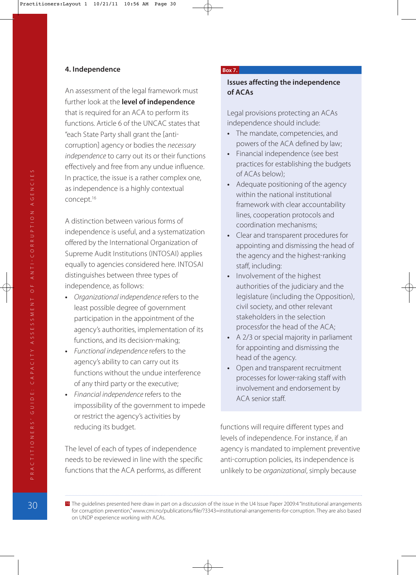#### **4. Independence**

An assessment of the legal framework must further look at the **level of independence** that is required for an ACA to perform its functions. Article 6 of the UNCAC states that "each State Party shall grant the [anticorruption] agency or bodies the necessary independence to carry out its or their functions effectively and free from any undue influence. In practice, the issue is a rather complex one, as independence is a highly contextual concept.16

A distinction between various forms of independence is useful, and a systematization offered by the International Organization of Supreme Audit Institutions (INTOSAI) applies equally to agencies considered here. INTOSAI distinguishes between three types of independence, as follows:

- **•** Organizational independence refers to the least possible degree of government participation in the appointment of the agency's authorities, implementation of its functions, and its decision-making;
- **•** Functional independence refers to the agency's ability to can carry out its functions without the undue interference of any third party or the executive;
- **•** Financial independence refers to the impossibility of the government to impede or restrict the agency's activities by reducing its budget.

The level of each of types of independence needs to be reviewed in line with the specific functions that the ACA performs, as different

#### **Box 7.**

#### **Issues affecting the independence of ACAs**

Legal provisions protecting an ACAs independence should include:

- **•** The mandate, competencies, and powers of the ACA defined by law;
- **Financial independence (see best** practices for establishing the budgets of ACAs below;
- **•** Adequate positioning of the agency within the national institutional framework with clear accountability lines, cooperation protocols and coordination mechanisms;
- **•** Clear and transparent procedures for appointing and dismissing the head of the agency and the highest-ranking staff, including:
- **•** Involvement of the highest authorities of the judiciary and the legislature (including the Opposition), civil society, and other relevant stakeholders in the selection processfor the head of the ACA;
- **•** A 2/3 or special majority in parliament for appointing and dismissing the head of the agency.
- **•** Open and transparent recruitment processes for lower-raking staff with involvement and endorsement by ACA senior staff.

functions will require different types and levels of independence. For instance, if an agency is mandated to implement preventive anti-corruption policies, its independence is unlikely to be organizational, simply because

<sup>16</sup> The guidelines presented here draw in part on a discussion of the issue in the U4 Issue Paper 2009:4 "Institutional arrangements for corruption prevention," www.cmi.no/publications/file/?3343=institutional-arrangements-for-corruption. They are also based on UNDP experience working with ACAs.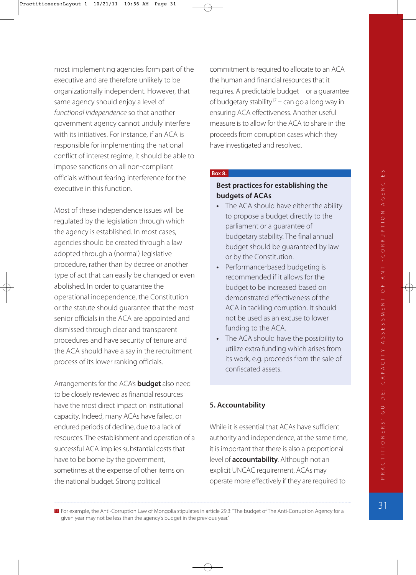most implementing agencies form part of the executive and are therefore unlikely to be organizationally independent. However, that same agency should enjoy a level of functional independence so that another government agency cannot unduly interfere with its initiatives. For instance, if an ACA is responsible for implementing the national conflict of interest regime, it should be able to impose sanctions on all non-compliant officials without fearing interference for the executive in this function.

Most of these independence issues will be regulated by the legislation through which the agency is established. In most cases, agencies should be created through a law adopted through a (normal) legislative procedure, rather than by decree or another type of act that can easily be changed or even abolished. In order to guarantee the operational independence, the Constitution or the statute should guarantee that the most senior officials in the ACA are appointed and dismissed through clear and transparent procedures and have security of tenure and the ACA should have a say in the recruitment process of its lower ranking officials.

Arrangements for the ACA's **budget** also need to be closely reviewed as financial resources have the most direct impact on institutional capacity. Indeed, many ACAs have failed, or endured periods of decline, due to a lack of resources. The establishment and operation of a successful ACA implies substantial costs that have to be borne by the government, sometimes at the expense of other items on the national budget. Strong political

commitment is required to allocate to an ACA the human and financial resources that it  $requires. A predictable budget – or a guarantee$ of budgetary stability<sup>17</sup> – can go a long way in ensuring ACA effectiveness. Another useful measure is to allow for the ACA to share in the proceeds from corruption cases which they have investigated and resolved.

#### **Box 8.**

#### **Best practices for establishing the budgets of ACAs**

- **•** The ACA should have either the ability to propose a budget directly to the parliament or a guarantee of budgetary stability. The final annual budget should be guaranteed by law or by the Constitution.
- Performance-based budgeting is recommended if it allows for the budget to be increased based on demonstrated effectiveness of the ACA in tackling corruption. It should not be used as an excuse to lower funding to the ACA.
- **•** The ACA should have the possibility to utilize extra funding which arises from its work, e.g. proceeds from the sale of confiscated assets.

#### **5. Accountability**

While it is essential that ACAs have sufficient authority and independence, at the same time, it is important that there is also a proportional level of **accountability**. Although not an explicit UNCAC requirement, ACAs may operate more effectively if they are required to

17 For example, the Anti-Corruption Law of Mongolia stipulates in article 29.3: "The budget of The Anti-Corruption Agency for a given year may not be less than the agency's budget in the previous year."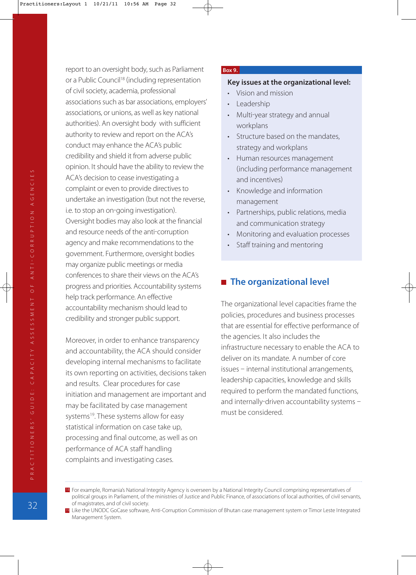PRACTITIONERS' GUIDE: CAPACITY ASSESSMENT OF ANTI-CORRUPTION AGENCIES 32P R AC T I T I O N E R S' G U I D E : C A PAC I T Y A S S E S S M E N T O F A N T I CO R R U P T I O N AG E N C I E S

report to an oversight body, such as Parliament or a Public Council<sup>18</sup> (including representation of civil society, academia, professional associations such as bar associations, employers' associations, or unions, as well as key national authorities). An oversight body with sufficient authority to review and report on the ACA's conduct may enhance the ACA's public credibility and shield it from adverse public opinion. It should have the ability to review the ACA's decision to cease investigating a complaint or even to provide directives to undertake an investigation (but not the reverse, i.e. to stop an on-going investigation). Oversight bodies may also look at the financial and resource needs of the anti-corruption agency and make recommendations to the government. Furthermore, oversight bodies may organize public meetings or media conferences to share their views on the ACA's progress and priorities. Accountability systems help track performance. An effective accountability mechanism should lead to credibility and stronger public support.

Moreover, in order to enhance transparency and accountability, the ACA should consider developing internal mechanisms to facilitate its own reporting on activities, decisions taken and results. Clear procedures for case initiation and management are important and may be facilitated by case management systems<sup>19</sup>. These systems allow for easy statistical information on case take up, processing and final outcome, as well as on performance of ACA staff handling complaints and investigating cases.

#### **Box 9.**

#### **Key issues at the organizational level:**

- Vision and mission
- **Leadership**
- Multi-year strategy and annual workplans
- Structure based on the mandates, strategy and workplans
- Human resources management including performance management and incentives
- Knowledge and information management
- Partnerships, public relations, media and communication strategy
- Monitoring and evaluation processes
- Staff training and mentoring

#### **The organizational level**

The organizational level capacities frame the policies, procedures and business processes that are essential for effective performance of the agencies. It also includes the infrastructure necessary to enable the ACA to deliver on its mandate. A number of core  $is  $-$  internal institutional arrangements,$ leadership capacities, knowledge and skills required to perform the mandated functions, and internally-driven accountability systems  $$ must be considered.

<sup>18</sup> For example, Romania's National Integrity Agency is overseen by a National Integrity Council comprising representatives of political groups in Parliament, of the ministries of Justice and Public Finance, of associations of local authorities, of civil servants, of magistrates, and of civil society.

<sup>19</sup> Like the UNODC GoCase software, Anti-Corruption Commission of Bhutan case management system or Timor Leste Integrated Management System.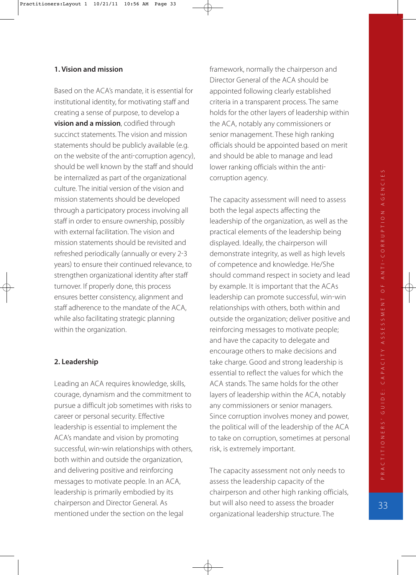#### **1. Vision and mission**

Based on the ACA's mandate, it is essential for institutional identity, for motivating staff and creating a sense of purpose, to develop a **vision and a mission**, codified through succinct statements. The vision and mission statements should be publicly available (e.g. on the website of the anti-corruption agency), should be well known by the staff and should be internalized as part of the organizational culture. The initial version of the vision and mission statements should be developed through a participatory process involving all staff in order to ensure ownership, possibly with external facilitation. The vision and mission statements should be revisited and refreshed periodically (annually or every 2-3 years) to ensure their continued relevance, to strengthen organizational identity after staff turnover. If properly done, this process ensures better consistency, alignment and staff adherence to the mandate of the ACA, while also facilitating strategic planning within the organization.

#### **2. Leadership**

Leading an ACA requires knowledge, skills, courage, dynamism and the commitment to pursue a difficult job sometimes with risks to career or personal security. Effective leadership is essential to implement the ACA's mandate and vision by promoting successful, win-win relationships with others, both within and outside the organization, and delivering positive and reinforcing messages to motivate people. In an ACA, leadership is primarily embodied by its chairperson and Director General. As mentioned under the section on the legal

framework, normally the chairperson and Director General of the ACA should be appointed following clearly established criteria in a transparent process. The same holds for the other layers of leadership within the ACA, notably any commissioners or senior management. These high ranking officials should be appointed based on merit and should be able to manage and lead lower ranking officials within the anti corruption agency.

The capacity assessment will need to assess both the legal aspects affecting the leadership of the organization, as well as the practical elements of the leadership being displayed. Ideally, the chairperson will demonstrate integrity, as well as high levels of competence and knowledge. He/She should command respect in society and lead by example. It is important that the ACAs leadership can promote successful, win-win relationships with others, both within and outside the organization; deliver positive and reinforcing messages to motivate people; and have the capacity to delegate and encourage others to make decisions and take charge. Good and strong leadership is essential to reflect the values for which the ACA stands. The same holds for the other layers of leadership within the ACA, notably any commissioners or senior managers. Since corruption involves money and power, the political will of the leadership of the ACA to take on corruption, sometimes at personal risk, is extremely important.

The capacity assessment not only needs to assess the leadership capacity of the chairperson and other high ranking officials, but will also need to assess the broader organizational leadership structure. The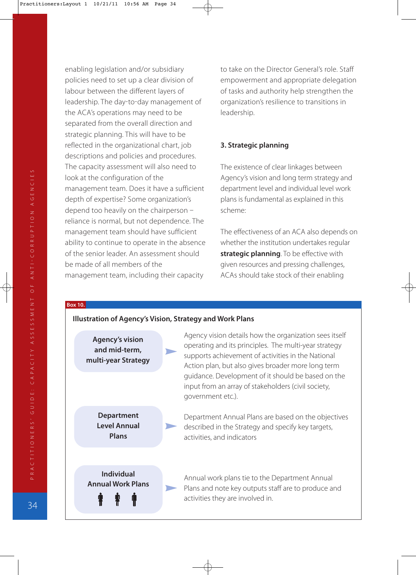enabling legislation and/or subsidiary policies need to set up a clear division of labour between the different layers of leadership. The day-to-day management of the ACA's operations may need to be separated from the overall direction and strategic planning. This will have to be reflected in the organizational chart, job descriptions and policies and procedures. The capacity assessment will also need to look at the configuration of the management team. Does it have a sufficient depth of expertise? Some organization's depend too heavily on the chairperson reliance is normal, but not dependence. The management team should have sufficient ability to continue to operate in the absence of the senior leader. An assessment should be made of all members of the management team, including their capacity

to take on the Director General's role. Staff empowerment and appropriate delegation of tasks and authority help strengthen the organization's resilience to transitions in leadership.

#### **3. Strategic planning**

The existence of clear linkages between Agency's vision and long term strategy and department level and individual level work plans is fundamental as explained in this scheme:

The effectiveness of an ACA also depends on whether the institution undertakes regular **strategic planning**. To be effective with given resources and pressing challenges, ACAs should take stock of their enabling

#### **Box 10.**

#### **Illustration of Agency's Vision, Strategy and Work Plans**

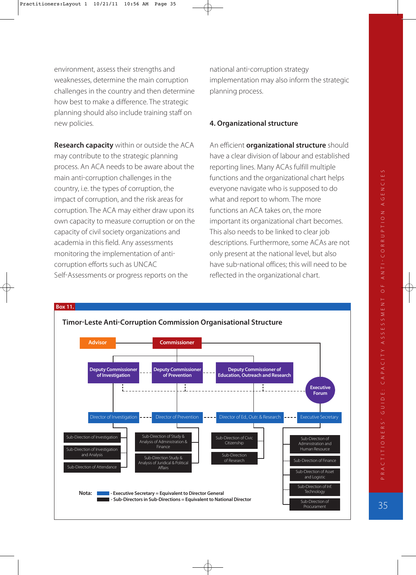environment, assess their strengths and weaknesses, determine the main corruption challenges in the country and then determine how best to make a difference. The strategic planning should also include training staff on new policies.

**Research capacity** within or outside the ACA may contribute to the strategic planning process. An ACA needs to be aware about the main anti-corruption challenges in the country, i.e. the types of corruption, the impact of corruption, and the risk areas for corruption. The ACA may either draw upon its own capacity to measure corruption or on the capacity of civil society organizations and academia in this field. Any assessments monitoring the implementation of anti corruption efforts such as UNCAC Self-Assessments or progress reports on the

national anti-corruption strategy implementation may also inform the strategic planning process.

#### **4. Organizational structure**

An efficient **organizational structure** should have a clear division of labour and established reporting lines. Many ACAs fulfill multiple functions and the organizational chart helps everyone navigate who is supposed to do what and report to whom. The more functions an ACA takes on, the more important its organizational chart becomes. This also needs to be linked to clear job descriptions. Furthermore, some ACAs are not only present at the national level, but also have sub-national offices; this will need to be reflected in the organizational chart.

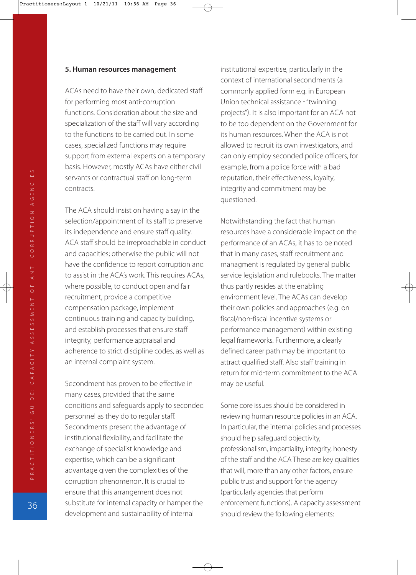#### **5. Human resources management**

ACAs need to have their own, dedicated staff for performing most anti-corruption functions. Consideration about the size and specialization of the staff will vary according to the functions to be carried out. In some cases, specialized functions may require support from external experts on a temporary basis. However, mostly ACAs have either civil servants or contractual staff on long-term contracts.

The ACA should insist on having a say in the selection/appointment of its staff to preserve its independence and ensure staff quality. ACA staff should be irreproachable in conduct and capacities; otherwise the public will not have the confidence to report corruption and to assist in the ACA's work. This requires ACAs, where possible, to conduct open and fair recruitment, provide a competitive compensation package, implement continuous training and capacity building, and establish processes that ensure staff integrity, performance appraisal and adherence to strict discipline codes, as well as an internal complaint system.

Secondment has proven to be effective in many cases, provided that the same conditions and safeguards apply to seconded personnel as they do to regular staff. Secondments present the advantage of institutional flexibility, and facilitate the exchange of specialist knowledge and expertise, which can be a significant advantage given the complexities of the corruption phenomenon. It is crucial to ensure that this arrangement does not substitute for internal capacity or hamper the development and sustainability of internal

institutional expertise, particularly in the context of international secondments (a commonly applied form e.g. in European Union technical assistance "twinning projects"). It is also important for an ACA not to be too dependent on the Government for its human resources. When the ACA is not allowed to recruit its own investigators, and can only employ seconded police officers, for example, from a police force with a bad reputation, their effectiveness, loyalty, integrity and commitment may be questioned.

Notwithstanding the fact that human resources have a considerable impact on the performance of an ACAs, it has to be noted that in many cases, staff recruitment and managment is regulated by general public service legislation and rulebooks. The matter thus partly resides at the enabling environment level. The ACAs can develop their own policies and approaches (e.g. on fiscal/non-fiscal incentive systems or performance management) within existing legal frameworks. Furthermore, a clearly defined career path may be important to attract qualified staff. Also staff training in return for mid-term commitment to the ACA may be useful.

Some core issues should be considered in reviewing human resource policies in an ACA. In particular, the internal policies and processes should help safeguard objectivity, professionalism, impartiality, integrity, honesty of the staff and the ACA These are key qualities that will, more than any other factors, ensure public trust and support for the agency particularly agencies that perform enforcement functions). A capacity assessment should review the following elements: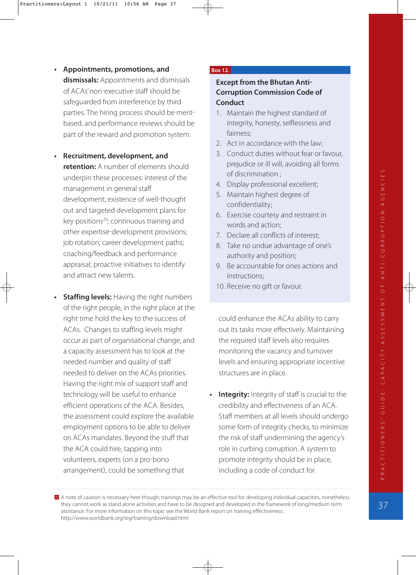- **Appointments, promotions, and dismissals:** Appointments and dismissals of ACAs' non-executive staff should be safeguarded from interference by third parties. The hiring process should be merit based, and performance reviews should be part of the reward and promotion system.
- **Recruitment, development, and retention:** A number of elements should underpin these processes: interest of the management in general staff development; existence of well-thought out and targeted development plans for key positions $20$ ; continuous training and other expertise-development provisions; job rotation; career development paths; coaching/feedback and performance appraisal; proactive initiatives to identify and attract new talents.
- **Staffing levels:** Having the right numbers of the right people, in the right place at the right time hold the key to the success of ACAs. Changes to staffing levels might occur as part of organisational change, and a capacity assessment has to look at the needed number and quality of staff needed to deliver on the ACAs priorities. Having the right mix of support staff and technology will be useful to enhance efficient operations of the ACA. Besides, the assessment could explore the available employment options to be able to deliver on ACAs mandates. Beyond the stuff that the ACA could hire, tapping into volunteers, experts (on a pro-bono arrangement), could be something that

#### **Box 12.**

### **Except from the Bhutan Anti Corruption Commission Code of Conduct**

- 1. Maintain the highest standard of integrity, honesty, selflessness and fairness;
- 2. Act in accordance with the law;
- 3. Conduct duties without fear or favour, prejudice or ill will, avoiding all forms of discrimination ;
- 4. Display professional excellent;
- 5. Maintain highest degree of confidentiality;
- 6. Exercise courtesy and restraint in words and action;
- 7. Declare all conflicts of interest;
- 8. Take no undue advantage of one's authority and position;
- 9. Be accountable for ones actions and instructions;
- 10. Receive no gift or favour.

could enhance the ACAs ability to carry out its tasks more effectively. Maintaining the required staff levels also requires monitoring the vacancy and turnover levels and ensuring appropriate incentive structures are in place.

**Integrity:** Integrity of staff is crucial to the credibility and effectiveness of an ACA. Staff members at all levels should undergo some form of integrity checks, to minimize the risk of staff undermining the agency's role in curbing corruption. A system to promote integrity should be in place, including a code of conduct for

20 A note of caution is necessary here though; trainings may be an effective tool for developing individual capacities, nonetheless they cannot work as stand alone activities and have to be designed and developed in the framework of long/medium term assistance. For more information on this topic see the World Bank report on training effectiveness: http://www.worldbank.org/ieg/training/download.html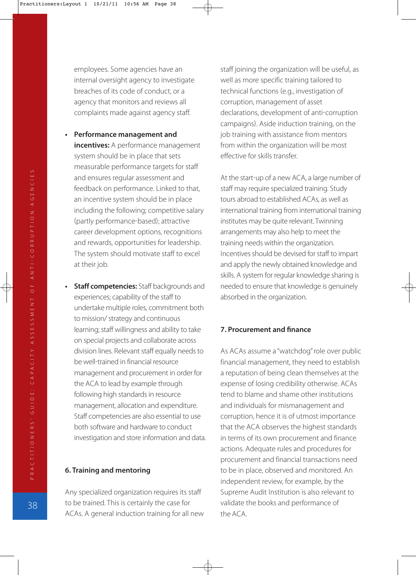employees. Some agencies have an internal oversight agency to investigate breaches of its code of conduct, or a agency that monitors and reviews all complaints made against agency staff.

- **Performance management and incentives:** A performance management system should be in place that sets measurable performance targets for staff and ensures regular assessment and feedback on performance. Linked to that, an incentive system should be in place including the following; competitive salary (partly performance-based); attractive career development options, recognitions and rewards, opportunities for leadership. The system should motivate staff to excel at their job.
- **Staff competencies:** Staff backgrounds and experiences; capability of the staff to undertake multiple roles, commitment both to mission/ strategy and continuous learning; staff willingness and ability to take on special projects and collaborate across division lines. Relevant staff equally needs to be well-trained in financial resource management and procurement in order for the ACA to lead by example through following high standards in resource management, allocation and expenditure. Staff competencies are also essential to use both software and hardware to conduct investigation and store information and data.

#### **6. Training and mentoring**

Any specialized organization requires its staff to be trained. This is certainly the case for ACAs. A general induction training for all new staff joining the organization will be useful, as well as more specific training tailored to technical functions (e.g., investigation of corruption, management of asset declarations, development of anti-corruption campaigns). Aside induction training, on the job training with assistance from mentors from within the organization will be most effective for skills transfer.

At the start-up of a new ACA, a large number of staff may require specialized training. Study tours abroad to established ACAs, as well as international training from international training institutes may be quite relevant. Twinning arrangements may also help to meet the training needs within the organization. Incentives should be devised for staff to impart and apply the newly obtained knowledge and skills. A system for regular knowledge sharing is needed to ensure that knowledge is genuinely absorbed in the organization.

#### **7. Procurement and finance**

As ACAs assume a "watchdog" role over public financial management, they need to establish a reputation of being clean themselves at the expense of losing credibility otherwise. ACAs tend to blame and shame other institutions and individuals for mismanagement and corruption, hence it is of utmost importance that the ACA observes the highest standards in terms of its own procurement and finance actions. Adequate rules and procedures for procurement and financial transactions need to be in place, observed and monitored. An independent review, for example, by the Supreme Audit Institution is also relevant to validate the books and performance of the ACA.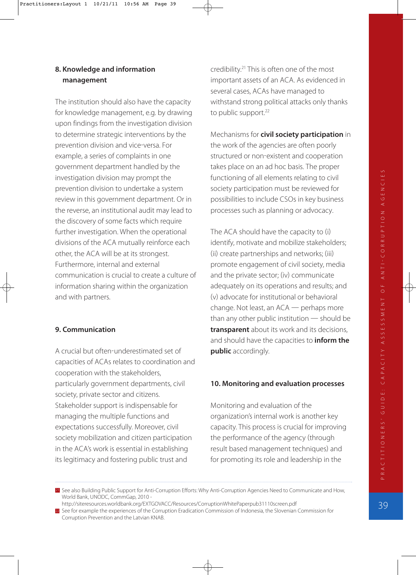### **8. Knowledge and information management**

The institution should also have the capacity for knowledge management, e.g. by drawing upon findings from the investigation division to determine strategic interventions by the prevention division and vice-versa. For example, a series of complaints in one government department handled by the investigation division may prompt the prevention division to undertake a system review in this government department. Or in the reverse, an institutional audit may lead to the discovery of some facts which require further investigation. When the operational divisions of the ACA mutually reinforce each other, the ACA will be at its strongest. Furthermore, internal and external communication is crucial to create a culture of information sharing within the organization and with partners.

### **9. Communication**

A crucial but often-underestimated set of capacities of ACAs relates to coordination and cooperation with the stakeholders, particularly government departments, civil society, private sector and citizens. Stakeholder support is indispensable for managing the multiple functions and expectations successfully. Moreover, civil society mobilization and citizen participation in the ACA's work is essential in establishing its legitimacy and fostering public trust and

credibility.21 This is often one of the most important assets of an ACA. As evidenced in several cases, ACAs have managed to withstand strong political attacks only thanks to public support.<sup>22</sup>

Mechanisms for **civil society participation** in the work of the agencies are often poorly structured or non-existent and cooperation takes place on an ad hoc basis. The proper functioning of all elements relating to civil society participation must be reviewed for possibilities to include CSOs in key business processes such as planning or advocacy.

The ACA should have the capacity to (i) identify, motivate and mobilize stakeholders; (ii) create partnerships and networks; (iii) promote engagement of civil society, media and the private sector; (iv) communicate adequately on its operations and results; and (v) advocate for institutional or behavioral change. Not least, an  $ACA$   $-$  perhaps more than any other public institution  $-$  should be **transparent** about its work and its decisions, and should have the capacities to **inform the public** accordingly.

#### **10. Monitoring and evaluation processes**

Monitoring and evaluation of the organization's internal work is another key capacity. This process is crucial for improving the performance of the agency (through result based management techniques) and for promoting its role and leadership in the

21 See also Building Public Support for Anti-Corruption Efforts: Why Anti-Corruption Agencies Need to Communicate and How, World Bank, UNODC, CommGap, 2010 -

http://siteresources.worldbank.org/EXTGOVACC/Resources/CorruptionWhitePaperpub31110screen.pdf

<sup>22</sup> See for example the experiences of the Corruption Eradication Commission of Indonesia, the Slovenian Commission for Corruption Prevention and the Latvian KNAB.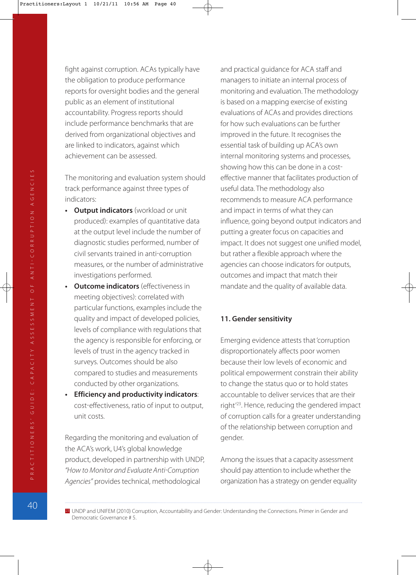fight against corruption. ACAs typically have the obligation to produce performance reports for oversight bodies and the general public as an element of institutional accountability. Progress reports should include performance benchmarks that are derived from organizational objectives and are linked to indicators, against which achievement can be assessed.

The monitoring and evaluation system should track performance against three types of indicators:

- **Output indicators** (workload or unit produced): examples of quantitative data at the output level include the number of diagnostic studies performed, number of civil servants trained in anti-corruption measures, or the number of administrative investigations performed.
- **Outcome indicators** (effectiveness in meeting objectives): correlated with particular functions, examples include the quality and impact of developed policies, levels of compliance with regulations that the agency is responsible for enforcing, or levels of trust in the agency tracked in surveys. Outcomes should be also compared to studies and measurements conducted by other organizations.
- **Efficiency and productivity indicators**: cost-effectiveness, ratio of input to output, unit costs.

Regarding the monitoring and evaluation of the ACA's work, U4's global knowledge product, developed in partnership with UNDP, "How to Monitor and Evaluate Anti-Corruption Agencies" provides technical, methodological

and practical guidance for ACA staff and managers to initiate an internal process of monitoring and evaluation. The methodology is based on a mapping exercise of existing evaluations of ACAs and provides directions for how such evaluations can be further improved in the future. It recognises the essential task of building up ACA's own internal monitoring systems and processes, showing how this can be done in a cost effective manner that facilitates production of useful data. The methodology also recommends to measure ACA performance and impact in terms of what they can influence, going beyond output indicators and putting a greater focus on capacities and impact. It does not suggest one unified model, but rather a flexible approach where the agencies can choose indicators for outputs, outcomes and impact that match their mandate and the quality of available data.

#### **11. Gender sensitivity**

Emerging evidence attests that 'corruption disproportionately affects poor women because their low levels of economic and political empowerment constrain their ability to change the status quo or to hold states accountable to deliver services that are their right'23. Hence, reducing the gendered impact of corruption calls for a greater understanding of the relationship between corruption and gender.

Among the issues that a capacity assessment should pay attention to include whether the organization has a strategy on gender equality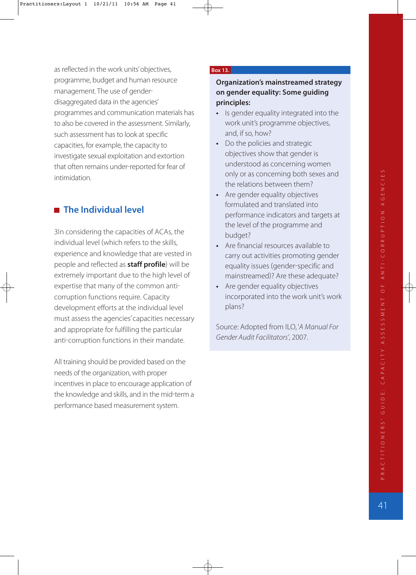as reflected in the work units' objectives, programme, budget and human resource management. The use of gender disaggregated data in the agencies' programmes and communication materials has to also be covered in the assessment. Similarly, such assessment has to look at specific capacities, for example, the capacity to investigate sexual exploitation and extortion that often remains under-reported for fear of intimidation.

# **The Individual level**

3In considering the capacities of ACAs, the individual level (which refers to the skills, experience and knowledge that are vested in people and reflected as **staff profile**) will be extremely important due to the high level of expertise that many of the common anti corruption functions require. Capacity development efforts at the individual level must assess the agencies' capacities necessary and appropriate for fulfilling the particular anti-corruption functions in their mandate.

All training should be provided based on the needs of the organization, with proper incentives in place to encourage application of the knowledge and skills, and in the mid-term a performance based measurement system.

#### **Box 13.**

### **Organization's mainstreamed strategy on gender equality: Some guiding principles:**

- **•** Is gender equality integrated into the work unit's programme objectives, and, if so, how?
- **•** Do the policies and strategic objectives show that gender is understood as concerning women only or as concerning both sexes and the relations between them?
- **•** Are gender equality objectives formulated and translated into performance indicators and targets at the level of the programme and budget?
- **•** Are financial resources available to carry out activities promoting gender equality issues (gender-specific and mainstreamed? Are these adequate?
- **•** Are gender equality objectives incorporated into the work unit's work plans?

Source: Adopted from ILO, 'A Manual For Gender Audit Facilitators', 2007.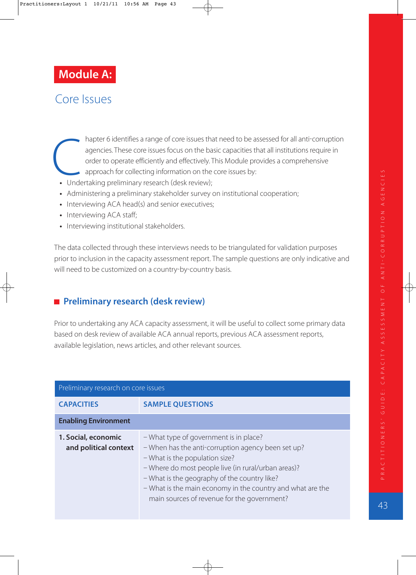# **Module A:**

# Core Issues

- hapter 6 identifies a range of core issues that need to be assessed for all anti-corruption agencies. These core issues focus on the basic capacities that all institutions require in order to operate efficiently and effectively. This Module provides a comprehensive approach for collecting information on the core issues by: • hapter 6 identifies a range of core issues th<br>agencies. These core issues focus on the ba<br>order to operate efficiently and effectively.<br>approach for collecting information on the<br>• Undertaking preliminary research (desk
	-
	- **•** Administering a preliminary stakeholder survey on institutional cooperation;
	- Interviewing ACA head(s) and senior executives;
	- **•** Interviewing ACA staff;
	- **•** Interviewing institutional stakeholders.

The data collected through these interviews needs to be triangulated for validation purposes prior to inclusion in the capacity assessment report. The sample questions are only indicative and will need to be customized on a country-by-country basis.

## **Preliminary research (desk review)**

Prior to undertaking any ACA capacity assessment, it will be useful to collect some primary data based on desk review of available ACA annual reports, previous ACA assessment reports, available legislation, news articles, and other relevant sources.

| Preliminary research on core issues          |                                                                                                                                                                                                                                                                                                                                                    |
|----------------------------------------------|----------------------------------------------------------------------------------------------------------------------------------------------------------------------------------------------------------------------------------------------------------------------------------------------------------------------------------------------------|
| <b>CAPACITIES</b>                            | <b>SAMPLE QUESTIONS</b>                                                                                                                                                                                                                                                                                                                            |
| <b>Enabling Environment</b>                  |                                                                                                                                                                                                                                                                                                                                                    |
| 1. Social, economic<br>and political context | - What type of government is in place?<br>- When has the anti-corruption agency been set up?<br>- What is the population size?<br>- Where do most people live (in rural/urban areas)?<br>- What is the geography of the country like?<br>- What is the main economy in the country and what are the<br>main sources of revenue for the government? |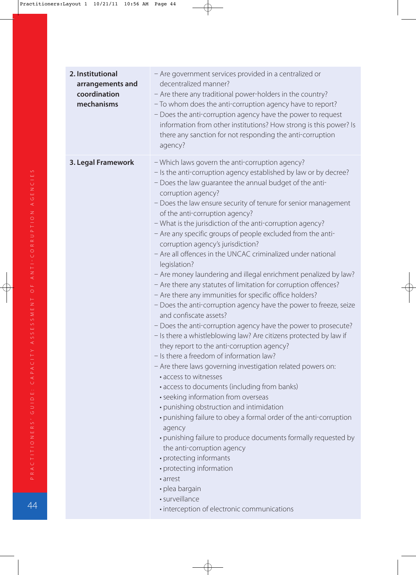| 2. Institutional<br>arrangements and<br>coordination<br>mechanisms | - Are government services provided in a centralized or<br>decentralized manner?<br>- Are there any traditional power-holders in the country?<br>- To whom does the anti-corruption agency have to report?<br>- Does the anti-corruption agency have the power to request<br>information from other institutions? How strong is this power? Is<br>there any sanction for not responding the anti-corruption<br>agency?                                                                                                                                                                                                                                                                                                                                                                                                                                                                                                                                                                                                                                                                                                                                                                                                                                                                                                                                                                                                                                                                                                                                                                                                                                     |
|--------------------------------------------------------------------|-----------------------------------------------------------------------------------------------------------------------------------------------------------------------------------------------------------------------------------------------------------------------------------------------------------------------------------------------------------------------------------------------------------------------------------------------------------------------------------------------------------------------------------------------------------------------------------------------------------------------------------------------------------------------------------------------------------------------------------------------------------------------------------------------------------------------------------------------------------------------------------------------------------------------------------------------------------------------------------------------------------------------------------------------------------------------------------------------------------------------------------------------------------------------------------------------------------------------------------------------------------------------------------------------------------------------------------------------------------------------------------------------------------------------------------------------------------------------------------------------------------------------------------------------------------------------------------------------------------------------------------------------------------|
| 3. Legal Framework                                                 | - Which laws govern the anti-corruption agency?<br>- Is the anti-corruption agency established by law or by decree?<br>- Does the law guarantee the annual budget of the anti-<br>corruption agency?<br>- Does the law ensure security of tenure for senior management<br>of the anti-corruption agency?<br>- What is the jurisdiction of the anti-corruption agency?<br>- Are any specific groups of people excluded from the anti-<br>corruption agency's jurisdiction?<br>- Are all offences in the UNCAC criminalized under national<br>legislation?<br>- Are money laundering and illegal enrichment penalized by law?<br>- Are there any statutes of limitation for corruption offences?<br>- Are there any immunities for specific office holders?<br>- Does the anti-corruption agency have the power to freeze, seize<br>and confiscate assets?<br>- Does the anti-corruption agency have the power to prosecute?<br>- Is there a whistleblowing law? Are citizens protected by law if<br>they report to the anti-corruption agency?<br>- Is there a freedom of information law?<br>- Are there laws governing investigation related powers on:<br>• access to witnesses<br>• access to documents (including from banks)<br>• seeking information from overseas<br>• punishing obstruction and intimidation<br>• punishing failure to obey a formal order of the anti-corruption<br>agency<br>· punishing failure to produce documents formally requested by<br>the anti-corruption agency<br>• protecting informants<br>• protecting information<br>• arrest<br>· plea bargain<br>· surveillance<br>· interception of electronic communications |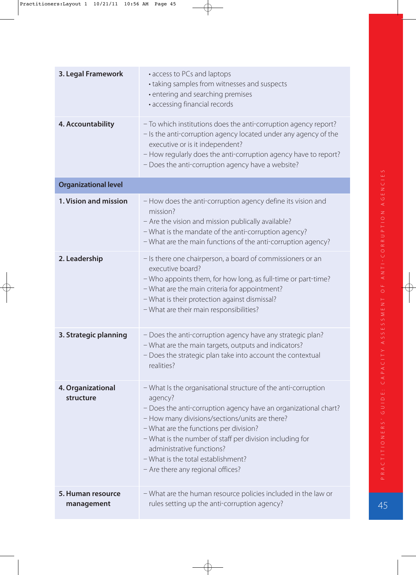| 3. Legal Framework              | • access to PCs and laptops<br>• taking samples from witnesses and suspects<br>• entering and searching premises<br>· accessing financial records                                                                                                                                                                                                                                                           |
|---------------------------------|-------------------------------------------------------------------------------------------------------------------------------------------------------------------------------------------------------------------------------------------------------------------------------------------------------------------------------------------------------------------------------------------------------------|
| 4. Accountability               | - To which institutions does the anti-corruption agency report?<br>- Is the anti-corruption agency located under any agency of the<br>executive or is it independent?<br>- How regularly does the anti-corruption agency have to report?<br>- Does the anti-corruption agency have a website?                                                                                                               |
| <b>Organizational level</b>     |                                                                                                                                                                                                                                                                                                                                                                                                             |
| 1. Vision and mission           | - How does the anti-corruption agency define its vision and<br>mission?<br>- Are the vision and mission publically available?<br>- What is the mandate of the anti-corruption agency?<br>- What are the main functions of the anti-corruption agency?                                                                                                                                                       |
| 2. Leadership                   | - Is there one chairperson, a board of commissioners or an<br>executive board?<br>- Who appoints them, for how long, as full-time or part-time?<br>- What are the main criteria for appointment?<br>- What is their protection against dismissal?<br>- What are their main responsibilities?                                                                                                                |
| 3. Strategic planning           | - Does the anti-corruption agency have any strategic plan?<br>- What are the main targets, outputs and indicators?<br>- Does the strategic plan take into account the contextual<br>realities?                                                                                                                                                                                                              |
| 4. Organizational<br>structure  | - What Is the organisational structure of the anti-corruption<br>agency?<br>- Does the anti-corruption agency have an organizational chart?<br>- How many divisions/sections/units are there?<br>- What are the functions per division?<br>- What is the number of staff per division including for<br>administrative functions?<br>- What is the total establishment?<br>- Are there any regional offices? |
| 5. Human resource<br>management | - What are the human resource policies included in the law or<br>rules setting up the anti-corruption agency?                                                                                                                                                                                                                                                                                               |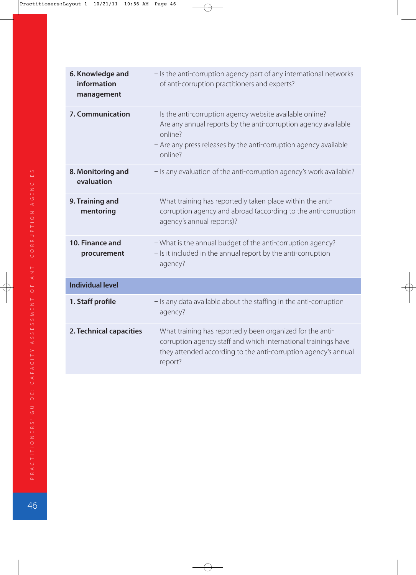| 6. Knowledge and<br>information<br>management | - Is the anti-corruption agency part of any international networks<br>of anti-corruption practitioners and experts?                                                                                                     |
|-----------------------------------------------|-------------------------------------------------------------------------------------------------------------------------------------------------------------------------------------------------------------------------|
| 7. Communication                              | - Is the anti-corruption agency website available online?<br>- Are any annual reports by the anti-corruption agency available<br>online?<br>- Are any press releases by the anti-corruption agency available<br>online? |
| 8. Monitoring and<br>evaluation               | - Is any evaluation of the anti-corruption agency's work available?                                                                                                                                                     |
| 9. Training and<br>mentoring                  | - What training has reportedly taken place within the anti-<br>corruption agency and abroad (according to the anti-corruption<br>agency's annual reports)?                                                              |
| 10. Finance and<br>procurement                | - What is the annual budget of the anti-corruption agency?<br>- Is it included in the annual report by the anti-corruption<br>agency?                                                                                   |
| <b>Individual level</b>                       |                                                                                                                                                                                                                         |
| 1. Staff profile                              | - Is any data available about the staffing in the anti-corruption<br>agency?                                                                                                                                            |
| 2. Technical capacities                       | - What training has reportedly been organized for the anti-<br>corruption agency staff and which international trainings have<br>they attended according to the anti-corruption agency's annual<br>report?              |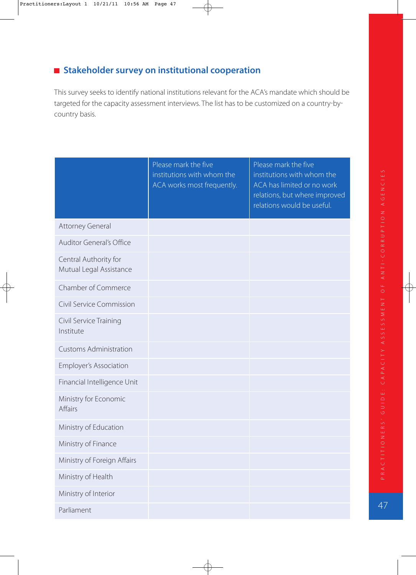# **E** Stakeholder survey on institutional cooperation

This survey seeks to identify national institutions relevant for the ACA's mandate which should be targeted for the capacity assessment interviews. The list has to be customized on a country-bycountry basis.

|                                                  | Please mark the five<br>institutions with whom the<br>ACA works most frequently. | Please mark the five<br>institutions with whom the<br>ACA has limited or no work<br>relations, but where improved<br>relations would be useful. |
|--------------------------------------------------|----------------------------------------------------------------------------------|-------------------------------------------------------------------------------------------------------------------------------------------------|
| <b>Attorney General</b>                          |                                                                                  |                                                                                                                                                 |
| <b>Auditor General's Office</b>                  |                                                                                  |                                                                                                                                                 |
| Central Authority for<br>Mutual Legal Assistance |                                                                                  |                                                                                                                                                 |
| Chamber of Commerce                              |                                                                                  |                                                                                                                                                 |
| Civil Service Commission                         |                                                                                  |                                                                                                                                                 |
| Civil Service Training<br>Institute              |                                                                                  |                                                                                                                                                 |
| <b>Customs Administration</b>                    |                                                                                  |                                                                                                                                                 |
| <b>Employer's Association</b>                    |                                                                                  |                                                                                                                                                 |
| Financial Intelligence Unit                      |                                                                                  |                                                                                                                                                 |
| Ministry for Economic<br><b>Affairs</b>          |                                                                                  |                                                                                                                                                 |
| Ministry of Education                            |                                                                                  |                                                                                                                                                 |
| Ministry of Finance                              |                                                                                  |                                                                                                                                                 |
| Ministry of Foreign Affairs                      |                                                                                  |                                                                                                                                                 |
| Ministry of Health                               |                                                                                  |                                                                                                                                                 |
| Ministry of Interior                             |                                                                                  |                                                                                                                                                 |
| Parliament                                       |                                                                                  |                                                                                                                                                 |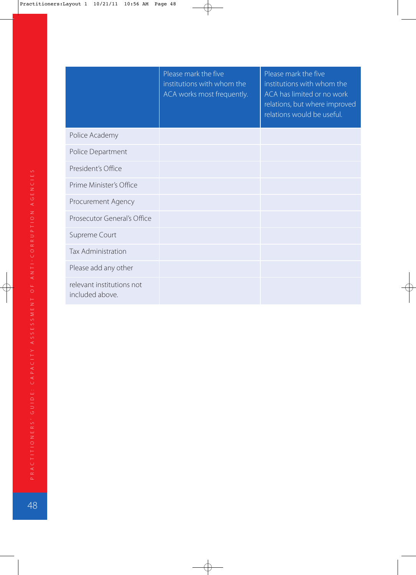|                                              | Please mark the five<br>institutions with whom the<br>ACA works most frequently. | Please mark the five<br>institutions with whom the<br>ACA has limited or no work<br>relations, but where improved<br>relations would be useful. |
|----------------------------------------------|----------------------------------------------------------------------------------|-------------------------------------------------------------------------------------------------------------------------------------------------|
| Police Academy                               |                                                                                  |                                                                                                                                                 |
| Police Department                            |                                                                                  |                                                                                                                                                 |
| President's Office                           |                                                                                  |                                                                                                                                                 |
| Prime Minister's Office                      |                                                                                  |                                                                                                                                                 |
| Procurement Agency                           |                                                                                  |                                                                                                                                                 |
| Prosecutor General's Office                  |                                                                                  |                                                                                                                                                 |
| Supreme Court                                |                                                                                  |                                                                                                                                                 |
| <b>Tax Administration</b>                    |                                                                                  |                                                                                                                                                 |
| Please add any other                         |                                                                                  |                                                                                                                                                 |
| relevant institutions not<br>included above. |                                                                                  |                                                                                                                                                 |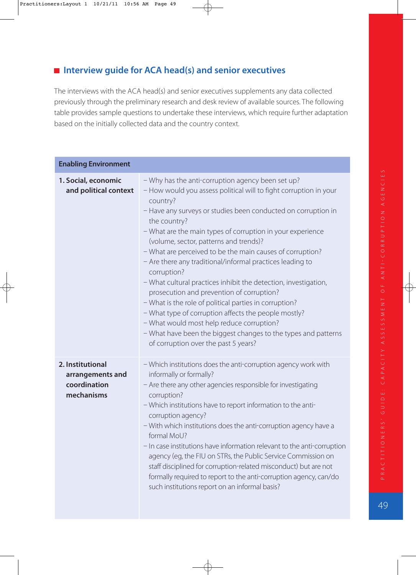# **Interview guide for ACA head(s) and senior executives**

The interviews with the ACA head(s) and senior executives supplements any data collected previously through the preliminary research and desk review of available sources. The following table provides sample questions to undertake these interviews, which require further adaptation based on the initially collected data and the country context.

| <b>Enabling Environment</b>                                        |                                                                                                                                                                                                                                                                                                                                                                                                                                                                                                                                                                                                                                                                                                                                                                                                                                                               |
|--------------------------------------------------------------------|---------------------------------------------------------------------------------------------------------------------------------------------------------------------------------------------------------------------------------------------------------------------------------------------------------------------------------------------------------------------------------------------------------------------------------------------------------------------------------------------------------------------------------------------------------------------------------------------------------------------------------------------------------------------------------------------------------------------------------------------------------------------------------------------------------------------------------------------------------------|
| 1. Social, economic<br>and political context                       | - Why has the anti-corruption agency been set up?<br>- How would you assess political will to fight corruption in your<br>country?<br>- Have any surveys or studies been conducted on corruption in<br>the country?<br>- What are the main types of corruption in your experience<br>(volume, sector, patterns and trends)?<br>- What are perceived to be the main causes of corruption?<br>- Are there any traditional/informal practices leading to<br>corruption?<br>- What cultural practices inhibit the detection, investigation,<br>prosecution and prevention of corruption?<br>- What is the role of political parties in corruption?<br>- What type of corruption affects the people mostly?<br>- What would most help reduce corruption?<br>- What have been the biggest changes to the types and patterns<br>of corruption over the past 5 years? |
| 2. Institutional<br>arrangements and<br>coordination<br>mechanisms | - Which institutions does the anti-corruption agency work with<br>informally or formally?<br>- Are there any other agencies responsible for investigating<br>corruption?<br>- Which institutions have to report information to the anti-<br>corruption agency?<br>- With which institutions does the anti-corruption agency have a<br>formal MoU?<br>- In case institutions have information relevant to the anti-corruption<br>agency (eg, the FIU on STRs, the Public Service Commission on<br>staff disciplined for corruption-related misconduct) but are not<br>formally required to report to the anti-corruption agency, can/do<br>such institutions report on an informal basis?                                                                                                                                                                      |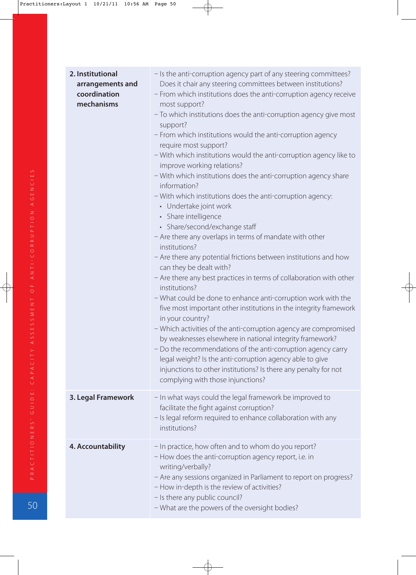| 2. Institutional<br>arrangements and<br>coordination<br>mechanisms | - Is the anti-corruption agency part of any steering committees?<br>Does it chair any steering committees between institutions?<br>- From which institutions does the anti-corruption agency receive<br>most support?<br>- To which institutions does the anti-corruption agency give most<br>support?<br>- From which institutions would the anti-corruption agency<br>require most support?<br>- With which institutions would the anti-corruption agency like to<br>improve working relations?<br>- With which institutions does the anti-corruption agency share<br>information?<br>- With which institutions does the anti-corruption agency:<br>• Undertake joint work<br>• Share intelligence<br>• Share/second/exchange staff<br>- Are there any overlaps in terms of mandate with other<br>institutions?<br>- Are there any potential frictions between institutions and how<br>can they be dealt with?<br>- Are there any best practices in terms of collaboration with other<br>institutions?<br>- What could be done to enhance anti-corruption work with the<br>five most important other institutions in the integrity framework<br>in your country?<br>- Which activities of the anti-corruption agency are compromised<br>by weaknesses elsewhere in national integrity framework?<br>- Do the recommendations of the anti-corruption agency carry<br>legal weight? Is the anti-corruption agency able to give<br>injunctions to other institutions? Is there any penalty for not<br>complying with those injunctions? |
|--------------------------------------------------------------------|----------------------------------------------------------------------------------------------------------------------------------------------------------------------------------------------------------------------------------------------------------------------------------------------------------------------------------------------------------------------------------------------------------------------------------------------------------------------------------------------------------------------------------------------------------------------------------------------------------------------------------------------------------------------------------------------------------------------------------------------------------------------------------------------------------------------------------------------------------------------------------------------------------------------------------------------------------------------------------------------------------------------------------------------------------------------------------------------------------------------------------------------------------------------------------------------------------------------------------------------------------------------------------------------------------------------------------------------------------------------------------------------------------------------------------------------------------------------------------------------------------------------------------------|
| 3. Legal Framework                                                 | - In what ways could the legal framework be improved to<br>facilitate the fight against corruption?<br>- Is legal reform required to enhance collaboration with any<br>institutions?                                                                                                                                                                                                                                                                                                                                                                                                                                                                                                                                                                                                                                                                                                                                                                                                                                                                                                                                                                                                                                                                                                                                                                                                                                                                                                                                                   |
| 4. Accountability                                                  | - In practice, how often and to whom do you report?<br>- How does the anti-corruption agency report, i.e. in<br>writing/verbally?<br>- Are any sessions organized in Parliament to report on progress?<br>- How in-depth is the review of activities?<br>- Is there any public council?<br>- What are the powers of the oversight bodies?                                                                                                                                                                                                                                                                                                                                                                                                                                                                                                                                                                                                                                                                                                                                                                                                                                                                                                                                                                                                                                                                                                                                                                                              |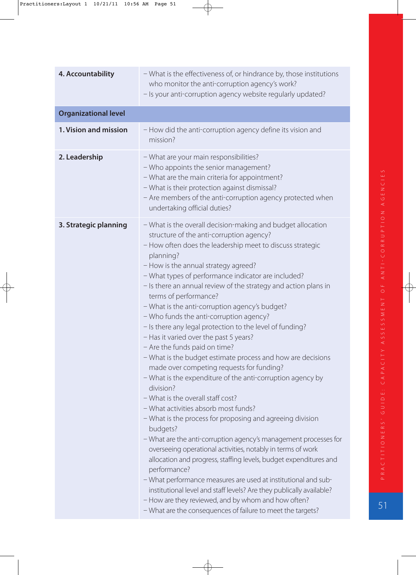| 4. Accountability           | - What is the effectiveness of, or hindrance by, those institutions<br>who monitor the anti-corruption agency's work?<br>- Is your anti-corruption agency website regularly updated?                                                                                                                                                                                                                                                                                                                                                                                                                                                                                                                                                                                                                                                                                                                                                                                                                                                                                                                                                                                                                                                                                                                                                                                                                                                                  |
|-----------------------------|-------------------------------------------------------------------------------------------------------------------------------------------------------------------------------------------------------------------------------------------------------------------------------------------------------------------------------------------------------------------------------------------------------------------------------------------------------------------------------------------------------------------------------------------------------------------------------------------------------------------------------------------------------------------------------------------------------------------------------------------------------------------------------------------------------------------------------------------------------------------------------------------------------------------------------------------------------------------------------------------------------------------------------------------------------------------------------------------------------------------------------------------------------------------------------------------------------------------------------------------------------------------------------------------------------------------------------------------------------------------------------------------------------------------------------------------------------|
| <b>Organizational level</b> |                                                                                                                                                                                                                                                                                                                                                                                                                                                                                                                                                                                                                                                                                                                                                                                                                                                                                                                                                                                                                                                                                                                                                                                                                                                                                                                                                                                                                                                       |
| 1. Vision and mission       | - How did the anti-corruption agency define its vision and<br>mission?                                                                                                                                                                                                                                                                                                                                                                                                                                                                                                                                                                                                                                                                                                                                                                                                                                                                                                                                                                                                                                                                                                                                                                                                                                                                                                                                                                                |
| 2. Leadership               | - What are your main responsibilities?<br>- Who appoints the senior management?<br>- What are the main criteria for appointment?<br>- What is their protection against dismissal?<br>- Are members of the anti-corruption agency protected when<br>undertaking official duties?                                                                                                                                                                                                                                                                                                                                                                                                                                                                                                                                                                                                                                                                                                                                                                                                                                                                                                                                                                                                                                                                                                                                                                       |
| 3. Strategic planning       | - What is the overall decision-making and budget allocation<br>structure of the anti-corruption agency?<br>- How often does the leadership meet to discuss strategic<br>planning?<br>- How is the annual strategy agreed?<br>- What types of performance indicator are included?<br>- Is there an annual review of the strategy and action plans in<br>terms of performance?<br>- What is the anti-corruption agency's budget?<br>- Who funds the anti-corruption agency?<br>- Is there any legal protection to the level of funding?<br>- Has it varied over the past 5 years?<br>- Are the funds paid on time?<br>- What is the budget estimate process and how are decisions<br>made over competing requests for funding?<br>- What is the expenditure of the anti-corruption agency by<br>division?<br>- What is the overall staff cost?<br>- What activities absorb most funds?<br>- What is the process for proposing and agreeing division<br>budgets?<br>- What are the anti-corruption agency's management processes for<br>overseeing operational activities, notably in terms of work<br>allocation and progress, staffing levels, budget expenditures and<br>performance?<br>- What performance measures are used at institutional and sub-<br>institutional level and staff levels? Are they publically available?<br>- How are they reviewed, and by whom and how often?<br>- What are the consequences of failure to meet the targets? |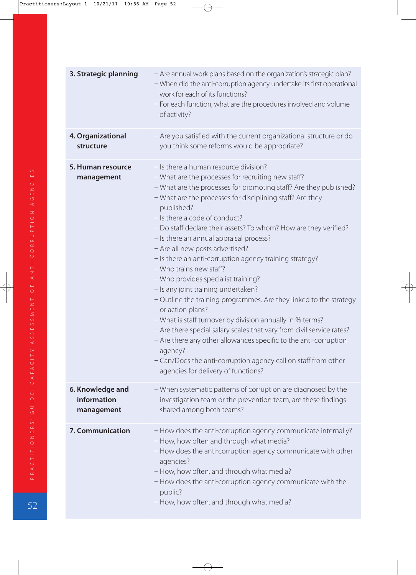| 3. Strategic planning                         | - Are annual work plans based on the organization's strategic plan?<br>- When did the anti-corruption agency undertake its first operational<br>work for each of its functions?<br>- For each function, what are the procedures involved and volume<br>of activity?                                                                                                                                                                                                                                                                                                                                                                                                                                                                                                                                                                                                                                                                                                                                                        |
|-----------------------------------------------|----------------------------------------------------------------------------------------------------------------------------------------------------------------------------------------------------------------------------------------------------------------------------------------------------------------------------------------------------------------------------------------------------------------------------------------------------------------------------------------------------------------------------------------------------------------------------------------------------------------------------------------------------------------------------------------------------------------------------------------------------------------------------------------------------------------------------------------------------------------------------------------------------------------------------------------------------------------------------------------------------------------------------|
| 4. Organizational<br>structure                | - Are you satisfied with the current organizational structure or do<br>you think some reforms would be appropriate?                                                                                                                                                                                                                                                                                                                                                                                                                                                                                                                                                                                                                                                                                                                                                                                                                                                                                                        |
| 5. Human resource<br>management               | - Is there a human resource division?<br>- What are the processes for recruiting new staff?<br>- What are the processes for promoting staff? Are they published?<br>- What are the processes for disciplining staff? Are they<br>published?<br>- Is there a code of conduct?<br>- Do staff declare their assets? To whom? How are they verified?<br>- Is there an annual appraisal process?<br>- Are all new posts advertised?<br>- Is there an anti-corruption agency training strategy?<br>- Who trains new staff?<br>- Who provides specialist training?<br>- Is any joint training undertaken?<br>- Outline the training programmes. Are they linked to the strategy<br>or action plans?<br>- What is staff turnover by division annually in % terms?<br>- Are there special salary scales that vary from civil service rates?<br>- Are there any other allowances specific to the anti-corruption<br>agency?<br>- Can/Does the anti-corruption agency call on staff from other<br>agencies for delivery of functions? |
| 6. Knowledge and<br>information<br>management | - When systematic patterns of corruption are diagnosed by the<br>investigation team or the prevention team, are these findings<br>shared among both teams?                                                                                                                                                                                                                                                                                                                                                                                                                                                                                                                                                                                                                                                                                                                                                                                                                                                                 |
| 7. Communication                              | - How does the anti-corruption agency communicate internally?<br>- How, how often and through what media?<br>- How does the anti-corruption agency communicate with other<br>agencies?<br>- How, how often, and through what media?<br>- How does the anti-corruption agency communicate with the<br>public?<br>- How, how often, and through what media?                                                                                                                                                                                                                                                                                                                                                                                                                                                                                                                                                                                                                                                                  |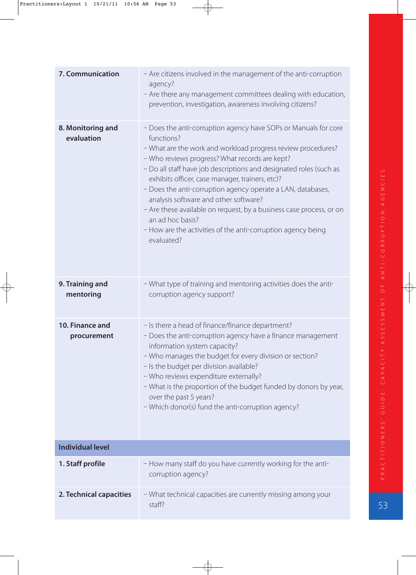| 7. Communication                | - Are citizens involved in the management of the anti-corruption<br>agency?<br>- Are there any management committees dealing with education,<br>prevention, investigation, awareness involving citizens?                                                                                                                                                                                                                                                                                                                                                                                                  |
|---------------------------------|-----------------------------------------------------------------------------------------------------------------------------------------------------------------------------------------------------------------------------------------------------------------------------------------------------------------------------------------------------------------------------------------------------------------------------------------------------------------------------------------------------------------------------------------------------------------------------------------------------------|
| 8. Monitoring and<br>evaluation | - Does the anti-corruption agency have SOPs or Manuals for core<br>functions?<br>- What are the work and workload progress review procedures?<br>- Who reviews progress? What records are kept?<br>- Do all staff have job descriptions and designated roles (such as<br>exhibits officer, case manager, trainers, etc)?<br>- Does the anti-corruption agency operate a LAN, databases,<br>analysis software and other software?<br>- Are these available on request, by a business case process, or on<br>an ad hoc basis?<br>- How are the activities of the anti-corruption agency being<br>evaluated? |
| 9. Training and<br>mentoring    | - What type of training and mentoring activities does the anti-<br>corruption agency support?                                                                                                                                                                                                                                                                                                                                                                                                                                                                                                             |
| 10. Finance and<br>procurement  | - Is there a head of finance/finance department?<br>- Does the anti-corruption agency have a finance management<br>information system capacity?<br>- Who manages the budget for every division or section?<br>- Is the budget per division available?<br>- Who reviews expenditure externally?<br>- What is the proportion of the budget funded by donors by year,<br>over the past 5 years?<br>- Which donor(s) fund the anti-corruption agency?                                                                                                                                                         |
| <b>Individual level</b>         |                                                                                                                                                                                                                                                                                                                                                                                                                                                                                                                                                                                                           |
| 1. Staff profile                | - How many staff do you have currently working for the anti-<br>corruption agency?                                                                                                                                                                                                                                                                                                                                                                                                                                                                                                                        |
| 2. Technical capacities         | - What technical capacities are currently missing among your<br>staff?                                                                                                                                                                                                                                                                                                                                                                                                                                                                                                                                    |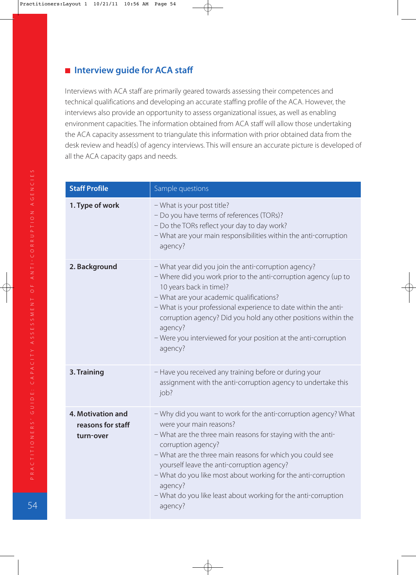# **Interview guide for ACA staff**

Interviews with ACA staff are primarily geared towards assessing their competences and technical qualifications and developing an accurate staffing profile of the ACA. However, the interviews also provide an opportunity to assess organizational issues, as well as enabling environment capacities. The information obtained from ACA staff will allow those undertaking the ACA capacity assessment to triangulate this information with prior obtained data from the desk review and head(s) of agency interviews. This will ensure an accurate picture is developed of all the ACA capacity gaps and needs.

| <b>Staff Profile</b>                                | Sample questions                                                                                                                                                                                                                                                                                                                                                                                                                                     |
|-----------------------------------------------------|------------------------------------------------------------------------------------------------------------------------------------------------------------------------------------------------------------------------------------------------------------------------------------------------------------------------------------------------------------------------------------------------------------------------------------------------------|
| 1. Type of work                                     | - What is your post title?<br>- Do you have terms of references (TORs)?<br>- Do the TORs reflect your day to day work?<br>- What are your main responsibilities within the anti-corruption<br>agency?                                                                                                                                                                                                                                                |
| 2. Background                                       | - What year did you join the anti-corruption agency?<br>- Where did you work prior to the anti-corruption agency (up to<br>10 years back in time)?<br>- What are your academic qualifications?<br>- What is your professional experience to date within the anti-<br>corruption agency? Did you hold any other positions within the<br>agency?<br>- Were you interviewed for your position at the anti-corruption<br>agency?                         |
| 3. Training                                         | - Have you received any training before or during your<br>assignment with the anti-corruption agency to undertake this<br>job?                                                                                                                                                                                                                                                                                                                       |
| 4. Motivation and<br>reasons for staff<br>turn-over | - Why did you want to work for the anti-corruption agency? What<br>were your main reasons?<br>- What are the three main reasons for staying with the anti-<br>corruption agency?<br>- What are the three main reasons for which you could see<br>yourself leave the anti-corruption agency?<br>- What do you like most about working for the anti-corruption<br>agency?<br>- What do you like least about working for the anti-corruption<br>agency? |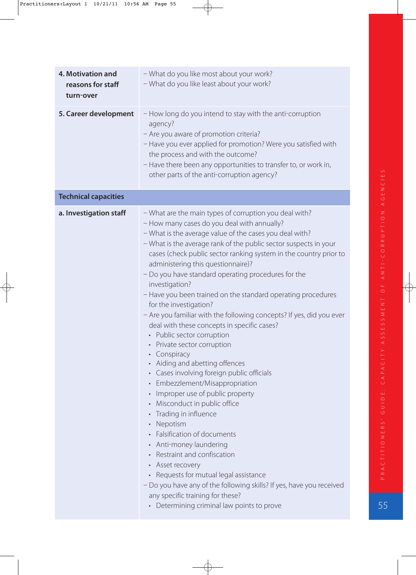| <b>4. Motivation and</b><br>reasons for staff<br>turn-over | - What do you like most about your work?<br>- What do you like least about your work?                                                                                                                                                                                                                                                                                                                                                                                                                                                                                                                                                                                                                                                                                                                                                                                                                                                                                                                                                                                                                                                                                                                                                                                         |
|------------------------------------------------------------|-------------------------------------------------------------------------------------------------------------------------------------------------------------------------------------------------------------------------------------------------------------------------------------------------------------------------------------------------------------------------------------------------------------------------------------------------------------------------------------------------------------------------------------------------------------------------------------------------------------------------------------------------------------------------------------------------------------------------------------------------------------------------------------------------------------------------------------------------------------------------------------------------------------------------------------------------------------------------------------------------------------------------------------------------------------------------------------------------------------------------------------------------------------------------------------------------------------------------------------------------------------------------------|
| 5. Career development                                      | - How long do you intend to stay with the anti-corruption<br>agency?<br>- Are you aware of promotion criteria?<br>- Have you ever applied for promotion? Were you satisfied with<br>the process and with the outcome?<br>- Have there been any opportunities to transfer to, or work in,<br>other parts of the anti-corruption agency?                                                                                                                                                                                                                                                                                                                                                                                                                                                                                                                                                                                                                                                                                                                                                                                                                                                                                                                                        |
| <b>Technical capacities</b>                                |                                                                                                                                                                                                                                                                                                                                                                                                                                                                                                                                                                                                                                                                                                                                                                                                                                                                                                                                                                                                                                                                                                                                                                                                                                                                               |
| a. Investigation staff                                     | - What are the main types of corruption you deal with?<br>- How many cases do you deal with annually?<br>- What is the average value of the cases you deal with?<br>- What is the average rank of the public sector suspects in your<br>cases (check public sector ranking system in the country prior to<br>administering this questionnaire)?<br>- Do you have standard operating procedures for the<br>investigation?<br>- Have you been trained on the standard operating procedures<br>for the investigation?<br>- Are you familiar with the following concepts? If yes, did you ever<br>deal with these concepts in specific cases?<br>• Public sector corruption<br>• Private sector corruption<br>• Conspiracy<br>Aiding and abetting offences<br>• Cases involving foreign public officials<br>• Embezzlement/Misappropriation<br>Improper use of public property<br>$\bullet$<br>• Misconduct in public office<br>Trading in influence<br>• Nepotism<br>• Falsification of documents<br>Anti-money laundering<br>Restraint and confiscation<br>• Asset recovery<br>• Requests for mutual legal assistance<br>- Do you have any of the following skills? If yes, have you received<br>any specific training for these?<br>• Determining criminal law points to prove |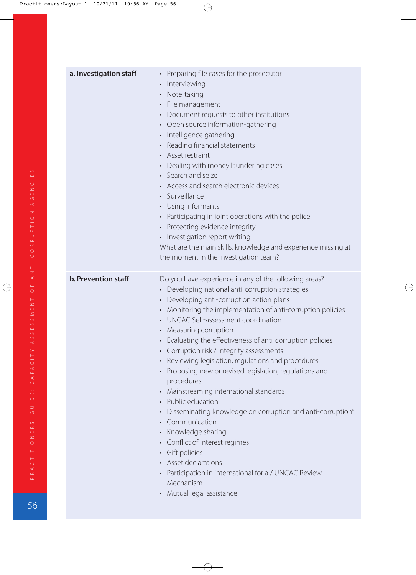| a. Investigation staff | Preparing file cases for the prosecutor<br>$\bullet$<br>Interviewing<br>Note-taking<br>$\bullet$<br>File management<br>$\bullet$<br>Document requests to other institutions<br>$\bullet$<br>Open source information-gathering<br>$\bullet$<br>Intelligence gathering<br>$\bullet$<br>Reading financial statements<br>$\bullet$<br>• Asset restraint<br>Dealing with money laundering cases<br>$\bullet$<br>Search and seize<br>• Access and search electronic devices                                                                                                                                                                                                                                                                                                                                                                                                                                                                                                                               |
|------------------------|-----------------------------------------------------------------------------------------------------------------------------------------------------------------------------------------------------------------------------------------------------------------------------------------------------------------------------------------------------------------------------------------------------------------------------------------------------------------------------------------------------------------------------------------------------------------------------------------------------------------------------------------------------------------------------------------------------------------------------------------------------------------------------------------------------------------------------------------------------------------------------------------------------------------------------------------------------------------------------------------------------|
|                        | Surveillance<br>$\bullet$<br>Using informants<br>$\bullet$<br>Participating in joint operations with the police<br>$\bullet$<br>Protecting evidence integrity<br>$\bullet$<br>• Investigation report writing<br>- What are the main skills, knowledge and experience missing at<br>the moment in the investigation team?                                                                                                                                                                                                                                                                                                                                                                                                                                                                                                                                                                                                                                                                            |
| b. Prevention staff    | - Do you have experience in any of the following areas?<br>• Developing national anti-corruption strategies<br>Developing anti-corruption action plans<br>$\bullet$<br>Monitoring the implementation of anti-corruption policies<br>$\bullet$<br>UNCAC Self-assessment coordination<br>$\bullet$<br>Measuring corruption<br>$\bullet$<br>Evaluating the effectiveness of anti-corruption policies<br>$\bullet$<br>• Corruption risk / integrity assessments<br>Reviewing legislation, regulations and procedures<br>$\bullet$<br>Proposing new or revised legislation, regulations and<br>procedures<br>Mainstreaming international standards<br>$\bullet$<br>Public education<br>• Disseminating knowledge on corruption and anti-corruption"<br>Communication<br>$\bullet$<br>Knowledge sharing<br>• Conflict of interest regimes<br>Gift policies<br>$\bullet$<br>Asset declarations<br>Participation in international for a / UNCAC Review<br>$\bullet$<br>Mechanism<br>Mutual legal assistance |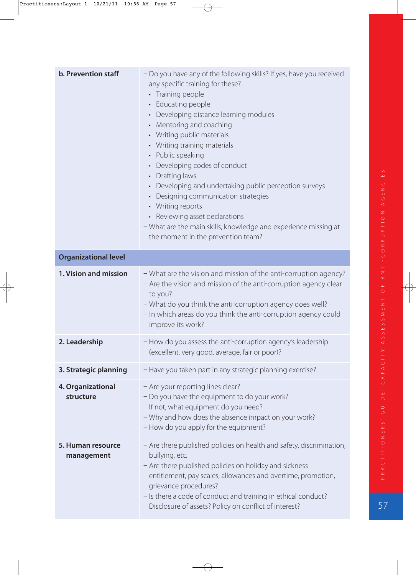| <b>b. Prevention staff</b>      | - Do you have any of the following skills? If yes, have you received<br>any specific training for these?<br>• Training people<br>• Educating people<br>Developing distance learning modules<br>$\bullet$<br>• Mentoring and coaching<br>• Writing public materials<br>• Writing training materials<br>• Public speaking<br>Developing codes of conduct<br>• Drafting laws<br>• Developing and undertaking public perception surveys<br>Designing communication strategies<br>• Writing reports<br>• Reviewing asset declarations<br>- What are the main skills, knowledge and experience missing at<br>the moment in the prevention team? |
|---------------------------------|-------------------------------------------------------------------------------------------------------------------------------------------------------------------------------------------------------------------------------------------------------------------------------------------------------------------------------------------------------------------------------------------------------------------------------------------------------------------------------------------------------------------------------------------------------------------------------------------------------------------------------------------|
| <b>Organizational level</b>     |                                                                                                                                                                                                                                                                                                                                                                                                                                                                                                                                                                                                                                           |
| 1. Vision and mission           | - What are the vision and mission of the anti-corruption agency?<br>- Are the vision and mission of the anti-corruption agency clear<br>to you?<br>- What do you think the anti-corruption agency does well?<br>- In which areas do you think the anti-corruption agency could<br>improve its work?                                                                                                                                                                                                                                                                                                                                       |
| 2. Leadership                   | - How do you assess the anti-corruption agency's leadership<br>(excellent, very good, average, fair or poor)?                                                                                                                                                                                                                                                                                                                                                                                                                                                                                                                             |
| 3. Strategic planning           | - Have you taken part in any strategic planning exercise?                                                                                                                                                                                                                                                                                                                                                                                                                                                                                                                                                                                 |
| 4. Organizational<br>structure  | - Are your reporting lines clear?<br>- Do you have the equipment to do your work?<br>- If not, what equipment do you need?<br>- Why and how does the absence impact on your work?<br>- How do you apply for the equipment?                                                                                                                                                                                                                                                                                                                                                                                                                |
| 5. Human resource<br>management | - Are there published policies on health and safety, discrimination,<br>bullying, etc.<br>- Are there published policies on holiday and sickness<br>entitlement, pay scales, allowances and overtime, promotion,<br>grievance procedures?<br>- Is there a code of conduct and training in ethical conduct?<br>Disclosure of assets? Policy on conflict of interest?                                                                                                                                                                                                                                                                       |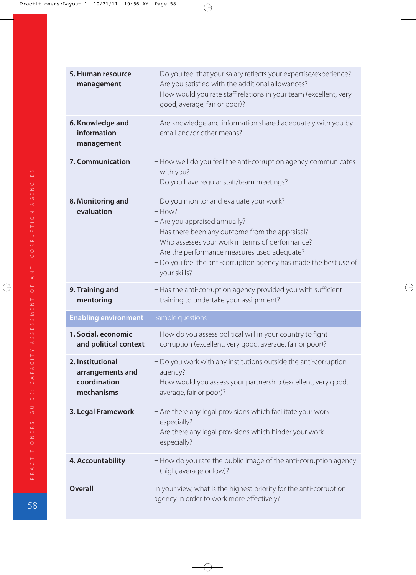| 5. Human resource<br>management                                    | - Do you feel that your salary reflects your expertise/experience?<br>- Are you satisfied with the additional allowances?<br>- How would you rate staff relations in your team (excellent, very<br>good, average, fair or poor)?                                                                                                     |
|--------------------------------------------------------------------|--------------------------------------------------------------------------------------------------------------------------------------------------------------------------------------------------------------------------------------------------------------------------------------------------------------------------------------|
| 6. Knowledge and<br>information<br>management                      | - Are knowledge and information shared adequately with you by<br>email and/or other means?                                                                                                                                                                                                                                           |
| 7. Communication                                                   | - How well do you feel the anti-corruption agency communicates<br>with you?<br>- Do you have regular staff/team meetings?                                                                                                                                                                                                            |
| 8. Monitoring and<br>evaluation                                    | - Do you monitor and evaluate your work?<br>$-$ How?<br>- Are you appraised annually?<br>- Has there been any outcome from the appraisal?<br>- Who assesses your work in terms of performance?<br>- Are the performance measures used adequate?<br>- Do you feel the anti-corruption agency has made the best use of<br>your skills? |
| 9. Training and                                                    | - Has the anti-corruption agency provided you with sufficient                                                                                                                                                                                                                                                                        |
| mentoring                                                          | training to undertake your assignment?                                                                                                                                                                                                                                                                                               |
| <b>Enabling environment</b>                                        | Sample questions                                                                                                                                                                                                                                                                                                                     |
| 1. Social, economic<br>and political context                       | - How do you assess political will in your country to fight<br>corruption (excellent, very good, average, fair or poor)?                                                                                                                                                                                                             |
| 2. Institutional<br>arrangements and<br>coordination<br>mechanisms | - Do you work with any institutions outside the anti-corruption<br>agency?<br>- How would you assess your partnership (excellent, very good,<br>average, fair or poor)?                                                                                                                                                              |
| 3. Legal Framework                                                 | - Are there any legal provisions which facilitate your work<br>especially?<br>- Are there any legal provisions which hinder your work<br>especially?                                                                                                                                                                                 |
| 4. Accountability                                                  | - How do you rate the public image of the anti-corruption agency<br>(high, average or low)?                                                                                                                                                                                                                                          |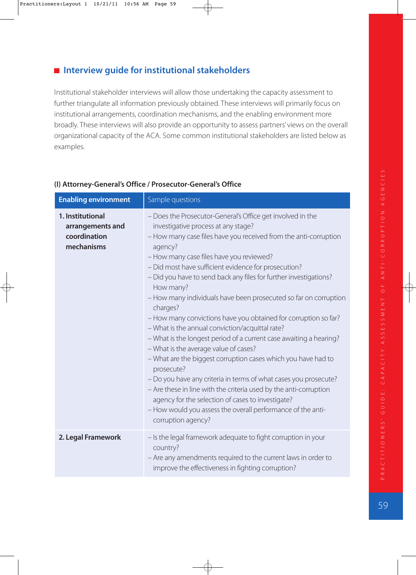# **Interview guide for institutional stakeholders**

Institutional stakeholder interviews will allow those undertaking the capacity assessment to further triangulate all information previously obtained. These interviews will primarily focus on institutional arrangements, coordination mechanisms, and the enabling environment more broadly. These interviews will also provide an opportunity to assess partners' views on the overall organizational capacity of the ACA. Some common institutional stakeholders are listed below as examples.

| <b>Enabling environment</b>                                        | Sample questions                                                                                                                                                                                                                                                                                                                                                                                                                                                                                                                                                                                                                                                                                                                                                                                                                                                                                                                                                                                                                                              |
|--------------------------------------------------------------------|---------------------------------------------------------------------------------------------------------------------------------------------------------------------------------------------------------------------------------------------------------------------------------------------------------------------------------------------------------------------------------------------------------------------------------------------------------------------------------------------------------------------------------------------------------------------------------------------------------------------------------------------------------------------------------------------------------------------------------------------------------------------------------------------------------------------------------------------------------------------------------------------------------------------------------------------------------------------------------------------------------------------------------------------------------------|
| 1. Institutional<br>arrangements and<br>coordination<br>mechanisms | - Does the Prosecutor-General's Office get involved in the<br>investigative process at any stage?<br>- How many case files have you received from the anti-corruption<br>agency?<br>- How many case files have you reviewed?<br>- Did most have sufficient evidence for prosecution?<br>- Did you have to send back any files for further investigations?<br>How many?<br>- How many individuals have been prosecuted so far on corruption<br>charges?<br>- How many convictions have you obtained for corruption so far?<br>- What is the annual conviction/acquittal rate?<br>- What is the longest period of a current case awaiting a hearing?<br>- What is the average value of cases?<br>- What are the biggest corruption cases which you have had to<br>prosecute?<br>- Do you have any criteria in terms of what cases you prosecute?<br>- Are these in line with the criteria used by the anti-corruption<br>agency for the selection of cases to investigate?<br>- How would you assess the overall performance of the anti-<br>corruption agency? |
| 2. Legal Framework                                                 | - Is the legal framework adequate to fight corruption in your<br>country?<br>- Are any amendments required to the current laws in order to<br>improve the effectiveness in fighting corruption?                                                                                                                                                                                                                                                                                                                                                                                                                                                                                                                                                                                                                                                                                                                                                                                                                                                               |

### **(I) Attorney-General's Office / Prosecutor-General's Office**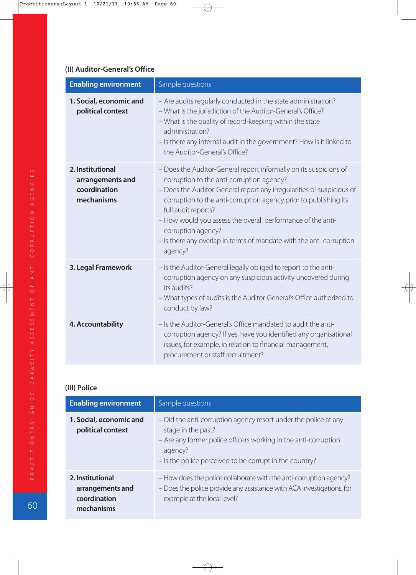### **(II) Auditor-General's Office**

| <b>Enabling environment</b>                                        | Sample questions                                                                                                                                                                                                                                                                                                                                                                                                                                          |
|--------------------------------------------------------------------|-----------------------------------------------------------------------------------------------------------------------------------------------------------------------------------------------------------------------------------------------------------------------------------------------------------------------------------------------------------------------------------------------------------------------------------------------------------|
| 1. Social, economic and<br>political context                       | - Are audits regularly conducted in the state administration?<br>- What is the jurisdiction of the Auditor-General's Office?<br>- What is the quality of record-keeping within the state<br>administration?<br>- Is there any internal audit in the government? How is it linked to<br>the Auditor-General's Office?                                                                                                                                      |
| 2. Institutional<br>arrangements and<br>coordination<br>mechanisms | - Does the Auditor-General report informally on its suspicions of<br>corruption to the anti-corruption agency?<br>- Does the Auditor-General report any irregularities or suspicious of<br>corruption to the anti-corruption agency prior to publishing its<br>full audit reports?<br>- How would you assess the overall performance of the anti-<br>corruption agency?<br>- Is there any overlap in terms of mandate with the anti-corruption<br>agency? |
| 3. Legal Framework                                                 | - Is the Auditor-General legally obliged to report to the anti-<br>corruption agency on any suspicious activity uncovered during<br>its audits?<br>- What types of audits is the Auditor-General's Office authorized to<br>conduct by law?                                                                                                                                                                                                                |
| 4. Accountability                                                  | - Is the Auditor-General's Office mandated to audit the anti-<br>corruption agency? If yes, have you identified any organisational<br>issues, for example, in relation to financial management,<br>procurement or staff recruitment?                                                                                                                                                                                                                      |

## **(III) Police**

| <b>Enabling environment</b>                                        | Sample questions                                                                                                                                                                                                               |
|--------------------------------------------------------------------|--------------------------------------------------------------------------------------------------------------------------------------------------------------------------------------------------------------------------------|
| 1. Social, economic and<br>political context                       | - Did the anti-corruption agency resort under the police at any<br>stage in the past?<br>- Are any former police officers working in the anti-corruption<br>agency?<br>- Is the police perceived to be corrupt in the country? |
| 2. Institutional<br>arrangements and<br>coordination<br>mechanisms | - How does the police collaborate with the anti-corruption agency?<br>- Does the police provide any assistance with ACA investigations, for<br>example at the local level?                                                     |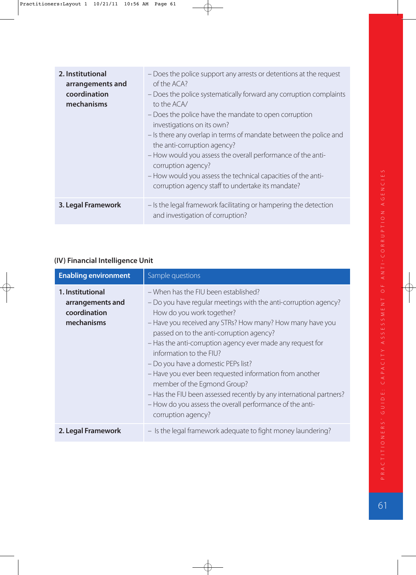| 2. Institutional<br>arrangements and<br>coordination<br>mechanisms | - Does the police support any arrests or detentions at the request<br>of the ACA?<br>- Does the police systematically forward any corruption complaints<br>to the ACA/<br>- Does the police have the mandate to open corruption<br>investigations on its own?<br>- Is there any overlap in terms of mandate between the police and<br>the anti-corruption agency?<br>- How would you assess the overall performance of the anti-<br>corruption agency?<br>- How would you assess the technical capacities of the anti-<br>corruption agency staff to undertake its mandate? |
|--------------------------------------------------------------------|-----------------------------------------------------------------------------------------------------------------------------------------------------------------------------------------------------------------------------------------------------------------------------------------------------------------------------------------------------------------------------------------------------------------------------------------------------------------------------------------------------------------------------------------------------------------------------|
| 3. Legal Framework                                                 | - Is the legal framework facilitating or hampering the detection<br>and investigation of corruption?                                                                                                                                                                                                                                                                                                                                                                                                                                                                        |

# **(IV) Financial Intelligence Unit**

| <b>Enabling environment</b>                                        | Sample questions                                                                                                                                                                                                                                                                                                                                                                                                                                                                                                                                                                                                                 |
|--------------------------------------------------------------------|----------------------------------------------------------------------------------------------------------------------------------------------------------------------------------------------------------------------------------------------------------------------------------------------------------------------------------------------------------------------------------------------------------------------------------------------------------------------------------------------------------------------------------------------------------------------------------------------------------------------------------|
| 1. Institutional<br>arrangements and<br>coordination<br>mechanisms | - When has the FIU been established?<br>- Do you have regular meetings with the anti-corruption agency?<br>How do you work together?<br>- Have you received any STRs? How many? How many have you<br>passed on to the anti-corruption agency?<br>- Has the anti-corruption agency ever made any request for<br>information to the FIU?<br>- Do you have a domestic PEPs list?<br>- Have you ever been requested information from another<br>member of the Egmond Group?<br>- Has the FIU been assessed recently by any international partners?<br>- How do you assess the overall performance of the anti-<br>corruption agency? |
| 2. Legal Framework                                                 | - Is the legal framework adequate to fight money laundering?                                                                                                                                                                                                                                                                                                                                                                                                                                                                                                                                                                     |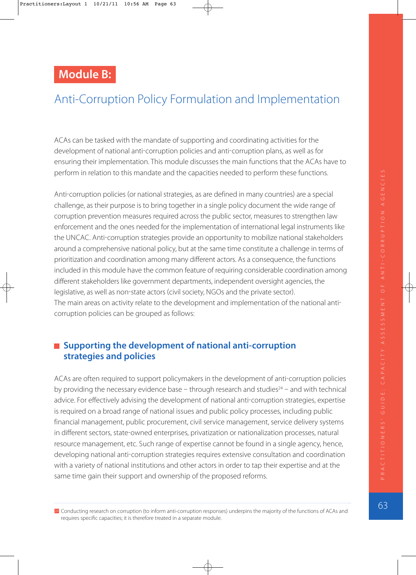# **Module B:**

# Anti-Corruption Policy Formulation and Implementation

ACAs can be tasked with the mandate of supporting and coordinating activities for the development of national anti-corruption policies and anti-corruption plans, as well as for ensuring their implementation. This module discusses the main functions that the ACAs have to perform in relation to this mandate and the capacities needed to perform these functions.

Anti-corruption policies (or national strategies, as are defined in many countries) are a special challenge, as their purpose is to bring together in a single policy document the wide range of corruption prevention measures required across the public sector, measures to strengthen law enforcement and the ones needed for the implementation of international legal instruments like the UNCAC. Anti-corruption strategies provide an opportunity to mobilize national stakeholders around a comprehensive national policy, but at the same time constitute a challenge in terms of prioritization and coordination among many different actors. As a consequence, the functions included in this module have the common feature of requiring considerable coordination among different stakeholders like government departments, independent oversight agencies, the legislative, as well as non-state actors (civil society, NGOs and the private sector). The main areas on activity relate to the development and implementation of the national anti corruption policies can be grouped as follows:

# ■ Supporting the development of national anti-corruption **strategies and policies**

ACAs are often required to support policymakers in the development of anti-corruption policies by providing the necessary evidence base  $-$  through research and studies<sup>24</sup>  $-$  and with technical advice. For effectively advising the development of national anti-corruption strategies, expertise is required on a broad range of national issues and public policy processes, including public financial management, public procurement, civil service management, service delivery systems in different sectors, state-owned enterprises, privatization or nationalization processes, natural resource management, etc. Such range of expertise cannot be found in a single agency, hence, developing national anti-corruption strategies requires extensive consultation and coordination with a variety of national institutions and other actors in order to tap their expertise and at the same time gain their support and ownership of the proposed reforms.

<sup>24</sup> Conducting research on corruption (to inform anti-corruption responses) underpins the majority of the functions of ACAs and requires specific capacities; it is therefore treated in a separate module.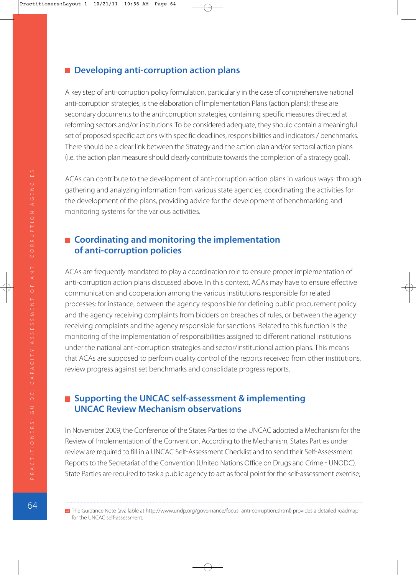## ■ Developing anti-corruption action plans

A key step of anti-corruption policy formulation, particularly in the case of comprehensive national anti-corruption strategies, is the elaboration of Implementation Plans (action plans); these are secondary documents to the anti-corruption strategies, containing specific measures directed at reforming sectors and/or institutions. To be considered adequate, they should contain a meaningful set of proposed specific actions with specific deadlines, responsibilities and indicators / benchmarks. There should be a clear link between the Strategy and the action plan and/or sectoral action plans i.e. the action plan measure should clearly contribute towards the completion of a strategy goal.

ACAs can contribute to the development of anti-corruption action plans in various ways: through gathering and analyzing information from various state agencies, coordinating the activities for the development of the plans, providing advice for the development of benchmarking and monitoring systems for the various activities.

# ■ Coordinating and monitoring the implementation **of anti-corruption policies**

ACAs are frequently mandated to play a coordination role to ensure proper implementation of anti-corruption action plans discussed above. In this context, ACAs may have to ensure effective communication and cooperation among the various institutions responsible for related processes: for instance, between the agency responsible for defining public procurement policy and the agency receiving complaints from bidders on breaches of rules, or between the agency receiving complaints and the agency responsible for sanctions. Related to this function is the monitoring of the implementation of responsibilities assigned to different national institutions under the national anti-corruption strategies and sector/institutional action plans. This means that ACAs are supposed to perform quality control of the reports received from other institutions, review progress against set benchmarks and consolidate progress reports.

# ■ Supporting the UNCAC self-assessment & implementing **UNCAC Review Mechanism observations**

In November 2009, the Conference of the States Parties to the UNCAC adopted a Mechanism for the Review of Implementation of the Convention. According to the Mechanism, States Parties under review are required to fill in a UNCAC Self-Assessment Checklist and to send their Self-Assessment Reports to the Secretariat of the Convention (United Nations Office on Drugs and Crime - UNODC). State Parties are required to task a public agency to act as focal point for the self-assessment exercise;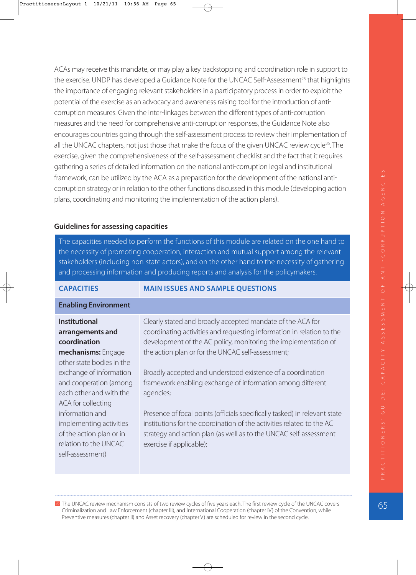ACAs may receive this mandate, or may play a key backstopping and coordination role in support to the exercise. UNDP has developed a Guidance Note for the UNCAC Self-Assessment<sup>25</sup> that highlights the importance of engaging relevant stakeholders in a participatory process in order to exploit the potential of the exercise as an advocacy and awareness raising tool for the introduction of anti corruption measures. Given the inter-linkages between the different types of anti-corruption measures and the need for comprehensive anti-corruption responses, the Guidance Note also encourages countries going through the self-assessment process to review their implementation of all the UNCAC chapters, not just those that make the focus of the given UNCAC review cycle<sup>26</sup>. The exercise, given the comprehensiveness of the self-assessment checklist and the fact that it requires gathering a series of detailed information on the national anti-corruption legal and institutional framework, can be utilized by the ACA as a preparation for the development of the national anti corruption strategy or in relation to the other functions discussed in this module developing action plans, coordinating and monitoring the implementation of the action plans).

### **Guidelines for assessing capacities**

The capacities needed to perform the functions of this module are related on the one hand to the necessity of promoting cooperation, interaction and mutual support among the relevant stakeholders (including non-state actors), and on the other hand to the necessity of gathering and processing information and producing reports and analysis for the policymakers.

**CAPACITIES MAIN ISSUES AND SAMPLE QUESTIONS**

| <b>CAPACITIES</b>                                                                                                                      | MAIN ISSUES AND SAMPLE QUESTIONS                                                                                                                                                                                                                                                                                          |
|----------------------------------------------------------------------------------------------------------------------------------------|---------------------------------------------------------------------------------------------------------------------------------------------------------------------------------------------------------------------------------------------------------------------------------------------------------------------------|
| <b>Enabling Environment</b>                                                                                                            |                                                                                                                                                                                                                                                                                                                           |
| <b>Institutional</b><br>arrangements and<br>coordination<br>mechanisms: Engage<br>other state bodies in the<br>exchange of information | Clearly stated and broadly accepted mandate of the ACA for<br>coordinating activities and requesting information in relation to the<br>development of the AC policy, monitoring the implementation of<br>the action plan or for the UNCAC self-assessment;<br>Broadly accepted and understood existence of a coordination |
| and cooperation (among<br>each other and with the<br>ACA for collecting                                                                | framework enabling exchange of information among different<br>agencies;                                                                                                                                                                                                                                                   |
| information and<br>implementing activities<br>of the action plan or in<br>relation to the UNCAC<br>self-assessment)                    | Presence of focal points (officials specifically tasked) in relevant state<br>institutions for the coordination of the activities related to the AC<br>strategy and action plan (as well as to the UNCAC self-assessment<br>exercise if applicable);                                                                      |
|                                                                                                                                        |                                                                                                                                                                                                                                                                                                                           |

26 The UNCAC review mechanism consists of two review cycles of five years each. The first review cycle of the UNCAC covers Criminalization and Law Enforcement (chapter III), and International Cooperation (chapter IV) of the Convention, while Preventive measures (chapter II) and Asset recovery (chapter V) are scheduled for review in the second cycle.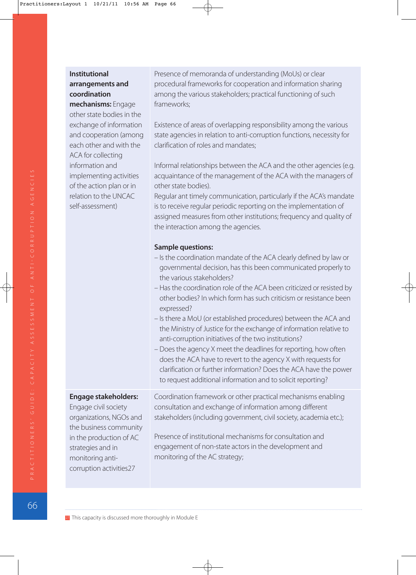| coordination<br>mechanisms: Engage<br>other state bodies in the<br>exchange of information<br>and cooperation (among<br>each other and with the<br>ACA for collecting<br>information and<br>implementing activities<br>of the action plan or in<br>relation to the UNCAC<br>self-assessment) | among the various stakeholders; practical functioning of such<br>frameworks;<br>Existence of areas of overlapping responsibility among the various<br>state agencies in relation to anti-corruption functions, necessity for<br>clarification of roles and mandates;<br>Informal relationships between the ACA and the other agencies (e.g.<br>acquaintance of the management of the ACA with the managers of<br>other state bodies).<br>Regular ant timely communication, particularly if the ACA's mandate<br>is to receive regular periodic reporting on the implementation of<br>assigned measures from other institutions; frequency and quality of<br>the interaction among the agencies.<br><b>Sample questions:</b><br>- Is the coordination mandate of the ACA clearly defined by law or<br>governmental decision, has this been communicated properly to<br>the various stakeholders?<br>- Has the coordination role of the ACA been criticized or resisted by<br>other bodies? In which form has such criticism or resistance been<br>expressed?<br>- Is there a MoU (or established procedures) between the ACA and<br>the Ministry of Justice for the exchange of information relative to<br>anti-corruption initiatives of the two institutions?<br>- Does the agency X meet the deadlines for reporting, how often<br>does the ACA have to revert to the agency X with requests for<br>clarification or further information? Does the ACA have the power<br>to request additional information and to solicit reporting? |
|----------------------------------------------------------------------------------------------------------------------------------------------------------------------------------------------------------------------------------------------------------------------------------------------|----------------------------------------------------------------------------------------------------------------------------------------------------------------------------------------------------------------------------------------------------------------------------------------------------------------------------------------------------------------------------------------------------------------------------------------------------------------------------------------------------------------------------------------------------------------------------------------------------------------------------------------------------------------------------------------------------------------------------------------------------------------------------------------------------------------------------------------------------------------------------------------------------------------------------------------------------------------------------------------------------------------------------------------------------------------------------------------------------------------------------------------------------------------------------------------------------------------------------------------------------------------------------------------------------------------------------------------------------------------------------------------------------------------------------------------------------------------------------------------------------------------------------------------|
| <b>Engage stakeholders:</b><br>Engage civil society<br>organizations, NGOs and<br>the business community<br>in the production of AC<br>strategies and in<br>monitoring anti-<br>corruption activities27                                                                                      | Coordination framework or other practical mechanisms enabling<br>consultation and exchange of information among different<br>stakeholders (including government, civil society, academia etc.);<br>Presence of institutional mechanisms for consultation and<br>engagement of non-state actors in the development and<br>monitoring of the AC strategy;                                                                                                                                                                                                                                                                                                                                                                                                                                                                                                                                                                                                                                                                                                                                                                                                                                                                                                                                                                                                                                                                                                                                                                                |

Presence of memoranda of understanding (MoUs) or clear

procedural frameworks for cooperation and information sharing

# **Institutional arrangements and coordination**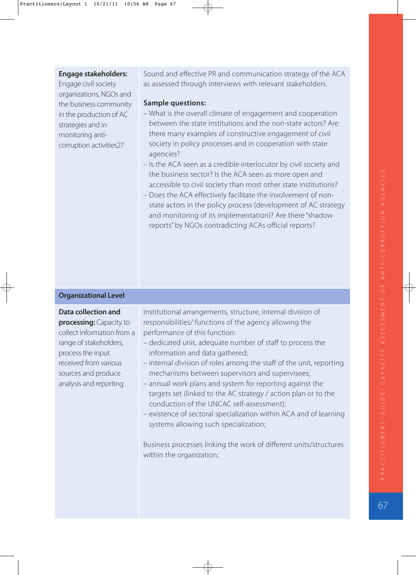#### **Engage stakeholders:**

Engage civil society organizations, NGOs and the business community in the production of AC strategies and in monitoring anticorruption activities27

Sound and effective PR and communication strategy of the ACA as assessed through interviews with relevant stakeholders.

#### **Sample questions:**

- What is the overall climate of engagement and cooperation between the state institutions and the non-state actors? Are there many examples of constructive engagement of civil society in policy processes and in cooperation with state agencies?
- Is the ACA seen as a credible interlocutor by civil society and the business sector? Is the ACA seen as more open and accessible to civil society than most other state institutions?
- Does the ACA effectively facilitate the involvement of nonstate actors in the policy process (development of AC strategy and monitoring of its implementation)? Are there "shadow reports" by NGOs contradicting ACAs official reports?

#### **Organizational Level**

#### **Data collection and processing:** Capacity to collect information from a range of stakeholders, process the input received from various sources and produce analysis and reporting Institutional arrangements, structure, internal division of responsibilities/ functions of the agency allowing the performance of this function: – dedicated unit, adequate number of staff to process the information and data gathered; – internal division of roles among the staff of the unit, reporting mechanisms between supervisors and supervisees; – annual work plans and system for reporting against the targets set (linked to the AC strategy / action plan or to the conduction of the UNCAC self-assessment); – existence of sectoral specialization within ACA and of learning systems allowing such specialization; Business processes linking the work of different units/structures within the organization;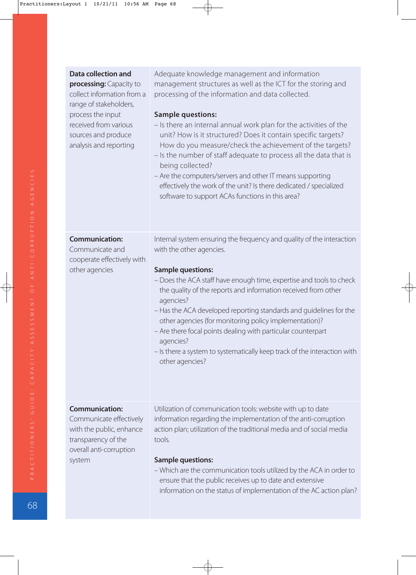| <b>Data collection and</b><br>processing: Capacity to<br>collect information from a<br>range of stakeholders,<br>process the input<br>received from various<br>sources and produce<br>analysis and reporting | Adequate knowledge management and information<br>management structures as well as the ICT for the storing and<br>processing of the information and data collected.<br><b>Sample questions:</b><br>- Is there an internal annual work plan for the activities of the<br>unit? How is it structured? Does it contain specific targets?<br>How do you measure/check the achievement of the targets?<br>- Is the number of staff adequate to process all the data that is<br>being collected?<br>- Are the computers/servers and other IT means supporting<br>effectively the work of the unit? Is there dedicated / specialized<br>software to support ACAs functions in this area? |
|--------------------------------------------------------------------------------------------------------------------------------------------------------------------------------------------------------------|----------------------------------------------------------------------------------------------------------------------------------------------------------------------------------------------------------------------------------------------------------------------------------------------------------------------------------------------------------------------------------------------------------------------------------------------------------------------------------------------------------------------------------------------------------------------------------------------------------------------------------------------------------------------------------|
| <b>Communication:</b><br>Communicate and<br>cooperate effectively with<br>other agencies                                                                                                                     | Internal system ensuring the frequency and quality of the interaction<br>with the other agencies.<br><b>Sample questions:</b><br>- Does the ACA staff have enough time, expertise and tools to check<br>the quality of the reports and information received from other<br>agencies?<br>- Has the ACA developed reporting standards and guidelines for the<br>other agencies (for monitoring policy implementation)?<br>- Are there focal points dealing with particular counterpart<br>agencies?<br>- Is there a system to systematically keep track of the interaction with<br>other agencies?                                                                                  |
| <b>Communication:</b><br>Communicate effectively<br>with the public, enhance<br>transparency of the<br>overall anti-corruption<br>system                                                                     | Utilization of communication tools: website with up to date<br>information regarding the implementation of the anti-corruption<br>action plan; utilization of the traditional media and of social media<br>tools.<br><b>Sample questions:</b><br>- Which are the communication tools utilized by the ACA in order to<br>ensure that the public receives up to date and extensive<br>information on the status of implementation of the AC action plan?                                                                                                                                                                                                                           |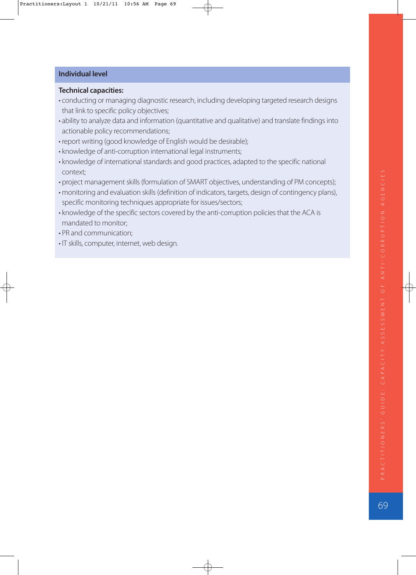#### **Individual level**

#### **Technical capacities:**

- conducting or managing diagnostic research, including developing targeted research designs that link to specific policy objectives;
- ability to analyze data and information (quantitative and qualitative) and translate findings into actionable policy recommendations;
- report writing (good knowledge of English would be desirable);
- knowledge of anti-corruption international legal instruments;
- knowledge of international standards and good practices, adapted to the specific national context;
- project management skills (formulation of SMART objectives, understanding of PM concepts);
- monitoring and evaluation skills (definition of indicators, targets, design of contingency plans), specific monitoring techniques appropriate for issues/sectors;
- knowledge of the specific sectors covered by the anti-corruption policies that the ACA is mandated to monitor;
- PR and communication;
- IT skills, computer, internet, web design.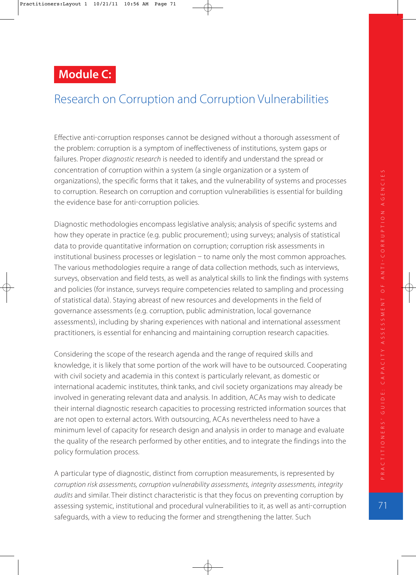# **Module C:**

# Research on Corruption and Corruption Vulnerabilities

Effective anti-corruption responses cannot be designed without a thorough assessment of the problem: corruption is a symptom of ineffectiveness of institutions, system gaps or failures. Proper diagnostic research is needed to identify and understand the spread or concentration of corruption within a system (a single organization or a system of organizations), the specific forms that it takes, and the vulnerability of systems and processes to corruption. Research on corruption and corruption vulnerabilities is essential for building the evidence base for anti-corruption policies.

Diagnostic methodologies encompass legislative analysis; analysis of specific systems and how they operate in practice (e.g. public procurement); using surveys; analysis of statistical data to provide quantitative information on corruption; corruption risk assessments in institutional business processes or legislation  $-$  to name only the most common approaches. The various methodologies require a range of data collection methods, such as interviews, surveys, observation and field tests, as well as analytical skills to link the findings with systems and policies (for instance, surveys require competencies related to sampling and processing of statistical data). Staying abreast of new resources and developments in the field of governance assessments (e.g. corruption, public administration, local governance assessments), including by sharing experiences with national and international assessment practitioners, is essential for enhancing and maintaining corruption research capacities.

Considering the scope of the research agenda and the range of required skills and knowledge, it is likely that some portion of the work will have to be outsourced. Cooperating with civil society and academia in this context is particularly relevant, as domestic or international academic institutes, think tanks, and civil society organizations may already be involved in generating relevant data and analysis. In addition, ACAs may wish to dedicate their internal diagnostic research capacities to processing restricted information sources that are not open to external actors. With outsourcing, ACAs nevertheless need to have a minimum level of capacity for research design and analysis in order to manage and evaluate the quality of the research performed by other entities, and to integrate the findings into the policy formulation process.

A particular type of diagnostic, distinct from corruption measurements, is represented by corruption risk assessments, corruption vulnerability assessments, integrity assessments, integrity audits and similar. Their distinct characteristic is that they focus on preventing corruption by assessing systemic, institutional and procedural vulnerabilities to it, as well as anticorruption safeguards, with a view to reducing the former and strengthening the latter. Such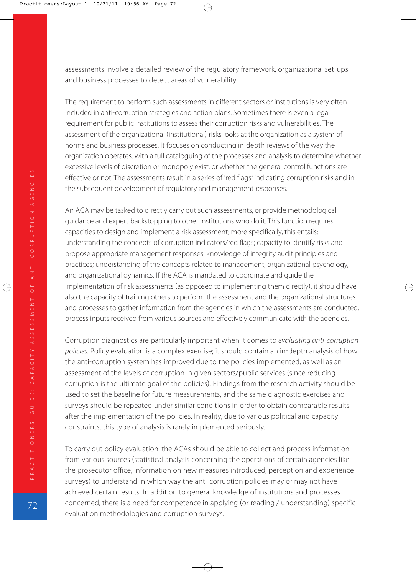assessments involve a detailed review of the regulatory framework, organizational set-ups and business processes to detect areas of vulnerability.

The requirement to perform such assessments in different sectors or institutions is very often included in anti-corruption strategies and action plans. Sometimes there is even a legal requirement for public institutions to assess their corruption risks and vulnerabilities. The assessment of the organizational (institutional) risks looks at the organization as a system of norms and business processes. It focuses on conducting in-depth reviews of the way the organization operates, with a full cataloguing of the processes and analysis to determine whether excessive levels of discretion or monopoly exist, or whether the general control functions are effective or not. The assessments result in a series of "red flags" indicating corruption risks and in the subsequent development of regulatory and management responses.

An ACA may be tasked to directly carry out such assessments, or provide methodological guidance and expert backstopping to other institutions who do it. This function requires capacities to design and implement a risk assessment; more specifically, this entails: understanding the concepts of corruption indicators/red flags; capacity to identify risks and propose appropriate management responses; knowledge of integrity audit principles and practices; understanding of the concepts related to management, organizational psychology, and organizational dynamics. If the ACA is mandated to coordinate and guide the implementation of risk assessments (as opposed to implementing them directly), it should have also the capacity of training others to perform the assessment and the organizational structures and processes to gather information from the agencies in which the assessments are conducted, process inputs received from various sources and effectively communicate with the agencies.

Corruption diagnostics are particularly important when it comes to evaluating anti-corruption policies. Policy evaluation is a complex exercise; it should contain an in-depth analysis of how the anti-corruption system has improved due to the policies implemented, as well as an assessment of the levels of corruption in given sectors/public services (since reducing corruption is the ultimate goal of the policies). Findings from the research activity should be used to set the baseline for future measurements, and the same diagnostic exercises and surveys should be repeated under similar conditions in order to obtain comparable results after the implementation of the policies. In reality, due to various political and capacity constraints, this type of analysis is rarely implemented seriously.

To carry out policy evaluation, the ACAs should be able to collect and process information from various sources (statistical analysis concerning the operations of certain agencies like the prosecutor office, information on new measures introduced, perception and experience surveys) to understand in which way the anti-corruption policies may or may not have achieved certain results. In addition to general knowledge of institutions and processes concerned, there is a need for competence in applying (or reading / understanding) specific evaluation methodologies and corruption surveys.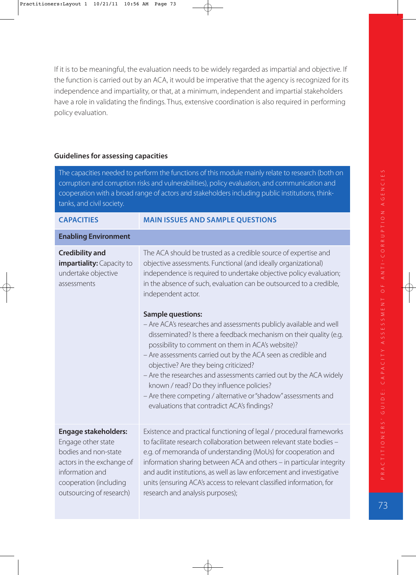If it is to be meaningful, the evaluation needs to be widely regarded as impartial and objective. If the function is carried out by an ACA, it would be imperative that the agency is recognized for its independence and impartiality, or that, at a minimum, independent and impartial stakeholders have a role in validating the findings. Thus, extensive coordination is also required in performing policy evaluation.

#### **Guidelines for assessing capacities**

The capacities needed to perform the functions of this module mainly relate to research (both on corruption and corruption risks and vulnerabilities), policy evaluation, and communication and cooperation with a broad range of actors and stakeholders including public institutions, thinktanks, and civil society.

| <b>CAPACITIES</b>                                                                                                                                                               | <b>MAIN ISSUES AND SAMPLE QUESTIONS</b>                                                                                                                                                                                                                                                                                                                                                                                                                                                                                                                                                                                                                                                                                                                                                                                                                                          |
|---------------------------------------------------------------------------------------------------------------------------------------------------------------------------------|----------------------------------------------------------------------------------------------------------------------------------------------------------------------------------------------------------------------------------------------------------------------------------------------------------------------------------------------------------------------------------------------------------------------------------------------------------------------------------------------------------------------------------------------------------------------------------------------------------------------------------------------------------------------------------------------------------------------------------------------------------------------------------------------------------------------------------------------------------------------------------|
| <b>Enabling Environment</b>                                                                                                                                                     |                                                                                                                                                                                                                                                                                                                                                                                                                                                                                                                                                                                                                                                                                                                                                                                                                                                                                  |
| <b>Credibility and</b><br>impartiality: Capacity to<br>undertake objective<br>assessments                                                                                       | The ACA should be trusted as a credible source of expertise and<br>objective assessments. Functional (and ideally organizational)<br>independence is required to undertake objective policy evaluation;<br>in the absence of such, evaluation can be outsourced to a credible,<br>independent actor.<br><b>Sample questions:</b><br>- Are ACA's researches and assessments publicly available and well<br>disseminated? Is there a feedback mechanism on their quality (e.g.<br>possibility to comment on them in ACA's website)?<br>- Are assessments carried out by the ACA seen as credible and<br>objective? Are they being criticized?<br>- Are the researches and assessments carried out by the ACA widely<br>known / read? Do they influence policies?<br>- Are there competing / alternative or "shadow" assessments and<br>evaluations that contradict ACA's findings? |
| <b>Engage stakeholders:</b><br>Engage other state<br>bodies and non-state<br>actors in the exchange of<br>information and<br>cooperation (including<br>outsourcing of research) | Existence and practical functioning of legal / procedural frameworks<br>to facilitate research collaboration between relevant state bodies -<br>e.g. of memoranda of understanding (MoUs) for cooperation and<br>information sharing between ACA and others - in particular integrity<br>and audit institutions, as well as law enforcement and investigative<br>units (ensuring ACA's access to relevant classified information, for<br>research and analysis purposes);                                                                                                                                                                                                                                                                                                                                                                                                        |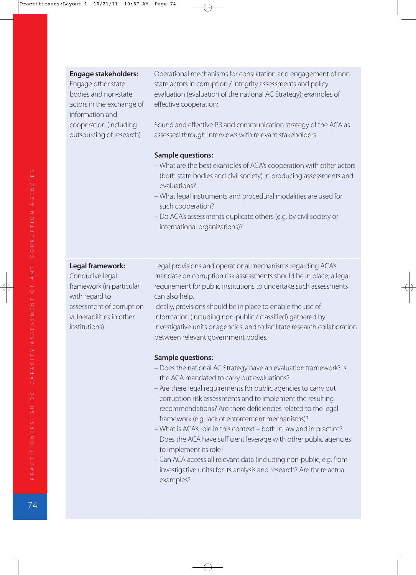| <b>Engage stakeholders:</b><br>Engage other state<br>bodies and non-state<br>actors in the exchange of<br>information and<br>cooperation (including<br>outsourcing of research) | Operational mechanisms for consultation and engagement of non-<br>state actors in corruption / integrity assessments and policy<br>evaluation (evaluation of the national AC Strategy); examples of<br>effective cooperation;<br>Sound and effective PR and communication strategy of the ACA as<br>assessed through interviews with relevant stakeholders.<br><b>Sample questions:</b><br>- What are the best examples of ACA's cooperation with other actors<br>(both state bodies and civil society) in producing assessments and<br>evaluations?<br>- What legal instruments and procedural modalities are used for<br>such cooperation?<br>- Do ACA's assessments duplicate others (e.g. by civil society or<br>international organizations)? |
|---------------------------------------------------------------------------------------------------------------------------------------------------------------------------------|----------------------------------------------------------------------------------------------------------------------------------------------------------------------------------------------------------------------------------------------------------------------------------------------------------------------------------------------------------------------------------------------------------------------------------------------------------------------------------------------------------------------------------------------------------------------------------------------------------------------------------------------------------------------------------------------------------------------------------------------------|
| Legal framework:<br>Conducive legal<br>framework (in particular<br>with regard to<br>assessment of corruption<br>vulnerabilities in other<br>institutions)                      | Legal provisions and operational mechanisms regarding ACA's<br>mandate on corruption risk assessments should be in place; a legal<br>requirement for public institutions to undertake such assessments<br>can also help.<br>Ideally, provisions should be in place to enable the use of<br>information (including non-public / classified) gathered by<br>investigative units or agencies, and to facilitate research collaboration<br>between relevant government bodies.                                                                                                                                                                                                                                                                         |
|                                                                                                                                                                                 | <b>Sample questions:</b><br>- Does the national AC Strategy have an evaluation framework? Is<br>the ACA mandated to carry out evaluations?<br>- Are there legal requirements for public agencies to carry out<br>corruption risk assessments and to implement the resulting<br>recommendations? Are there deficiencies related to the legal<br>framework (e.g. lack of enforcement mechanisms)?<br>- What is ACA's role in this context - both in law and in practice?<br>Does the ACA have sufficient leverage with other public agencies<br>to implement its role?<br>- Can ACA access all relevant data (including non-public, e.g. from<br>investigative units) for its analysis and research? Are there actual<br>examples?                   |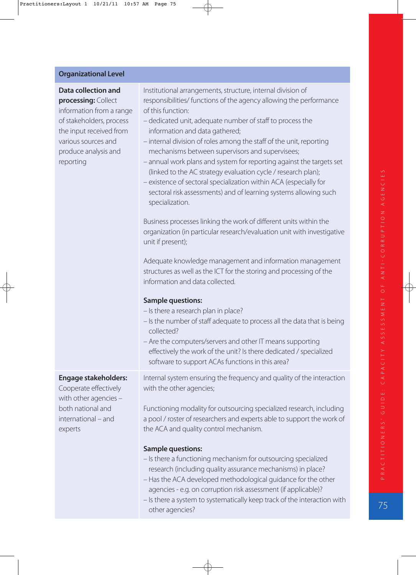#### **Organizational Level**

**Data collection and processing:** Collect information from a range of stakeholders, process the input received from various sources and produce analysis and reporting Institutional arrangements, structure, internal division of responsibilities/ functions of the agency allowing the performance of this function: – dedicated unit, adequate number of staff to process the information and data gathered; – internal division of roles among the staff of the unit, reporting mechanisms between supervisors and supervisees; – annual work plans and system for reporting against the targets set (linked to the AC strategy evaluation cycle / research plan); – existence of sectoral specialization within ACA (especially for sectoral risk assessments) and of learning systems allowing such specialization. Business processes linking the work of different units within the organization (in particular research/evaluation unit with investigative unit if present); Adequate knowledge management and information management structures as well as the ICT for the storing and processing of the information and data collected. **Sample questions:** – Is there a research plan in place? – Is the number of staff adequate to process all the data that is being collected?

– Are the computers/servers and other IT means supporting effectively the work of the unit? Is there dedicated / specialized software to support ACAs functions in this area?

### **Engage stakeholders:**

Cooperate effectively with other agencies – both national and international – and experts

Internal system ensuring the frequency and quality of the interaction with the other agencies;

Functioning modality for outsourcing specialized research, including a pool / roster of researchers and experts able to support the work of the ACA and quality control mechanism.

#### **Sample questions:**

- Is there a functioning mechanism for outsourcing specialized research (including quality assurance mechanisms) in place?
- Has the ACA developed methodological guidance for the other agencies - e.g. on corruption risk assessment (if applicable)?
- Is there a system to systematically keep track of the interaction with other agencies?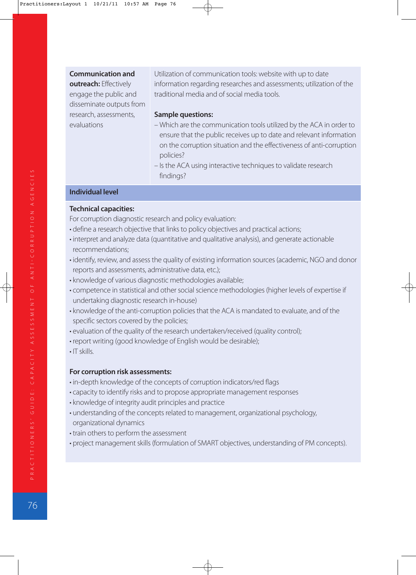#### **Communication and**

**outreach:** Effectively engage the public and disseminate outputs from research, assessments, evaluations

Utilization of communication tools: website with up to date information regarding researches and assessments; utilization of the traditional media and of social media tools.

#### **Sample questions:**

- Which are the communication tools utilized by the ACA in order to ensure that the public receives up to date and relevant information on the corruption situation and the effectiveness of anti-corruption policies?
- Is the ACA using interactive techniques to validate research findings?

#### **Individual level**

#### **Technical capacities:**

For corruption diagnostic research and policy evaluation:

- define a research objective that links to policy objectives and practical actions;
- interpret and analyze data (quantitative and qualitative analysis), and generate actionable recommendations;
- identify, review, and assess the quality of existing information sources (academic, NGO and donor reports and assessments, administrative data, etc.);
- knowledge of various diagnostic methodologies available;
- competence in statistical and other social science methodologies (higher levels of expertise if undertaking diagnostic research in-house)
- knowledge of the anti-corruption policies that the ACA is mandated to evaluate, and of the specific sectors covered by the policies;
- evaluation of the quality of the research undertaken/received (quality control);
- report writing (good knowledge of English would be desirable);
- $\cdot$  IT skills.

#### **For corruption risk assessments:**

- in-depth knowledge of the concepts of corruption indicators/red flags
- capacity to identify risks and to propose appropriate management responses
- knowledge of integrity audit principles and practice
- understanding of the concepts related to management, organizational psychology, organizational dynamics
- train others to perform the assessment
- project management skills (formulation of SMART objectives, understanding of PM concepts).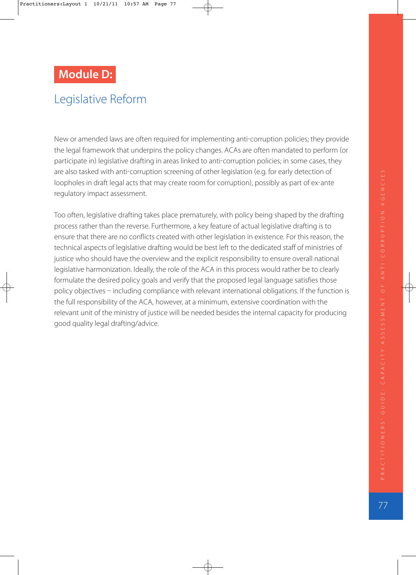# **Module D:**

# Legislative Reform

New or amended laws are often required for implementing anti-corruption policies; they provide the legal framework that underpins the policy changes. ACAs are often mandated to perform (or participate in) legislative drafting in areas linked to anti-corruption policies; in some cases, they are also tasked with anti-corruption screening of other legislation (e.g. for early detection of loopholes in draft legal acts that may create room for corruption), possibly as part of ex-ante regulatory impact assessment.

Too often, legislative drafting takes place prematurely, with policy being shaped by the drafting process rather than the reverse. Furthermore, a key feature of actual legislative drafting is to ensure that there are no conflicts created with other legislation in existence. For this reason, the technical aspects of legislative drafting would be best left to the dedicated staff of ministries of justice who should have the overview and the explicit responsibility to ensure overall national legislative harmonization. Ideally, the role of the ACA in this process would rather be to clearly formulate the desired policy goals and verify that the proposed legal language satisfies those policy objectives - including compliance with relevant international obligations. If the function is the full responsibility of the ACA, however, at a minimum, extensive coordination with the relevant unit of the ministry of justice will be needed besides the internal capacity for producing good quality legal drafting/advice.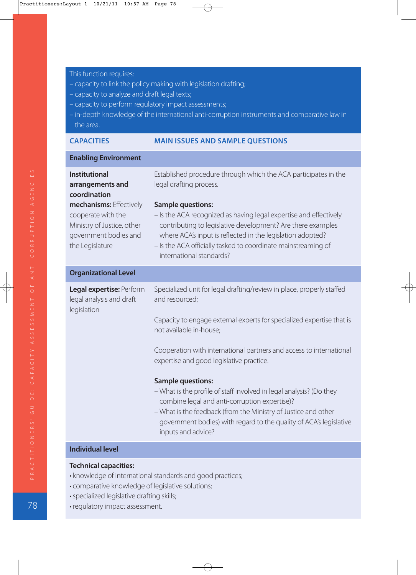- This function requires:
- capacity to link the policy making with legislation drafting;
- capacity to analyze and draft legal texts;
- capacity to perform regulatory impact assessments;
- in-depth knowledge of the international anti-corruption instruments and comparative law in the area.

| <b>CAPACITIES</b> |  |  |
|-------------------|--|--|
|                   |  |  |

#### **MAIN ISSUES AND SAMPLE QUESTIONS**

| <b>Enabling Environment</b>                                                                                                                                                         |                                                                                                                                                                                                                                                                                                                                                                                                                                                                                                                                                                                                                                  |  |
|-------------------------------------------------------------------------------------------------------------------------------------------------------------------------------------|----------------------------------------------------------------------------------------------------------------------------------------------------------------------------------------------------------------------------------------------------------------------------------------------------------------------------------------------------------------------------------------------------------------------------------------------------------------------------------------------------------------------------------------------------------------------------------------------------------------------------------|--|
| <b>Institutional</b><br>arrangements and<br>coordination<br>mechanisms: Effectively<br>cooperate with the<br>Ministry of Justice, other<br>government bodies and<br>the Legislature | Established procedure through which the ACA participates in the<br>legal drafting process.<br><b>Sample questions:</b><br>- Is the ACA recognized as having legal expertise and effectively<br>contributing to legislative development? Are there examples<br>where ACA's input is reflected in the legislation adopted?<br>- Is the ACA officially tasked to coordinate mainstreaming of<br>international standards?                                                                                                                                                                                                            |  |
| <b>Organizational Level</b>                                                                                                                                                         |                                                                                                                                                                                                                                                                                                                                                                                                                                                                                                                                                                                                                                  |  |
| Legal expertise: Perform<br>legal analysis and draft<br>legislation<br>the official characteristics of                                                                              | Specialized unit for legal drafting/review in place, properly staffed<br>and resourced;<br>Capacity to engage external experts for specialized expertise that is<br>not available in-house;<br>Cooperation with international partners and access to international<br>expertise and good legislative practice.<br><b>Sample questions:</b><br>- What is the profile of staff involved in legal analysis? (Do they<br>combine legal and anti-corruption expertise)?<br>- What is the feedback (from the Ministry of Justice and other<br>government bodies) with regard to the quality of ACA's legislative<br>inputs and advice? |  |

#### **Individual level**

- knowledge of international standards and good practices;
- comparative knowledge of legislative solutions;
- specialized legislative drafting skills;
- regulatory impact assessment.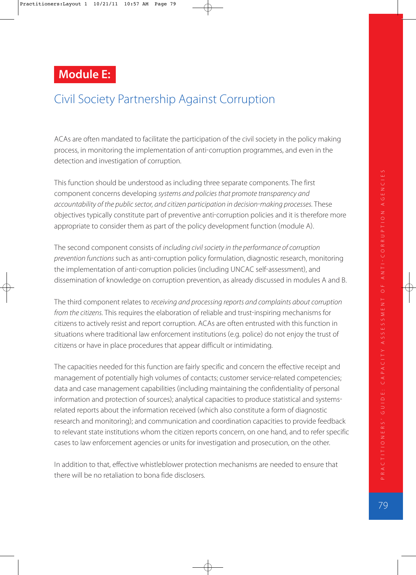# **Module E:**

# Civil Society Partnership Against Corruption

ACAs are often mandated to facilitate the participation of the civil society in the policy making process, in monitoring the implementation of anti-corruption programmes, and even in the detection and investigation of corruption.

This function should be understood as including three separate components. The first component concerns developing systems and policies that promote transparency and accountability of the public sector, and citizen participation in decision-making processes. These objectives typically constitute part of preventive anti-corruption policies and it is therefore more appropriate to consider them as part of the policy development function (module A).

The second component consists of including civil society in the performance of corruption prevention functions such as anti-corruption policy formulation, diagnostic research, monitoring the implementation of anti-corruption policies (including UNCAC self-assessment), and dissemination of knowledge on corruption prevention, as already discussed in modules A and B.

The third component relates to receiving and processing reports and complaints about corruption from the citizens. This requires the elaboration of reliable and trust-inspiring mechanisms for citizens to actively resist and report corruption. ACAs are often entrusted with this function in situations where traditional law enforcement institutions (e.g. police) do not enjoy the trust of citizens or have in place procedures that appear difficult or intimidating.

The capacities needed for this function are fairly specific and concern the effective receipt and management of potentially high volumes of contacts; customer service-related competencies; data and case management capabilities (including maintaining the confidentiality of personal information and protection of sources); analytical capacities to produce statistical and systemsrelated reports about the information received (which also constitute a form of diagnostic research and monitoring); and communication and coordination capacities to provide feedback to relevant state institutions whom the citizen reports concern, on one hand, and to refer specific cases to law enforcement agencies or units for investigation and prosecution, on the other.

In addition to that, effective whistleblower protection mechanisms are needed to ensure that there will be no retaliation to bona fide disclosers.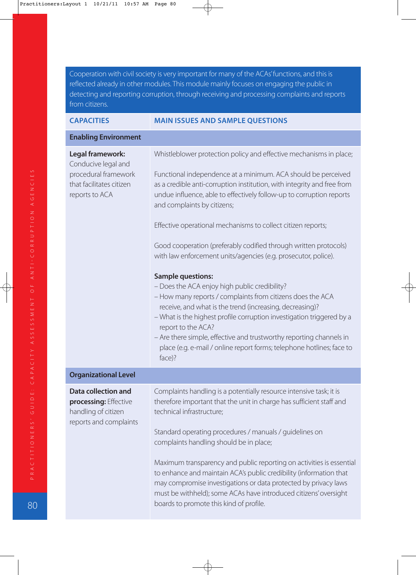Cooperation with civil society is very important for many of the ACAs' functions, and this is reflected already in other modules. This module mainly focuses on engaging the public in detecting and reporting corruption, through receiving and processing complaints and reports from citizens.

#### **CAPACITIES MAIN ISSUES AND SAMPLE QUESTIONS**

#### **Enabling Environment**

| Legal framework:<br>Conducive legal and                                                              | Whistleblower protection policy and effective mechanisms in place;                                                                                                                                                                                                                                                                                                                                                                                           |
|------------------------------------------------------------------------------------------------------|--------------------------------------------------------------------------------------------------------------------------------------------------------------------------------------------------------------------------------------------------------------------------------------------------------------------------------------------------------------------------------------------------------------------------------------------------------------|
| procedural framework<br>that facilitates citizen<br>reports to ACA                                   | Functional independence at a minimum. ACA should be perceived<br>as a credible anti-corruption institution, with integrity and free from<br>undue influence, able to effectively follow-up to corruption reports<br>and complaints by citizens;                                                                                                                                                                                                              |
|                                                                                                      | Effective operational mechanisms to collect citizen reports;                                                                                                                                                                                                                                                                                                                                                                                                 |
|                                                                                                      | Good cooperation (preferably codified through written protocols)<br>with law enforcement units/agencies (e.g. prosecutor, police).                                                                                                                                                                                                                                                                                                                           |
|                                                                                                      | <b>Sample questions:</b><br>- Does the ACA enjoy high public credibility?<br>- How many reports / complaints from citizens does the ACA<br>receive, and what is the trend (increasing, decreasing)?<br>- What is the highest profile corruption investigation triggered by a<br>report to the ACA?<br>- Are there simple, effective and trustworthy reporting channels in<br>place (e.g. e-mail / online report forms; telephone hotlines; face to<br>face)? |
| <b>Organizational Level</b>                                                                          |                                                                                                                                                                                                                                                                                                                                                                                                                                                              |
| <b>Data collection and</b><br>processing: Effective<br>handling of citizen<br>reports and complaints | Complaints handling is a potentially resource intensive task; it is<br>therefore important that the unit in charge has sufficient staff and<br>technical infrastructure;<br>Standard operating procedures / manuals / guidelines on<br>complaints handling should be in place;<br>Maximum transparency and public reporting on activities is essential<br>to enhance and maintain ACA's public credibility (information that                                 |
|                                                                                                      | may compromise investigations or data protected by privacy laws<br>must be withheld); some ACAs have introduced citizens' oversight<br>boards to promote this kind of profile.                                                                                                                                                                                                                                                                               |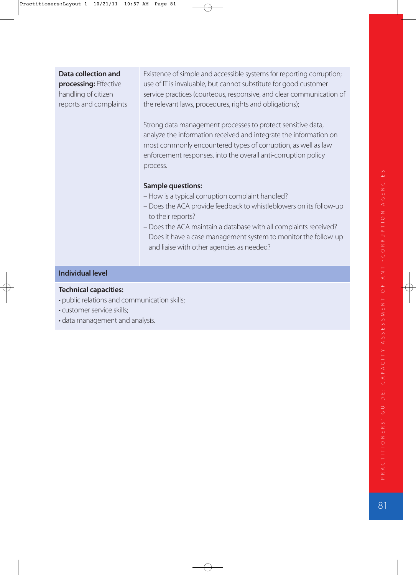### **Data collection and**

**processing:** Effective handling of citizen reports and complaints Existence of simple and accessible systems for reporting corruption; use of IT is invaluable, but cannot substitute for good customer service practices (courteous, responsive, and clear communication of the relevant laws, procedures, rights and obligations);

Strong data management processes to protect sensitive data, analyze the information received and integrate the information on most commonly encountered types of corruption, as well as law enforcement responses, into the overall anti-corruption policy process.

#### **Sample questions:**

- How is a typical corruption complaint handled?
- Does the ACA provide feedback to whistleblowers on its follow-up to their reports?
- Does the ACA maintain a database with all complaints received? Does it have a case management system to monitor the follow-up and liaise with other agencies as needed?

#### **Individual level**

- public relations and communication skills;
- customer service skills;
- data management and analysis.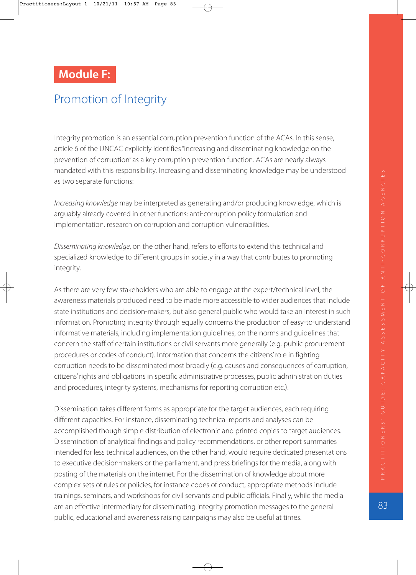# **Module F:**

# Promotion of Integrity

Integrity promotion is an essential corruption prevention function of the ACAs. In this sense, article 6 of the UNCAC explicitly identifies "increasing and disseminating knowledge on the prevention of corruption" as a key corruption prevention function. ACAs are nearly always mandated with this responsibility. Increasing and disseminating knowledge may be understood as two separate functions:

Increasing knowledge may be interpreted as generating and/or producing knowledge, which is arguably already covered in other functions: anti-corruption policy formulation and implementation, research on corruption and corruption vulnerabilities.

Disseminating knowledge, on the other hand, refers to efforts to extend this technical and specialized knowledge to different groups in society in a way that contributes to promoting integrity.

As there are very few stakeholders who are able to engage at the expert/technical level, the awareness materials produced need to be made more accessible to wider audiences that include state institutions and decision-makers, but also general public who would take an interest in such information. Promoting integrity through equally concerns the production of easy-to-understand informative materials, including implementation guidelines, on the norms and guidelines that concern the staff of certain institutions or civil servants more generally (e.g. public procurement procedures or codes of conduct). Information that concerns the citizens' role in fighting corruption needs to be disseminated most broadly (e.g. causes and consequences of corruption, citizens' rights and obligations in specific administrative processes, public administration duties and procedures, integrity systems, mechanisms for reporting corruption etc.).

Dissemination takes different forms as appropriate for the target audiences, each requiring different capacities. For instance, disseminating technical reports and analyses can be accomplished though simple distribution of electronic and printed copies to target audiences. Dissemination of analytical findings and policy recommendations, or other report summaries intended for less technical audiences, on the other hand, would require dedicated presentations to executive decision-makers or the parliament, and press briefings for the media, along with posting of the materials on the internet. For the dissemination of knowledge about more complex sets of rules or policies, for instance codes of conduct, appropriate methods include trainings, seminars, and workshops for civil servants and public officials. Finally, while the media are an effective intermediary for disseminating integrity promotion messages to the general public, educational and awareness raising campaigns may also be useful at times.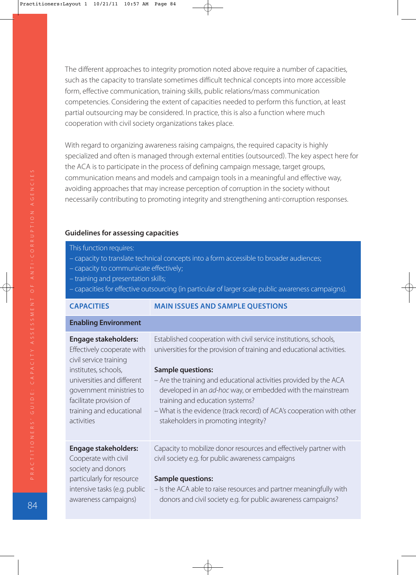The different approaches to integrity promotion noted above require a number of capacities, such as the capacity to translate sometimes difficult technical concepts into more accessible form, effective communication, training skills, public relations/mass communication competencies. Considering the extent of capacities needed to perform this function, at least partial outsourcing may be considered. In practice, this is also a function where much cooperation with civil society organizations takes place.

With regard to organizing awareness raising campaigns, the required capacity is highly specialized and often is managed through external entities (outsourced). The key aspect here for the ACA is to participate in the process of defining campaign message, target groups, communication means and models and campaign tools in a meaningful and effective way, avoiding approaches that may increase perception of corruption in the society without necessarily contributing to promoting integrity and strengthening anti-corruption responses.

#### **Guidelines for assessing capacities**

- This function requires:
- capacity to translate technical concepts into a form accessible to broader audiences;
- capacity to communicate effectively;
- training and presentation skills;
- capacities for effective outsourcing (in particular of larger scale public awareness campaigns).

| <b>CAPACITIES</b> |  |
|-------------------|--|
|                   |  |

**MAIN ISSUES AND SAMPLE QUESTIONS** 

#### **Enabling Environment**

awareness campaigns)

| <b>Engage stakeholders:</b><br>Effectively cooperate with<br>civil service training                                                                 | Established cooperation with civil service institutions, schools,<br>universities for the provision of training and educational activities.                                                                                                                                                                      |
|-----------------------------------------------------------------------------------------------------------------------------------------------------|------------------------------------------------------------------------------------------------------------------------------------------------------------------------------------------------------------------------------------------------------------------------------------------------------------------|
| institutes, schools,<br>universities and different<br>government ministries to<br>facilitate provision of<br>training and educational<br>activities | <b>Sample questions:</b><br>- Are the training and educational activities provided by the ACA<br>developed in an ad-hoc way, or embedded with the mainstream<br>training and education systems?<br>- What is the evidence (track record) of ACA's cooperation with other<br>stakeholders in promoting integrity? |
| <b>Engage stakeholders:</b><br>Cooperate with civil<br>society and donors<br>particularly for resource                                              | Capacity to mobilize donor resources and effectively partner with<br>civil society e.g. for public awareness campaigns<br><b>Sample questions:</b>                                                                                                                                                               |
| intensive tasks (e.g. public                                                                                                                        | - Is the ACA able to raise resources and partner meaningfully with                                                                                                                                                                                                                                               |

donors and civil society e.g. for public awareness campaigns?

84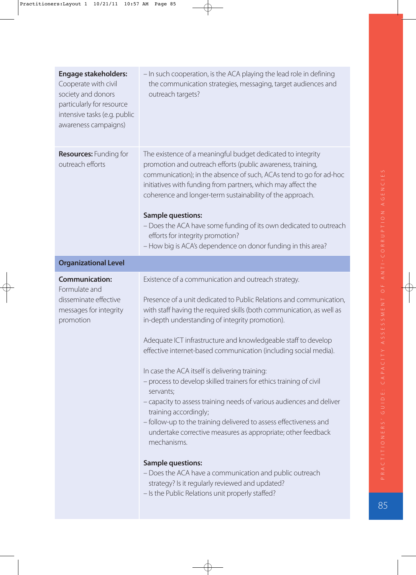| <b>Engage stakeholders:</b><br>Cooperate with civil<br>society and donors<br>particularly for resource<br>intensive tasks (e.g. public<br>awareness campaigns) | - In such cooperation, is the ACA playing the lead role in defining<br>the communication strategies, messaging, target audiences and<br>outreach targets?                                                                                                                                                                                                                                                                                                                                                                                                                                                                                                                                                                                                                                                                                                                                                                                                                            |
|----------------------------------------------------------------------------------------------------------------------------------------------------------------|--------------------------------------------------------------------------------------------------------------------------------------------------------------------------------------------------------------------------------------------------------------------------------------------------------------------------------------------------------------------------------------------------------------------------------------------------------------------------------------------------------------------------------------------------------------------------------------------------------------------------------------------------------------------------------------------------------------------------------------------------------------------------------------------------------------------------------------------------------------------------------------------------------------------------------------------------------------------------------------|
| <b>Resources: Funding for</b><br>outreach efforts                                                                                                              | The existence of a meaningful budget dedicated to integrity<br>promotion and outreach efforts (public awareness, training,<br>communication); in the absence of such, ACAs tend to go for ad-hoc<br>initiatives with funding from partners, which may affect the<br>coherence and longer-term sustainability of the approach.<br><b>Sample questions:</b><br>- Does the ACA have some funding of its own dedicated to outreach<br>efforts for integrity promotion?<br>- How big is ACA's dependence on donor funding in this area?                                                                                                                                                                                                                                                                                                                                                                                                                                                   |
| <b>Organizational Level</b>                                                                                                                                    |                                                                                                                                                                                                                                                                                                                                                                                                                                                                                                                                                                                                                                                                                                                                                                                                                                                                                                                                                                                      |
| <b>Communication:</b><br>Formulate and<br>disseminate effective<br>messages for integrity<br>promotion                                                         | Existence of a communication and outreach strategy.<br>Presence of a unit dedicated to Public Relations and communication,<br>with staff having the required skills (both communication, as well as<br>in-depth understanding of integrity promotion).<br>Adequate ICT infrastructure and knowledgeable staff to develop<br>effective internet-based communication (including social media).<br>In case the ACA itself is delivering training:<br>- process to develop skilled trainers for ethics training of civil<br>servants;<br>- capacity to assess training needs of various audiences and deliver<br>training accordingly;<br>- follow-up to the training delivered to assess effectiveness and<br>undertake corrective measures as appropriate; other feedback<br>mechanisms.<br><b>Sample questions:</b><br>- Does the ACA have a communication and public outreach<br>strategy? Is it regularly reviewed and updated?<br>- Is the Public Relations unit properly staffed? |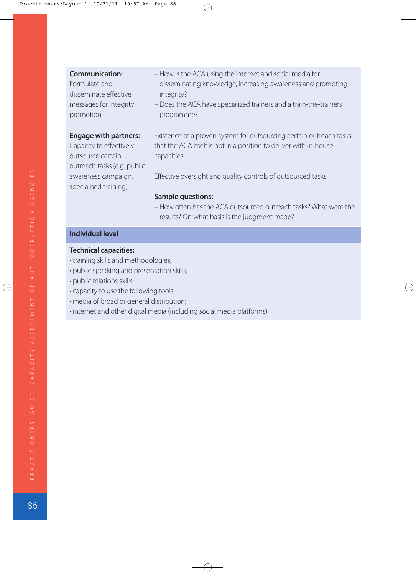| <b>Communication:</b><br>Formulate and<br>disseminate effective<br>messages for integrity<br>promotion                                                      | - How is the ACA using the internet and social media for<br>disseminating knowledge, increasing awareness and promoting<br>integrity?<br>- Does the ACA have specialized trainers and a train-the-trainers<br>programme? |
|-------------------------------------------------------------------------------------------------------------------------------------------------------------|--------------------------------------------------------------------------------------------------------------------------------------------------------------------------------------------------------------------------|
| <b>Engage with partners:</b><br>Capacity to effectively<br>outsource certain<br>outreach tasks (e.g. public<br>awareness campaign,<br>specialised training) | Existence of a proven system for outsourcing certain outreach tasks<br>that the ACA itself is not in a position to deliver with in-house<br>capacities.<br>Effective oversight and quality controls of outsourced tasks. |
|                                                                                                                                                             | <b>Sample questions:</b><br>- How often has the ACA outsourced outreach tasks? What were the<br>results? On what basis is the judgment made?                                                                             |
| <b>Individual level</b>                                                                                                                                     |                                                                                                                                                                                                                          |

- training skills and methodologies;
- public speaking and presentation skills;
- public relations skills;
- capacity to use the following tools:
- media of broad or general distribution;
- internet and other digital media (including social media platforms).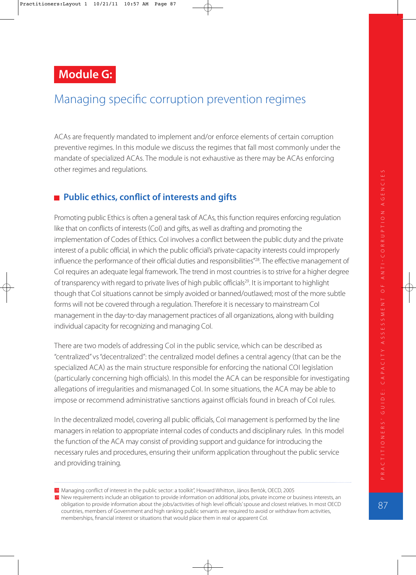**Module G:** 

# Managing specific corruption prevention regimes

ACAs are frequently mandated to implement and/or enforce elements of certain corruption preventive regimes. In this module we discuss the regimes that fall most commonly under the mandate of specialized ACAs. The module is not exhaustive as there may be ACAs enforcing other regimes and regulations.

### ■ Public ethics, conflict of interests and gifts

Promoting public Ethics is often a general task of ACAs, this function requires enforcing regulation like that on conflicts of interests (CoI) and gifts, as well as drafting and promoting the implementation of Codes of Ethics. Col involves a conflict between the public duty and the private interest of a public official, in which the public official's private-capacity interests could improperly influence the performance of their official duties and responsibilities"<sup>28</sup>. The effective management of CoI requires an adequate legal framework. The trend in most countries is to strive for a higher degree of transparency with regard to private lives of high public officials<sup>29</sup>. It is important to highlight though that CoI situations cannot be simply avoided or banned/outlawed; most of the more subtle forms will not be covered through a regulation. Therefore it is necessary to mainstream CoI management in the day-to-day management practices of all organizations, along with building individual capacity for recognizing and managing CoI.

There are two models of addressing CoI in the public service, which can be described as "centralized" vs "decentralized": the centralized model defines a central agency that can be the specialized ACA) as the main structure responsible for enforcing the national COI legislation (particularly concerning high officials). In this model the ACA can be responsible for investigating allegations of irregularities and mismanaged CoI. In some situations, the ACA may be able to impose or recommend administrative sanctions against officials found in breach of CoI rules.

In the decentralized model, covering all public officials, CoI management is performed by the line managers in relation to appropriate internal codes of conducts and disciplinary rules. In this model the function of the ACA may consist of providing support and guidance for introducing the necessary rules and procedures, ensuring their uniform application throughout the public service and providing training.

<sup>28</sup> Managing conflict of interest in the public sector: a toolkit", Howard Whitton, János Bertók, OECD, 2005 New requirements include an obligation to provide information on additional jobs, private income or business interests, an 29 obligation to provide information about the jobs/activities of high level officials' spouse and closest relatives. In most OECD countries, members of Government and high ranking public servants are required to avoid or withdraw from activities, memberships, financial interest or situations that would place them in real or apparent CoI.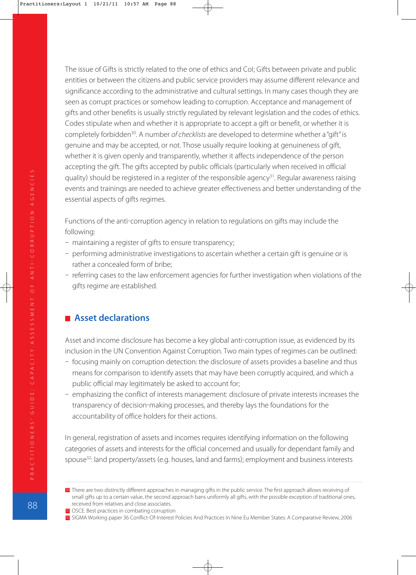The issue of Gifts is strictly related to the one of ethics and CoI; Gifts between private and public entities or between the citizens and public service providers may assume different relevance and significance according to the administrative and cultural settings. In many cases though they are seen as corrupt practices or somehow leading to corruption. Acceptance and management of gifts and other benefits is usually strictly regulated by relevant legislation and the codes of ethics. Codes stipulate when and whether it is appropriate to accept a gift or benefit, or whether it is completely forbidden<sup>30</sup>. A number of checklists are developed to determine whether a "gift" is genuine and may be accepted, or not. Those usually require looking at genuineness of gift, whether it is given openly and transparently, whether it affects independence of the person accepting the gift. The gifts accepted by public officials (particularly when received in official quality) should be registered in a register of the responsible agency<sup>31</sup>. Regular awareness raising events and trainings are needed to achieve greater effectiveness and better understanding of the essential aspects of gifts regimes.

Functions of the anti-corruption agency in relation to regulations on gifts may include the following:

- maintaining a register of gifts to ensure transparency;
- performing administrative investigations to ascertain whether a certain gift is genuine or is rather a concealed form of bribe;
- referring cases to the law enforcement agencies for further investigation when violations of the gifts regime are established.

### **Asset declarations**

Asset and income disclosure has become a key global anti-corruption issue, as evidenced by its inclusion in the UN Convention Against Corruption. Two main types of regimes can be outlined:

- focusing mainly on corruption detection: the disclosure of assets provides a baseline and thus means for comparison to identify assets that may have been corruptly acquired, and which a public official may legitimately be asked to account for;
- emphasizing the conflict of interests management: disclosure of private interests increases the transparency of decision-making processes, and thereby lays the foundations for the accountability of office holders for their actions.

In general, registration of assets and incomes requires identifying information on the following categories of assets and interests for the official concerned and usually for dependant family and spouse<sup>32</sup>: land property/assets (e.g. houses, land and farms); employment and business interests

**<sup>30</sup>** There are two distinctly different approaches in managing gifts in the public service. The first approach allows receiving of small gifts up to a certain value, the second approach bans uniformly all gifts, with the possible exception of traditional ones, received from relatives and close associates.

<sup>31</sup> OSCE. Best practices in combating corruption

<sup>32</sup> SIGMA Working paper 36 Conflict-Of-Interest Policies And Practices In Nine Eu Member States: A Comparative Review, 2006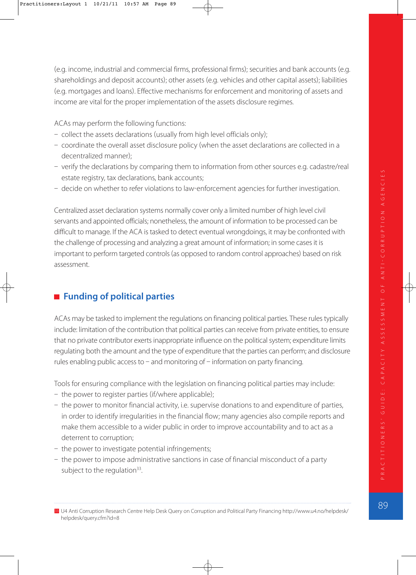(e.g. income, industrial and commercial firms, professional firms); securities and bank accounts (e.g. shareholdings and deposit accounts); other assets (e.g. vehicles and other capital assets); liabilities (e.g. mortgages and loans). Effective mechanisms for enforcement and monitoring of assets and income are vital for the proper implementation of the assets disclosure regimes.

ACAs may perform the following functions:

- $-$  collect the assets declarations (usually from high level officials only);
- coordinate the overall asset disclosure policy (when the asset declarations are collected in a decentralized manner);
- verify the declarations by comparing them to information from other sources e.g. cadastre/real estate registry, tax declarations, bank accounts;
- decide on whether to refer violations to law-enforcement agencies for further investigation.

Centralized asset declaration systems normally cover only a limited number of high level civil servants and appointed officials; nonetheless, the amount of information to be processed can be difficult to manage. If the ACA is tasked to detect eventual wrongdoings, it may be confronted with the challenge of processing and analyzing a great amount of information; in some cases it is important to perform targeted controls (as opposed to random control approaches) based on risk assessment.

### **Funding of political parties**

ACAs may be tasked to implement the regulations on financing political parties. These rules typically include: limitation of the contribution that political parties can receive from private entities, to ensure that no private contributor exerts inappropriate influence on the political system; expenditure limits regulating both the amount and the type of expenditure that the parties can perform; and disclosure rules enabling public access to  $-$  and monitoring of  $-$  information on party financing.

Tools for ensuring compliance with the legislation on financing political parties may include:

- the power to register parties (if/where applicable);
- the power to monitor financial activity, i.e. supervise donations to and expenditure of parties, in order to identify irregularities in the financial flow; many agencies also compile reports and make them accessible to a wider public in order to improve accountability and to act as a deterrent to corruption;
- the power to investigate potential infringements;
- the power to impose administrative sanctions in case of financial misconduct of a party subject to the regulation $33$ .

<sup>33</sup> U4 Anti Corruption Research Centre Help Desk Query on Corruption and Political Party Financing http://www.u4.no/helpdesk/ helpdesk/query.cfm?id=8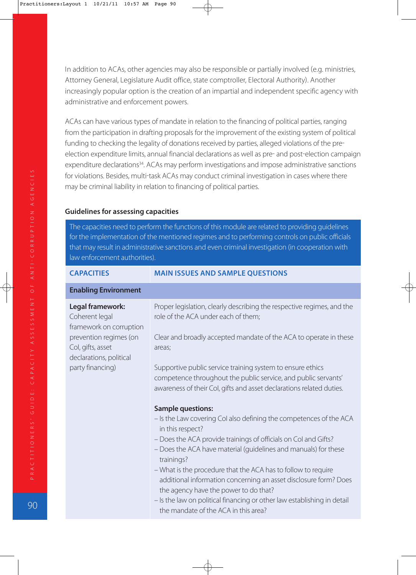In addition to ACAs, other agencies may also be responsible or partially involved (e.g. ministries, Attorney General, Legislature Audit office, state comptroller, Electoral Authority). Another increasingly popular option is the creation of an impartial and independent specific agency with administrative and enforcement powers.

ACAs can have various types of mandate in relation to the financing of political parties, ranging from the participation in drafting proposals for the improvement of the existing system of political funding to checking the legality of donations received by parties, alleged violations of the pre election expenditure limits, annual financial declarations as well as pre- and post-election campaign expenditure declarations<sup>34</sup>. ACAs may perform investigations and impose administrative sanctions for violations. Besides, multi-task ACAs may conduct criminal investigation in cases where there may be criminal liability in relation to financing of political parties.

#### **Guidelines for assessing capacities**

The capacities need to perform the functions of this module are related to providing guidelines for the implementation of the mentioned regimes and to performing controls on public officials that may result in administrative sanctions and even criminal investigation (in cooperation with law enforcement authorities).

| <b>CAPACITIES</b>                                                                                                                                           | <b>MAIN ISSUES AND SAMPLE QUESTIONS</b>                                                                                                                                                                                                                                                                                                                                                                                                                                                                                                                                                                                                                                                                                                                                                                                                                                                                                                                                         |
|-------------------------------------------------------------------------------------------------------------------------------------------------------------|---------------------------------------------------------------------------------------------------------------------------------------------------------------------------------------------------------------------------------------------------------------------------------------------------------------------------------------------------------------------------------------------------------------------------------------------------------------------------------------------------------------------------------------------------------------------------------------------------------------------------------------------------------------------------------------------------------------------------------------------------------------------------------------------------------------------------------------------------------------------------------------------------------------------------------------------------------------------------------|
| <b>Enabling Environment</b>                                                                                                                                 |                                                                                                                                                                                                                                                                                                                                                                                                                                                                                                                                                                                                                                                                                                                                                                                                                                                                                                                                                                                 |
| Legal framework:<br>Coherent legal<br>framework on corruption<br>prevention regimes (on<br>Col, gifts, asset<br>declarations, political<br>party financing) | Proper legislation, clearly describing the respective regimes, and the<br>role of the ACA under each of them;<br>Clear and broadly accepted mandate of the ACA to operate in these<br>areas;<br>Supportive public service training system to ensure ethics<br>competence throughout the public service, and public servants'<br>awareness of their Col, gifts and asset declarations related duties.<br><b>Sample questions:</b><br>- Is the Law covering Col also defining the competences of the ACA<br>in this respect?<br>- Does the ACA provide trainings of officials on Col and Gifts?<br>- Does the ACA have material (guidelines and manuals) for these<br>trainings?<br>- What is the procedure that the ACA has to follow to require<br>additional information concerning an asset disclosure form? Does<br>the agency have the power to do that?<br>- Is the law on political financing or other law establishing in detail<br>the mandate of the ACA in this area? |
|                                                                                                                                                             |                                                                                                                                                                                                                                                                                                                                                                                                                                                                                                                                                                                                                                                                                                                                                                                                                                                                                                                                                                                 |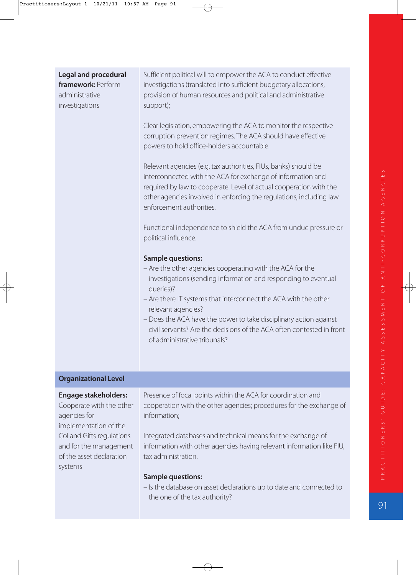| <b>Legal and procedural</b><br>framework: Perform<br>administrative<br>investigations | Sufficient political will to empower the ACA to conduct effective<br>investigations (translated into sufficient budgetary allocations,<br>provision of human resources and political and administrative<br>support);                                                                                                                                                                                                                        |
|---------------------------------------------------------------------------------------|---------------------------------------------------------------------------------------------------------------------------------------------------------------------------------------------------------------------------------------------------------------------------------------------------------------------------------------------------------------------------------------------------------------------------------------------|
|                                                                                       | Clear legislation, empowering the ACA to monitor the respective<br>corruption prevention regimes. The ACA should have effective<br>powers to hold office-holders accountable.                                                                                                                                                                                                                                                               |
|                                                                                       | Relevant agencies (e.g. tax authorities, FIUs, banks) should be<br>interconnected with the ACA for exchange of information and<br>required by law to cooperate. Level of actual cooperation with the<br>other agencies involved in enforcing the regulations, including law<br>enforcement authorities.                                                                                                                                     |
|                                                                                       | Functional independence to shield the ACA from undue pressure or<br>political influence.                                                                                                                                                                                                                                                                                                                                                    |
|                                                                                       | <b>Sample questions:</b><br>- Are the other agencies cooperating with the ACA for the<br>investigations (sending information and responding to eventual<br>queries)?<br>- Are there IT systems that interconnect the ACA with the other<br>relevant agencies?<br>- Does the ACA have the power to take disciplinary action against<br>civil servants? Are the decisions of the ACA often contested in front<br>of administrative tribunals? |
| <b>A</b> 10                                                                           |                                                                                                                                                                                                                                                                                                                                                                                                                                             |

#### **Organizational Level**

#### **Engage stakeholders:**

Cooperate with the other agencies for implementation of the CoI and Gifts regulations and for the management of the asset declaration systems

Presence of focal points within the ACA for coordination and cooperation with the other agencies; procedures for the exchange of information;

Integrated databases and technical means for the exchange of information with other agencies having relevant information like FIU, tax administration.

#### **Sample questions:**

– Is the database on asset declarations up to date and connected to the one of the tax authority?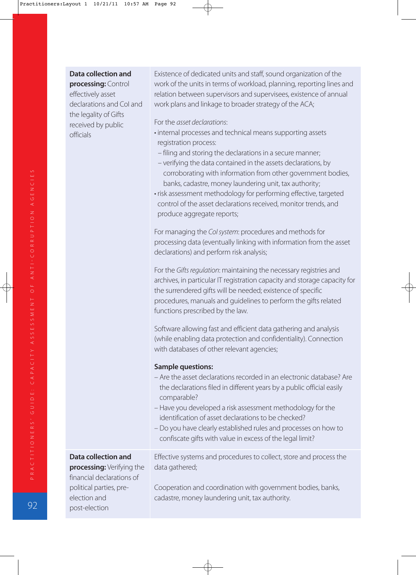#### **Data collection and**

**processing:** Control effectively asset declarations and CoI and the legality of Gifts received by public officials

Existence of dedicated units and staff, sound organization of the work of the units in terms of workload, planning, reporting lines and relation between supervisors and supervisees, existence of annual work plans and linkage to broader strategy of the ACA;

For the asset declarations:

- internal processes and technical means supporting assets registration process:
	- filing and storing the declarations in a secure manner;
	- verifying the data contained in the assets declarations, by corroborating with information from other government bodies, banks, cadastre, money laundering unit, tax authority;
- risk assessment methodology for performing effective, targeted control of the asset declarations received, monitor trends, and produce aggregate reports;

For managing the Col system: procedures and methods for processing data (eventually linking with information from the asset declarations) and perform risk analysis;

For the Gifts regulation: maintaining the necessary registries and archives, in particular IT registration capacity and storage capacity for the surrendered gifts will be needed; existence of specific procedures, manuals and guidelines to perform the gifts related functions prescribed by the law.

Software allowing fast and efficient data gathering and analysis (while enabling data protection and confidentiality). Connection with databases of other relevant agencies;

#### **Sample questions:**

- Are the asset declarations recorded in an electronic database? Are the declarations filed in different years by a public official easily comparable?
- Have you developed a risk assessment methodology for the identification of asset declarations to be checked?
- Do you have clearly established rules and processes on how to confiscate gifts with value in excess of the legal limit?

#### **Data collection and**

**processing:** Verifying the financial declarations of political parties, preelection and post-election

Effective systems and procedures to collect, store and process the data gathered;

Cooperation and coordination with government bodies, banks, cadastre, money laundering unit, tax authority.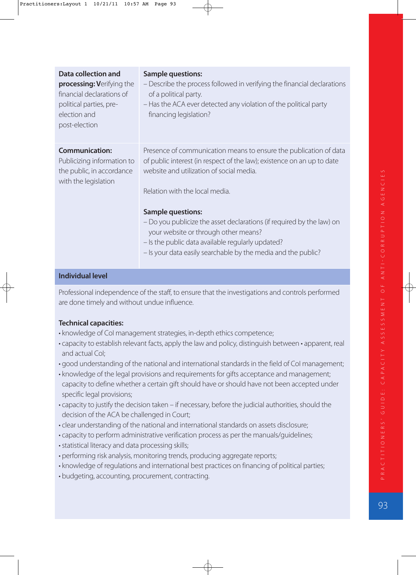| <b>Data collection and</b><br>processing: Verifying the<br>financial declarations of<br>political parties, pre-<br>election and<br>post-election | <b>Sample questions:</b><br>- Describe the process followed in verifying the financial declarations<br>of a political party.<br>- Has the ACA ever detected any violation of the political party<br>financing legislation?                                                                                                                                                                                                                                                                   |
|--------------------------------------------------------------------------------------------------------------------------------------------------|----------------------------------------------------------------------------------------------------------------------------------------------------------------------------------------------------------------------------------------------------------------------------------------------------------------------------------------------------------------------------------------------------------------------------------------------------------------------------------------------|
| <b>Communication:</b><br>Publicizing information to<br>the public, in accordance<br>with the legislation                                         | Presence of communication means to ensure the publication of data<br>of public interest (in respect of the law); existence on an up to date<br>website and utilization of social media.<br>Relation with the local media.<br><b>Sample questions:</b><br>- Do you publicize the asset declarations (if required by the law) on<br>your website or through other means?<br>- Is the public data available regularly updated?<br>- Is your data easily searchable by the media and the public? |
| <b>Individual level</b>                                                                                                                          |                                                                                                                                                                                                                                                                                                                                                                                                                                                                                              |

**Individual level**

Professional independence of the staff, to ensure that the investigations and controls performed are done timely and without undue influence.

- knowledge of CoI management strategies, in-depth ethics competence;
- capacity to establish relevant facts, apply the law and policy, distinguish between apparent, real and actual CoI;
- good understanding of the national and international standards in the field of CoI management;
- knowledge of the legal provisions and requirements for gifts acceptance and management; capacity to define whether a certain gift should have or should have not been accepted under specific legal provisions;
- capacity to justify the decision taken if necessary, before the judicial authorities, should the decision of the ACA be challenged in Court;
- clear understanding of the national and international standards on assets disclosure;
- capacity to perform administrative verification process as per the manuals/guidelines;
- statistical literacy and data processing skills;
- performing risk analysis, monitoring trends, producing aggregate reports;
- knowledge of regulations and international best practices on financing of political parties;
- budgeting, accounting, procurement, contracting.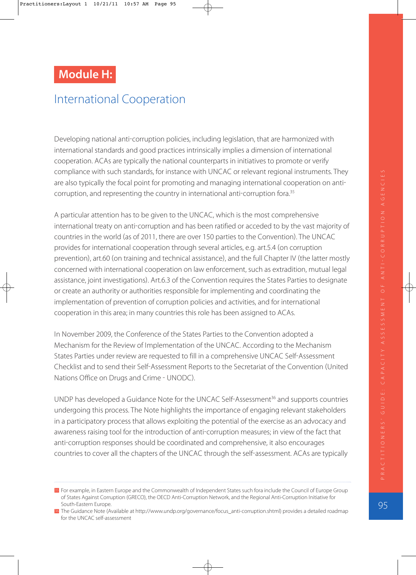# **Module H:**

# International Cooperation

Developing national anti-corruption policies, including legislation, that are harmonized with international standards and good practices intrinsically implies a dimension of international cooperation. ACAs are typically the national counterparts in initiatives to promote or verify compliance with such standards, for instance with UNCAC or relevant regional instruments. They are also typically the focal point for promoting and managing international cooperation on anti corruption, and representing the country in international anti-corruption fora.<sup>35</sup>

A particular attention has to be given to the UNCAC, which is the most comprehensive international treaty on anti-corruption and has been ratified or acceded to by the vast majority of countries in the world (as of 2011, there are over 150 parties to the Convention). The UNCAC provides for international cooperation through several articles, e.g. art.5.4 (on corruption prevention), art.60 (on training and technical assistance), and the full Chapter IV (the latter mostly concerned with international cooperation on law enforcement, such as extradition, mutual legal assistance, joint investigations). Art.6.3 of the Convention requires the States Parties to designate or create an authority or authorities responsible for implementing and coordinating the implementation of prevention of corruption policies and activities, and for international cooperation in this area; in many countries this role has been assigned to ACAs.

In November 2009, the Conference of the States Parties to the Convention adopted a Mechanism for the Review of Implementation of the UNCAC. According to the Mechanism States Parties under review are requested to fill in a comprehensive UNCAC Self-Assessment Checklist and to send their Self-Assessment Reports to the Secretariat of the Convention (United Nations Office on Drugs and Crime - UNODC).

UNDP has developed a Guidance Note for the UNCAC Self-Assessment<sup>36</sup> and supports countries undergoing this process. The Note highlights the importance of engaging relevant stakeholders in a participatory process that allows exploiting the potential of the exercise as an advocacy and awareness raising tool for the introduction of anti-corruption measures; in view of the fact that anti-corruption responses should be coordinated and comprehensive, it also encourages countries to cover all the chapters of the UNCAC through the self-assessment. ACAs are typically

**<sup>35</sup>** For example, in Eastern Europe and the Commonwealth of Independent States such fora include the Council of Europe Group of States Against Corruption (GRECO), the OECD Anti-Corruption Network, and the Regional Anti-Corruption Initiative for South-Eastern Europe.

<sup>36</sup> The Guidance Note (Available at http://www.undp.org/governance/focus\_anti-corruption.shtml) provides a detailed roadmap for the UNCAC self-assessment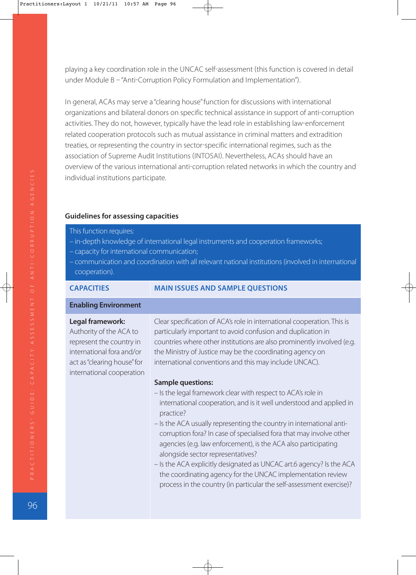playing a key coordination role in the UNCAC self-assessment (this function is covered in detail under Module B - "Anti-Corruption Policy Formulation and Implementation").

In general, ACAs may serve a "clearing house" function for discussions with international organizations and bilateral donors on specific technical assistance in support of anti-corruption activities. They do not, however, typically have the lead role in establishing law-enforcement related cooperation protocols such as mutual assistance in criminal matters and extradition treaties, or representing the country in sector-specific international regimes, such as the association of Supreme Audit Institutions (INTOSAI). Nevertheless, ACAs should have an overview of the various international anti-corruption related networks in which the country and individual institutions participate.

#### **Guidelines for assessing capacities**

- This function requires:
- in-depth knowledge of international legal instruments and cooperation frameworks;
- capacity for international communication;
- communication and coordination with all relevant national institutions (involved in international cooperation).

#### **CAPACITIES MAIN ISSUES AND SAMPLE QUESTIONS**

#### **Enabling Environment**

#### **Legal framework:**

Authority of the ACA to represent the country in international fora and/or act as "clearing house" for international cooperation Clear specification of ACA's role in international cooperation. This is particularly important to avoid confusion and duplication in countries where other institutions are also prominently involved (e.g. the Ministry of Justice may be the coordinating agency on international conventions and this may include UNCAC).

#### **Sample questions:**

- Is the legal framework clear with respect to ACA's role in international cooperation, and is it well understood and applied in practice?
- Is the ACA usually representing the country in international anticorruption fora? In case of specialised fora that may involve other agencies (e.g. law enforcement), is the ACA also participating alongside sector representatives?
- Is the ACA explicitly designated as UNCAC art.6 agency? Is the ACA the coordinating agency for the UNCAC implementation review process in the country (in particular the self-assessment exercise)?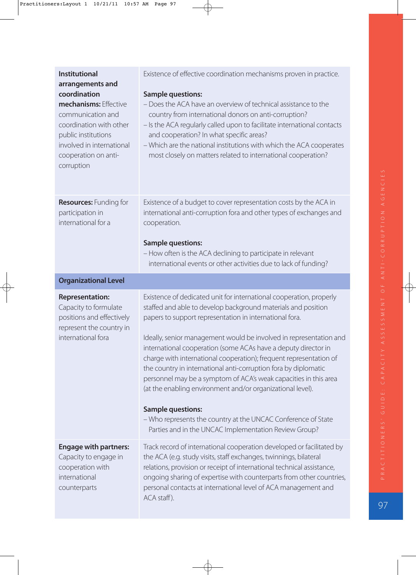| <b>Institutional</b><br>arrangements and<br>coordination<br>mechanisms: Effective<br>communication and<br>coordination with other<br>public institutions<br>involved in international<br>cooperation on anti-<br>corruption | Existence of effective coordination mechanisms proven in practice.<br><b>Sample questions:</b><br>- Does the ACA have an overview of technical assistance to the<br>country from international donors on anti-corruption?<br>- Is the ACA regularly called upon to facilitate international contacts<br>and cooperation? In what specific areas?<br>- Which are the national institutions with which the ACA cooperates<br>most closely on matters related to international cooperation?                                                                                                                                                                                                                                                                                 |
|-----------------------------------------------------------------------------------------------------------------------------------------------------------------------------------------------------------------------------|--------------------------------------------------------------------------------------------------------------------------------------------------------------------------------------------------------------------------------------------------------------------------------------------------------------------------------------------------------------------------------------------------------------------------------------------------------------------------------------------------------------------------------------------------------------------------------------------------------------------------------------------------------------------------------------------------------------------------------------------------------------------------|
| <b>Resources: Funding for</b><br>participation in<br>international for a                                                                                                                                                    | Existence of a budget to cover representation costs by the ACA in<br>international anti-corruption fora and other types of exchanges and<br>cooperation.<br><b>Sample questions:</b><br>- How often is the ACA declining to participate in relevant<br>international events or other activities due to lack of funding?                                                                                                                                                                                                                                                                                                                                                                                                                                                  |
| <b>Organizational Level</b>                                                                                                                                                                                                 |                                                                                                                                                                                                                                                                                                                                                                                                                                                                                                                                                                                                                                                                                                                                                                          |
| <b>Representation:</b><br>Capacity to formulate<br>positions and effectively<br>represent the country in<br>international fora                                                                                              | Existence of dedicated unit for international cooperation, properly<br>staffed and able to develop background materials and position<br>papers to support representation in international fora.<br>Ideally, senior management would be involved in representation and<br>international cooperation (some ACAs have a deputy director in<br>charge with international cooperation); frequent representation of<br>the country in international anti-corruption fora by diplomatic<br>personnel may be a symptom of ACA's weak capacities in this area<br>(at the enabling environment and/or organizational level).<br><b>Sample questions:</b><br>- Who represents the country at the UNCAC Conference of State<br>Parties and in the UNCAC Implementation Review Group? |
| <b>Engage with partners:</b><br>Capacity to engage in<br>cooperation with                                                                                                                                                   | Track record of international cooperation developed or facilitated by<br>the ACA (e.g. study visits, staff exchanges, twinnings, bilateral<br>relations, provision or receipt of international technical assistance,                                                                                                                                                                                                                                                                                                                                                                                                                                                                                                                                                     |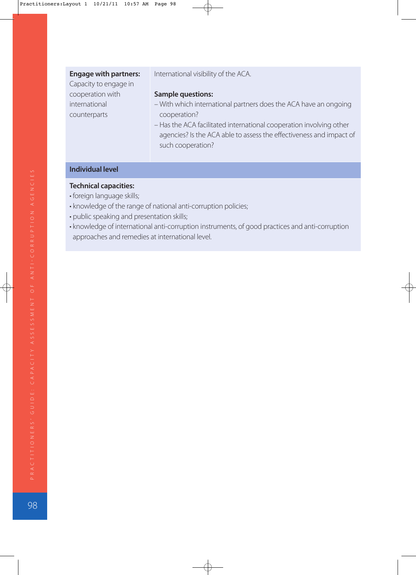| <b>Engage with partners:</b> | International visibility of the ACA.                                |
|------------------------------|---------------------------------------------------------------------|
| Capacity to engage in        |                                                                     |
| cooperation with             | <b>Sample questions:</b>                                            |
| international                | - With which international partners does the ACA have an ongoing    |
| counterparts                 | cooperation?                                                        |
|                              | - Has the ACA facilitated international cooperation involving other |
|                              | agencies? Is the ACA able to assess the effectiveness and impact of |
|                              | such cooperation?                                                   |
|                              |                                                                     |

### **Individual level**

- foreign language skills;
- knowledge of the range of national anti-corruption policies;
- public speaking and presentation skills;
- knowledge of international anti-corruption instruments, of good practices and anti-corruption approaches and remedies at international level.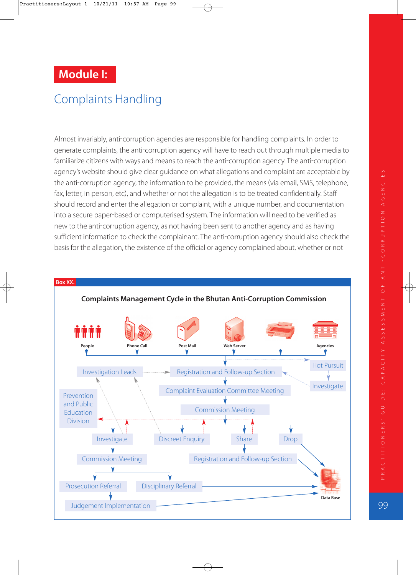# **Module I:**

# Complaints Handling

Almost invariably, anti-corruption agencies are responsible for handling complaints. In order to generate complaints, the anti-corruption agency will have to reach out through multiple media to familiarize citizens with ways and means to reach the anti-corruption agency. The anti-corruption agency's website should give clear guidance on what allegations and complaint are acceptable by the anti-corruption agency, the information to be provided, the means (via email, SMS, telephone, fax, letter, in person, etc), and whether or not the allegation is to be treated confidentially. Staff should record and enter the allegation or complaint, with a unique number, and documentation into a secure paper-based or computerised system. The information will need to be verified as new to the anti-corruption agency, as not having been sent to another agency and as having sufficient information to check the complainant. The anti-corruption agency should also check the basis for the allegation, the existence of the official or agency complained about, whether or not

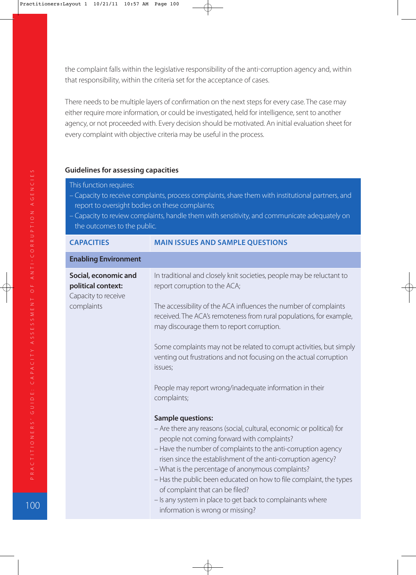the complaint falls within the legislative responsibility of the anti-corruption agency and, within that responsibility, within the criteria set for the acceptance of cases.

There needs to be multiple layers of confirmation on the next steps for every case. The case may either require more information, or could be investigated, held for intelligence, sent to another agency, or not proceeded with. Every decision should be motivated. An initial evaluation sheet for every complaint with objective criteria may be useful in the process.

#### **Guidelines for assessing capacities**

- This function requires:
- Capacity to receive complaints, process complaints, share them with institutional partners, and report to oversight bodies on these complaints;
- Capacity to review complaints, handle them with sensitivity, and communicate adequately on the outcomes to the public.

| <b>CAPACITIES</b>                                                 | <b>MAIN ISSUES AND SAMPLE QUESTIONS</b>                                                                                                                                              |
|-------------------------------------------------------------------|--------------------------------------------------------------------------------------------------------------------------------------------------------------------------------------|
| <b>Enabling Environment</b>                                       |                                                                                                                                                                                      |
| Social, economic and<br>political context:<br>Capacity to receive | In traditional and closely knit societies, people may be reluctant to<br>report corruption to the ACA;                                                                               |
| complaints                                                        | The accessibility of the ACA influences the number of complaints<br>received. The ACA's remoteness from rural populations, for example,<br>may discourage them to report corruption. |
|                                                                   | Some complaints may not be related to corrupt activities, but simply<br>venting out frustrations and not focusing on the actual corruption<br>issues;                                |
|                                                                   | People may report wrong/inadequate information in their<br>complaints;                                                                                                               |
|                                                                   | <b>Sample questions:</b>                                                                                                                                                             |
|                                                                   | - Are there any reasons (social, cultural, economic or political) for<br>people not coming forward with complaints?                                                                  |
|                                                                   | - Have the number of complaints to the anti-corruption agency<br>risen since the establishment of the anti-corruption agency?                                                        |
|                                                                   | - What is the percentage of anonymous complaints?<br>- Has the public been educated on how to file complaint, the types<br>of complaint that can be filed?                           |
|                                                                   | - Is any system in place to get back to complainants where<br>information is wrong or missing?                                                                                       |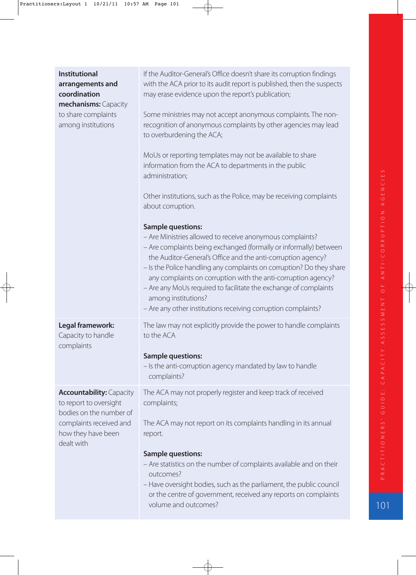| <b>Institutional</b><br>arrangements and<br>coordination<br>mechanisms: Capacity<br>to share complaints<br>among institutions                       | If the Auditor-General's Office doesn't share its corruption findings<br>with the ACA prior to its audit report is published, then the suspects<br>may erase evidence upon the report's publication;<br>Some ministries may not accept anonymous complaints. The non-<br>recognition of anonymous complaints by other agencies may lead<br>to overburdening the ACA;<br>MoUs or reporting templates may not be available to share<br>information from the ACA to departments in the public<br>administration;<br>Other institutions, such as the Police, may be receiving complaints<br>about corruption.<br><b>Sample questions:</b><br>- Are Ministries allowed to receive anonymous complaints?<br>- Are complaints being exchanged (formally or informally) between<br>the Auditor-General's Office and the anti-corruption agency?<br>- Is the Police handling any complaints on corruption? Do they share<br>any complaints on corruption with the anti-corruption agency?<br>- Are any MoUs required to facilitate the exchange of complaints<br>among institutions?<br>- Are any other institutions receiving corruption complaints? |
|-----------------------------------------------------------------------------------------------------------------------------------------------------|----------------------------------------------------------------------------------------------------------------------------------------------------------------------------------------------------------------------------------------------------------------------------------------------------------------------------------------------------------------------------------------------------------------------------------------------------------------------------------------------------------------------------------------------------------------------------------------------------------------------------------------------------------------------------------------------------------------------------------------------------------------------------------------------------------------------------------------------------------------------------------------------------------------------------------------------------------------------------------------------------------------------------------------------------------------------------------------------------------------------------------------------|
| Legal framework:<br>Capacity to handle<br>complaints                                                                                                | The law may not explicitly provide the power to handle complaints<br>to the ACA<br><b>Sample questions:</b><br>- Is the anti-corruption agency mandated by law to handle<br>complaints?                                                                                                                                                                                                                                                                                                                                                                                                                                                                                                                                                                                                                                                                                                                                                                                                                                                                                                                                                      |
| <b>Accountability: Capacity</b><br>to report to oversight<br>bodies on the number of<br>complaints received and<br>how they have been<br>dealt with | The ACA may not properly register and keep track of received<br>complaints;<br>The ACA may not report on its complaints handling in its annual<br>report.<br><b>Sample questions:</b><br>- Are statistics on the number of complaints available and on their<br>outcomes?<br>- Have oversight bodies, such as the parliament, the public council<br>or the centre of government, received any reports on complaints<br>volume and outcomes?                                                                                                                                                                                                                                                                                                                                                                                                                                                                                                                                                                                                                                                                                                  |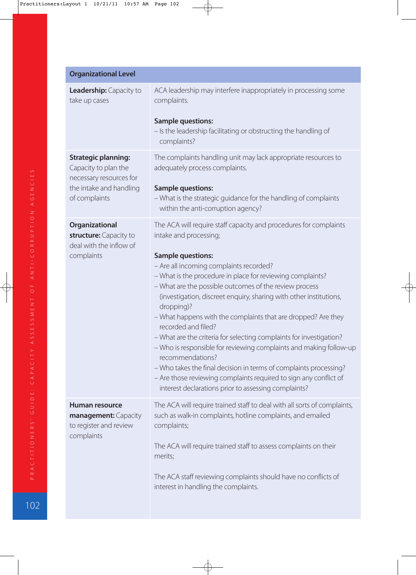| <b>Organizational Level</b>                                                                                               |                                                                                                                                                                                                                                                                                                                                                                                                                                                                                                                                                                                                                                                                                                                                                                                                                                           |
|---------------------------------------------------------------------------------------------------------------------------|-------------------------------------------------------------------------------------------------------------------------------------------------------------------------------------------------------------------------------------------------------------------------------------------------------------------------------------------------------------------------------------------------------------------------------------------------------------------------------------------------------------------------------------------------------------------------------------------------------------------------------------------------------------------------------------------------------------------------------------------------------------------------------------------------------------------------------------------|
| <b>Leadership:</b> Capacity to<br>take up cases                                                                           | ACA leadership may interfere inappropriately in processing some<br>complaints.                                                                                                                                                                                                                                                                                                                                                                                                                                                                                                                                                                                                                                                                                                                                                            |
|                                                                                                                           | <b>Sample questions:</b><br>- Is the leadership facilitating or obstructing the handling of<br>complaints?                                                                                                                                                                                                                                                                                                                                                                                                                                                                                                                                                                                                                                                                                                                                |
| <b>Strategic planning:</b><br>Capacity to plan the<br>necessary resources for<br>the intake and handling<br>of complaints | The complaints handling unit may lack appropriate resources to<br>adequately process complaints.<br><b>Sample questions:</b><br>- What is the strategic guidance for the handling of complaints<br>within the anti-corruption agency?                                                                                                                                                                                                                                                                                                                                                                                                                                                                                                                                                                                                     |
| Organizational<br>structure: Capacity to<br>deal with the inflow of<br>complaints                                         | The ACA will require staff capacity and procedures for complaints<br>intake and processing;<br><b>Sample questions:</b><br>- Are all incoming complaints recorded?<br>- What is the procedure in place for reviewing complaints?<br>- What are the possible outcomes of the review process<br>(investigation, discreet enquiry, sharing with other institutions,<br>dropping)?<br>- What happens with the complaints that are dropped? Are they<br>recorded and filed?<br>- What are the criteria for selecting complaints for investigation?<br>- Who is responsible for reviewing complaints and making follow-up<br>recommendations?<br>- Who takes the final decision in terms of complaints processing?<br>- Are those reviewing complaints required to sign any conflict of<br>interest declarations prior to assessing complaints? |
| <b>Human resource</b><br>management: Capacity<br>to register and review<br>complaints                                     | The ACA will require trained staff to deal with all sorts of complaints,<br>such as walk-in complaints, hotline complaints, and emailed<br>complaints;<br>The ACA will require trained staff to assess complaints on their<br>merits;<br>The ACA staff reviewing complaints should have no conflicts of<br>interest in handling the complaints.                                                                                                                                                                                                                                                                                                                                                                                                                                                                                           |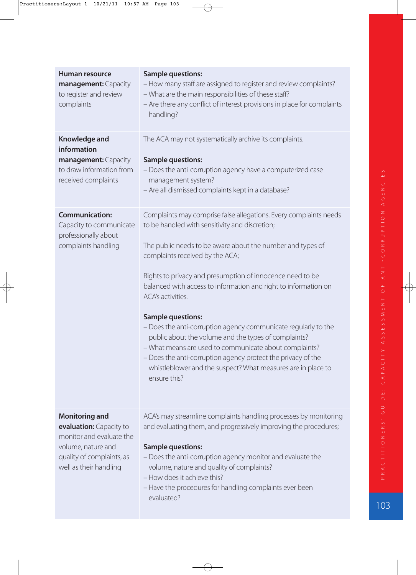| <b>Human resource</b><br>management: Capacity<br>to register and review<br>complaints                                                                     | <b>Sample questions:</b><br>- How many staff are assigned to register and review complaints?<br>- What are the main responsibilities of these staff?<br>- Are there any conflict of interest provisions in place for complaints<br>handling?                                                                                                                                                                                                                                                                                                                                                                                                                                                                                              |
|-----------------------------------------------------------------------------------------------------------------------------------------------------------|-------------------------------------------------------------------------------------------------------------------------------------------------------------------------------------------------------------------------------------------------------------------------------------------------------------------------------------------------------------------------------------------------------------------------------------------------------------------------------------------------------------------------------------------------------------------------------------------------------------------------------------------------------------------------------------------------------------------------------------------|
| <b>Knowledge and</b><br>information<br>management: Capacity<br>to draw information from<br>received complaints                                            | The ACA may not systematically archive its complaints.<br><b>Sample questions:</b><br>- Does the anti-corruption agency have a computerized case<br>management system?<br>- Are all dismissed complaints kept in a database?                                                                                                                                                                                                                                                                                                                                                                                                                                                                                                              |
| <b>Communication:</b><br>Capacity to communicate<br>professionally about<br>complaints handling                                                           | Complaints may comprise false allegations. Every complaints needs<br>to be handled with sensitivity and discretion;<br>The public needs to be aware about the number and types of<br>complaints received by the ACA;<br>Rights to privacy and presumption of innocence need to be<br>balanced with access to information and right to information on<br>ACA's activities.<br><b>Sample questions:</b><br>- Does the anti-corruption agency communicate regularly to the<br>public about the volume and the types of complaints?<br>- What means are used to communicate about complaints?<br>- Does the anti-corruption agency protect the privacy of the<br>whistleblower and the suspect? What measures are in place to<br>ensure this? |
| <b>Monitoring and</b><br>evaluation: Capacity to<br>monitor and evaluate the<br>volume, nature and<br>quality of complaints, as<br>well as their handling | ACA's may streamline complaints handling processes by monitoring<br>and evaluating them, and progressively improving the procedures;<br><b>Sample questions:</b><br>- Does the anti-corruption agency monitor and evaluate the<br>volume, nature and quality of complaints?<br>- How does it achieve this?<br>- Have the procedures for handling complaints ever been<br>evaluated?                                                                                                                                                                                                                                                                                                                                                       |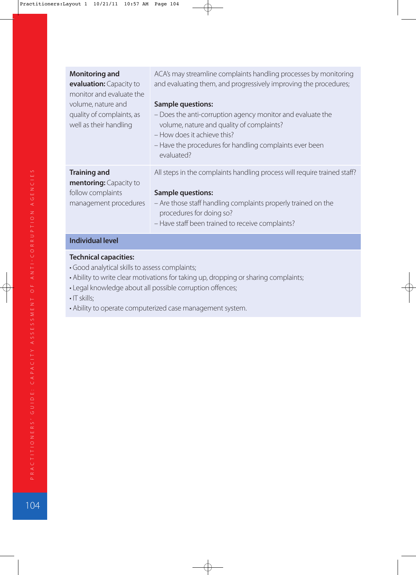| <b>Monitoring and</b><br>evaluation: Capacity to<br>monitor and evaluate the<br>volume, nature and<br>quality of complaints, as<br>well as their handling | ACA's may streamline complaints handling processes by monitoring<br>and evaluating them, and progressively improving the procedures;<br><b>Sample questions:</b><br>- Does the anti-corruption agency monitor and evaluate the<br>volume, nature and quality of complaints?<br>- How does it achieve this?<br>- Have the procedures for handling complaints ever been<br>evaluated? |
|-----------------------------------------------------------------------------------------------------------------------------------------------------------|-------------------------------------------------------------------------------------------------------------------------------------------------------------------------------------------------------------------------------------------------------------------------------------------------------------------------------------------------------------------------------------|
| <b>Training and</b><br>mentoring: Capacity to<br>follow complaints<br>management procedures                                                               | All steps in the complaints handling process will require trained staff?<br><b>Sample questions:</b><br>- Are those staff handling complaints properly trained on the<br>procedures for doing so?<br>- Have staff been trained to receive complaints?                                                                                                                               |

### **Individual level**

- Good analytical skills to assess complaints;
- Ability to write clear motivations for taking up, dropping or sharing complaints;
- Legal knowledge about all possible corruption offences;
- IT skills;
- Ability to operate computerized case management system.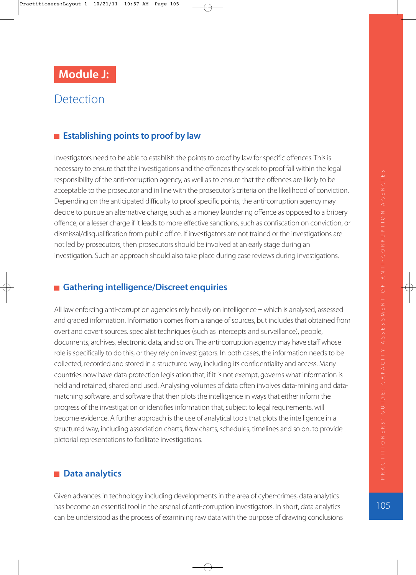# **Detection**

## **Establishing points to proof by law**

Investigators need to be able to establish the points to proof by law for specific offences. This is necessary to ensure that the investigations and the offences they seek to proof fall within the legal responsibility of the anti-corruption agency, as well as to ensure that the offences are likely to be acceptable to the prosecutor and in line with the prosecutor's criteria on the likelihood of conviction. Depending on the anticipated difficulty to proof specific points, the anti-corruption agency may decide to pursue an alternative charge, such as a money laundering offence as opposed to a bribery offence, or a lesser charge if it leads to more effective sanctions, such as confiscation on conviction, or dismissal/disqualification from public office. If investigators are not trained or the investigations are not led by prosecutors, then prosecutors should be involved at an early stage during an investigation. Such an approach should also take place during case reviews during investigations.

### **Gathering intelligence/Discreet enquiries**

All law enforcing anti-corruption agencies rely heavily on intelligence - which is analysed, assessed and graded information. Information comes from a range of sources, but includes that obtained from overt and covert sources, specialist techniques (such as intercepts and surveillance), people, documents, archives, electronic data, and so on. The anti-corruption agency may have staff whose role is specifically to do this, or they rely on investigators. In both cases, the information needs to be collected, recorded and stored in a structured way, including its confidentiality and access. Many countries now have data protection legislation that, if it is not exempt, governs what information is held and retained, shared and used. Analysing volumes of data often involves data-mining and datamatching software, and software that then plots the intelligence in ways that either inform the progress of the investigation or identifies information that, subject to legal requirements, will become evidence. A further approach is the use of analytical tools that plots the intelligence in a structured way, including association charts, flow charts, schedules, timelines and so on, to provide pictorial representations to facilitate investigations.

### ■ Data analytics

Given advances in technology including developments in the area of cyber-crimes, data analytics has become an essential tool in the arsenal of anti-corruption investigators. In short, data analytics can be understood as the process of examining raw data with the purpose of drawing conclusions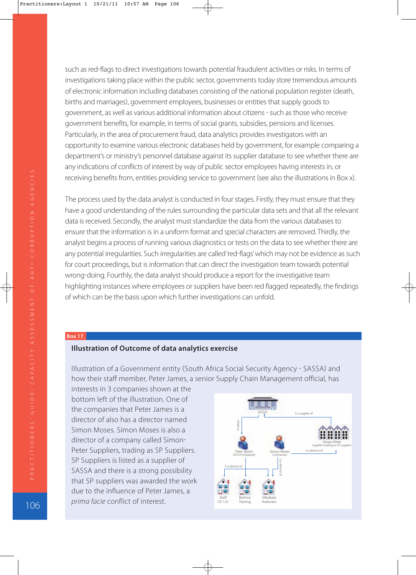such as red-flags to direct investigations towards potential fraudulent activities or risks. In terms of investigations taking place within the public sector, governments today store tremendous amounts of electronic information including databases consisting of the national population register death, births and marriages), government employees, businesses or entities that supply goods to government, as well as various additional information about citizens - such as those who receive government benefits, for example, in terms of social grants, subsidies, pensions and licenses. Particularly, in the area of procurement fraud, data analytics provides investigators with an opportunity to examine various electronic databases held by government, for example comparing a department's or ministry's personnel database against its supplier database to see whether there are any indications of conflicts of interest by way of public sector employees having interests in, or receiving benefits from, entities providing service to government (see also the illustrations in Box x).

The process used by the data analyst is conducted in four stages. Firstly, they must ensure that they have a good understanding of the rules surrounding the particular data sets and that all the relevant data is received. Secondly, the analyst must standardize the data from the various databases to ensure that the information is in a uniform format and special characters are removed. Thirdly, the analyst begins a process of running various diagnostics or tests on the data to see whether there are any potential irregularities. Such irregularities are called 'red-flags' which may not be evidence as such for court proceedings, but is information that can direct the investigation team towards potential wrong-doing. Fourthly, the data analyst should produce a report for the investigative team highlighting instances where employees or suppliers have been red flagged repeatedly, the findings of which can be the basis upon which further investigations can unfold.

#### **Box 17.**

#### **Illustration of Outcome of data analytics exercise**

Illustration of a Government entity (South Africa Social Security Agency - SASSA) and how their staff member, Peter James, a senior Supply Chain Management official, has

interests in 3 companies shown at the bottom left of the illustration. One of the companies that Peter James is a director of also has a director named Simon Moses. Simon Moses is also a director of a company called Simon Peter Suppliers, trading as SP Suppliers. SP Suppliers is listed as a supplier of SASSA and there is a strong possibility that SP suppliers was awarded the work due to the influence of Peter James, a prima facie conflict of interest.

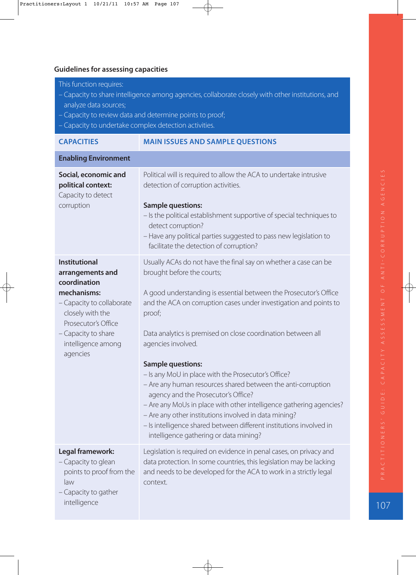### **Guidelines for assessing capacities**

This function requires:

- Capacity to share intelligence among agencies, collaborate closely with other institutions, and analyze data sources;
- Capacity to review data and determine points to proof;
- Capacity to undertake complex detection activities.

| <b>CAPACITIES</b>                                                                                                                                                                                        | <b>MAIN ISSUES AND SAMPLE QUESTIONS</b>                                                                                                                                                                                                                                                                                                                                                                                                                                                                                                                                                                                                                                                                                                                                            |
|----------------------------------------------------------------------------------------------------------------------------------------------------------------------------------------------------------|------------------------------------------------------------------------------------------------------------------------------------------------------------------------------------------------------------------------------------------------------------------------------------------------------------------------------------------------------------------------------------------------------------------------------------------------------------------------------------------------------------------------------------------------------------------------------------------------------------------------------------------------------------------------------------------------------------------------------------------------------------------------------------|
| <b>Enabling Environment</b>                                                                                                                                                                              |                                                                                                                                                                                                                                                                                                                                                                                                                                                                                                                                                                                                                                                                                                                                                                                    |
| Social, economic and<br>political context:<br>Capacity to detect<br>corruption                                                                                                                           | Political will is required to allow the ACA to undertake intrusive<br>detection of corruption activities.<br><b>Sample questions:</b><br>- Is the political establishment supportive of special techniques to<br>detect corruption?<br>- Have any political parties suggested to pass new legislation to<br>facilitate the detection of corruption?                                                                                                                                                                                                                                                                                                                                                                                                                                |
| <b>Institutional</b><br>arrangements and<br>coordination<br>mechanisms:<br>- Capacity to collaborate<br>closely with the<br>Prosecutor's Office<br>- Capacity to share<br>intelligence among<br>agencies | Usually ACAs do not have the final say on whether a case can be<br>brought before the courts;<br>A good understanding is essential between the Prosecutor's Office<br>and the ACA on corruption cases under investigation and points to<br>proof;<br>Data analytics is premised on close coordination between all<br>agencies involved.<br><b>Sample questions:</b><br>- Is any MoU in place with the Prosecutor's Office?<br>- Are any human resources shared between the anti-corruption<br>agency and the Prosecutor's Office?<br>- Are any MoUs in place with other intelligence gathering agencies?<br>- Are any other institutions involved in data mining?<br>- Is intelligence shared between different institutions involved in<br>intelligence gathering or data mining? |
| Legal framework:<br>- Capacity to glean<br>points to proof from the<br>law<br>- Capacity to gather<br>intelligence                                                                                       | Legislation is required on evidence in penal cases, on privacy and<br>data protection. In some countries, this legislation may be lacking<br>and needs to be developed for the ACA to work in a strictly legal<br>context.                                                                                                                                                                                                                                                                                                                                                                                                                                                                                                                                                         |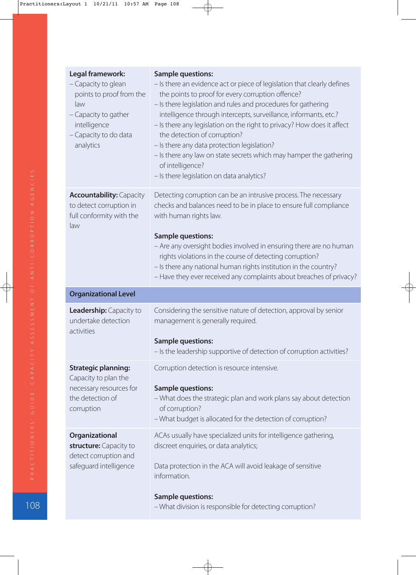| Legal framework:<br>- Capacity to glean<br>points to proof from the<br>law<br>- Capacity to gather<br>intelligence<br>- Capacity to do data<br>analytics | <b>Sample questions:</b><br>- Is there an evidence act or piece of legislation that clearly defines<br>the points to proof for every corruption offence?<br>- Is there legislation and rules and procedures for gathering<br>intelligence through intercepts, surveillance, informants, etc.?<br>- Is there any legislation on the right to privacy? How does it affect<br>the detection of corruption?<br>- Is there any data protection legislation?<br>- Is there any law on state secrets which may hamper the gathering<br>of intelligence?<br>- Is there legislation on data analytics? |
|----------------------------------------------------------------------------------------------------------------------------------------------------------|-----------------------------------------------------------------------------------------------------------------------------------------------------------------------------------------------------------------------------------------------------------------------------------------------------------------------------------------------------------------------------------------------------------------------------------------------------------------------------------------------------------------------------------------------------------------------------------------------|
| <b>Accountability: Capacity</b><br>to detect corruption in<br>full conformity with the<br>law                                                            | Detecting corruption can be an intrusive process. The necessary<br>checks and balances need to be in place to ensure full compliance<br>with human rights law.<br><b>Sample questions:</b><br>- Are any oversight bodies involved in ensuring there are no human<br>rights violations in the course of detecting corruption?<br>- Is there any national human rights institution in the country?<br>- Have they ever received any complaints about breaches of privacy?                                                                                                                       |
| <b>Organizational Level</b>                                                                                                                              |                                                                                                                                                                                                                                                                                                                                                                                                                                                                                                                                                                                               |
| Leadership: Capacity to<br>undertake detection<br>activities                                                                                             | Considering the sensitive nature of detection, approval by senior<br>management is generally required.<br><b>Sample questions:</b>                                                                                                                                                                                                                                                                                                                                                                                                                                                            |
|                                                                                                                                                          | - Is the leadership supportive of detection of corruption activities?                                                                                                                                                                                                                                                                                                                                                                                                                                                                                                                         |
| <b>Strategic planning:</b><br>Capacity to plan the<br>necessary resources for<br>the detection of<br>corruption                                          | Corruption detection is resource intensive.<br><b>Sample questions:</b><br>- What does the strategic plan and work plans say about detection<br>of corruption?<br>- What budget is allocated for the detection of corruption?                                                                                                                                                                                                                                                                                                                                                                 |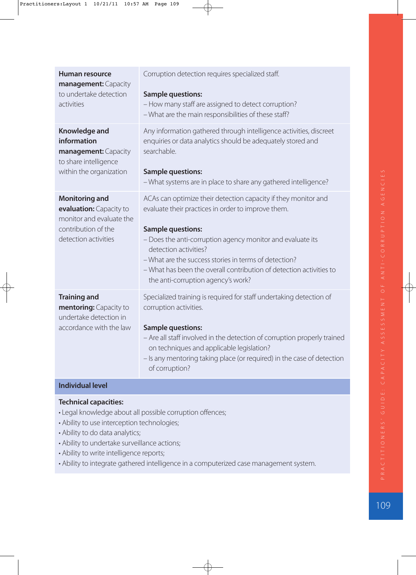| Human resource<br>management: Capacity<br>to undertake detection<br>activities                                              | Corruption detection requires specialized staff.<br><b>Sample questions:</b><br>- How many staff are assigned to detect corruption?<br>- What are the main responsibilities of these staff?                                                                                                                                                                                                                   |  |  |  |
|-----------------------------------------------------------------------------------------------------------------------------|---------------------------------------------------------------------------------------------------------------------------------------------------------------------------------------------------------------------------------------------------------------------------------------------------------------------------------------------------------------------------------------------------------------|--|--|--|
| Knowledge and<br>information<br>management: Capacity<br>to share intelligence<br>within the organization                    | Any information gathered through intelligence activities, discreet<br>enquiries or data analytics should be adequately stored and<br>searchable.<br><b>Sample questions:</b><br>- What systems are in place to share any gathered intelligence?                                                                                                                                                               |  |  |  |
| <b>Monitoring and</b><br>evaluation: Capacity to<br>monitor and evaluate the<br>contribution of the<br>detection activities | ACAs can optimize their detection capacity if they monitor and<br>evaluate their practices in order to improve them.<br><b>Sample questions:</b><br>- Does the anti-corruption agency monitor and evaluate its<br>detection activities?<br>- What are the success stories in terms of detection?<br>- What has been the overall contribution of detection activities to<br>the anti-corruption agency's work? |  |  |  |
| <b>Training and</b><br>mentoring: Capacity to<br>undertake detection in<br>accordance with the law                          | Specialized training is required for staff undertaking detection of<br>corruption activities.<br><b>Sample questions:</b><br>- Are all staff involved in the detection of corruption properly trained<br>on techniques and applicable legislation?<br>- Is any mentoring taking place (or required) in the case of detection<br>of corruption?                                                                |  |  |  |
| <b>Individual level</b>                                                                                                     |                                                                                                                                                                                                                                                                                                                                                                                                               |  |  |  |

#### **Technical capacities:**

- Legal knowledge about all possible corruption offences;
- Ability to use interception technologies;
- Ability to do data analytics;
- Ability to undertake surveillance actions;
- Ability to write intelligence reports;
- Ability to integrate gathered intelligence in a computerized case management system.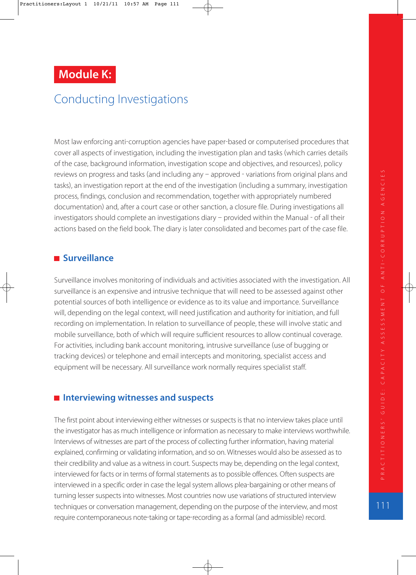# **Module K:**

# Conducting Investigations

Most law enforcing anti-corruption agencies have paper-based or computerised procedures that cover all aspects of investigation, including the investigation plan and tasks (which carries details of the case, background information, investigation scope and objectives, and resources), policy reviews on progress and tasks (and including any  $-$  approved  $-$  variations from original plans and tasks), an investigation report at the end of the investigation (including a summary, investigation process, findings, conclusion and recommendation, together with appropriately numbered documentation) and, after a court case or other sanction, a closure file. During investigations all investigators should complete an investigations diary - provided within the Manual - of all their actions based on the field book. The diary is later consolidated and becomes part of the case file.

## **Surveillance**

Surveillance involves monitoring of individuals and activities associated with the investigation. All surveillance is an expensive and intrusive technique that will need to be assessed against other potential sources of both intelligence or evidence as to its value and importance. Surveillance will, depending on the legal context, will need justification and authority for initiation, and full recording on implementation. In relation to surveillance of people, these will involve static and mobile surveillance, both of which will require sufficient resources to allow continual coverage. For activities, including bank account monitoring, intrusive surveillance (use of bugging or tracking devices) or telephone and email intercepts and monitoring, specialist access and equipment will be necessary. All surveillance work normally requires specialist staff.

## ■ Interviewing witnesses and suspects

The first point about interviewing either witnesses or suspects is that no interview takes place until the investigator has as much intelligence or information as necessary to make interviews worthwhile. Interviews of witnesses are part of the process of collecting further information, having material explained, confirming or validating information, and so on. Witnesses would also be assessed as to their credibility and value as a witness in court. Suspects may be, depending on the legal context, interviewed for facts or in terms of formal statements as to possible offences. Often suspects are interviewed in a specific order in case the legal system allows plea-bargaining or other means of turning lesser suspects into witnesses. Most countries now use variations of structured interview techniques or conversation management, depending on the purpose of the interview, and most require contemporaneous note-taking or tape-recording as a formal (and admissible) record.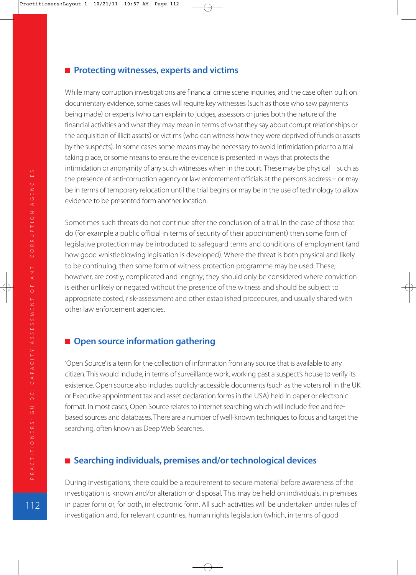#### **Protecting witnesses, experts and victims**

While many corruption investigations are financial crime scene inquiries, and the case often built on documentary evidence, some cases will require key witnesses (such as those who saw payments being made) or experts (who can explain to judges, assessors or juries both the nature of the financial activities and what they may mean in terms of what they say about corrupt relationships or the acquisition of illicit assets) or victims (who can witness how they were deprived of funds or assets by the suspects). In some cases some means may be necessary to avoid intimidation prior to a trial taking place, or some means to ensure the evidence is presented in ways that protects the intimidation or anonymity of any such witnesses when in the court. These may be physical  $-$  such as the presence of anti-corruption agency or law enforcement officials at the person's address  $-$  or may be in terms of temporary relocation until the trial begins or may be in the use of technology to allow evidence to be presented form another location.

Sometimes such threats do not continue after the conclusion of a trial. In the case of those that do (for example a public official in terms of security of their appointment) then some form of legislative protection may be introduced to safeguard terms and conditions of employment (and how good whistleblowing legislation is developed). Where the threat is both physical and likely to be continuing, then some form of witness protection programme may be used. These, however, are costly, complicated and lengthy; they should only be considered where conviction is either unlikely or negated without the presence of the witness and should be subject to appropriate costed, risk-assessment and other established procedures, and usually shared with other law enforcement agencies.

# ■ Open source information gathering

'Open Source' is a term for the collection of information from any source that is available to any citizen. This would include, in terms of surveillance work, working past a suspect's house to verify its existence. Open source also includes publicly-accessible documents (such as the voters roll in the UK or Executive appointment tax and asset declaration forms in the USA) held in paper or electronic format. In most cases, Open Source relates to internet searching which will include free and fee based sources and databases. There are a number of well-known techniques to focus and target the searching, often known as Deep Web Searches.

# ■ Searching individuals, premises and/or technological devices

During investigations, there could be a requirement to secure material before awareness of the investigation is known and/or alteration or disposal. This may be held on individuals, in premises in paper form or, for both, in electronic form. All such activities will be undertaken under rules of investigation and, for relevant countries, human rights legislation (which, in terms of good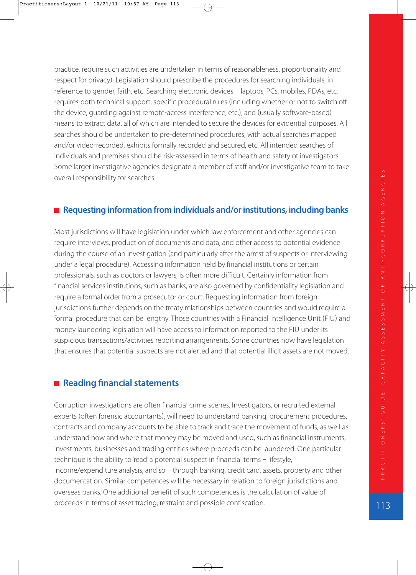practice, require such activities are undertaken in terms of reasonableness, proportionality and respect for privacy). Legislation should prescribe the procedures for searching individuals, in reference to gender, faith, etc. Searching electronic devices - laptops, PCs, mobiles, PDAs, etc. requires both technical support, specific procedural rules (including whether or not to switch off the device, quarding against remote-access interference, etc.), and (usually software-based) means to extract data, all of which are intended to secure the devices for evidential purposes. All searches should be undertaken to pre-determined procedures, with actual searches mapped and/or video-recorded, exhibits formally recorded and secured, etc. All intended searches of individuals and premises should be risk-assessed in terms of health and safety of investigators. Some larger investigative agencies designate a member of staff and/or investigative team to take overall responsibility for searches.

#### ■ Requesting information from individuals and/or institutions, including banks

Most jurisdictions will have legislation under which law enforcement and other agencies can require interviews, production of documents and data, and other access to potential evidence during the course of an investigation (and particularly after the arrest of suspects or interviewing under a legal procedure). Accessing information held by financial institutions or certain professionals, such as doctors or lawyers, is often more difficult. Certainly information from financial services institutions, such as banks, are also governed by confidentiality legislation and require a formal order from a prosecutor or court. Requesting information from foreign jurisdictions further depends on the treaty relationships between countries and would require a formal procedure that can be lengthy. Those countries with a Financial Intelligence Unit (FIU) and money laundering legislation will have access to information reported to the FIU under its suspicious transactions/activities reporting arrangements. Some countries now have legislation that ensures that potential suspects are not alerted and that potential illicit assets are not moved.

## ■ Reading financial statements

Corruption investigations are often financial crime scenes. Investigators, or recruited external experts (often forensic accountants), will need to understand banking, procurement procedures, contracts and company accounts to be able to track and trace the movement of funds, as well as understand how and where that money may be moved and used, such as financial instruments, investments, businesses and trading entities where proceeds can be laundered. One particular technique is the ability to 'read' a potential suspect in financial terms - lifestyle, income/expenditure analysis, and so  $-$  through banking, credit card, assets, property and other documentation. Similar competences will be necessary in relation to foreign jurisdictions and overseas banks. One additional benefit of such competences is the calculation of value of proceeds in terms of asset tracing, restraint and possible confiscation.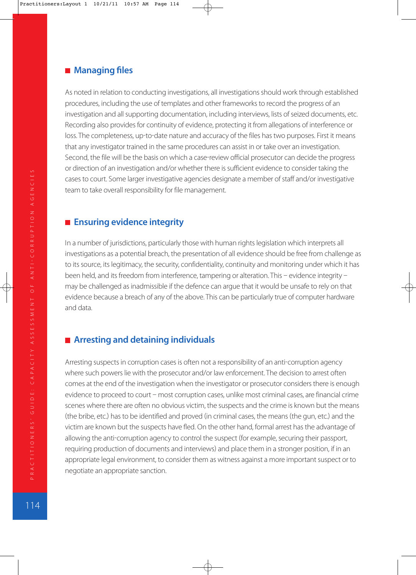#### **Managing files**

As noted in relation to conducting investigations, all investigations should work through established procedures, including the use of templates and other frameworks to record the progress of an investigation and all supporting documentation, including interviews, lists of seized documents, etc. Recording also provides for continuity of evidence, protecting it from allegations of interference or loss. The completeness, up-to-date nature and accuracy of the files has two purposes. First it means that any investigator trained in the same procedures can assist in or take over an investigation. Second, the file will be the basis on which a case-review official prosecutor can decide the progress or direction of an investigation and/or whether there is sufficient evidence to consider taking the cases to court. Some larger investigative agencies designate a member of staff and/or investigative team to take overall responsibility for file management.

## **Ensuring evidence integrity**

In a number of jurisdictions, particularly those with human rights legislation which interprets all investigations as a potential breach, the presentation of all evidence should be free from challenge as to its source, its legitimacy, the security, confidentiality, continuity and monitoring under which it has been held, and its freedom from interference, tampering or alteration. This - evidence integrity may be challenged as inadmissible if the defence can argue that it would be unsafe to rely on that evidence because a breach of any of the above. This can be particularly true of computer hardware and data.

# **Arresting and detaining individuals**

Arresting suspects in corruption cases is often not a responsibility of an anti-corruption agency where such powers lie with the prosecutor and/or law enforcement. The decision to arrest often comes at the end of the investigation when the investigator or prosecutor considers there is enough evidence to proceed to court - most corruption cases, unlike most criminal cases, are financial crime scenes where there are often no obvious victim, the suspects and the crime is known but the means (the bribe, etc.) has to be identified and proved (in criminal cases, the means (the gun, etc.) and the victim are known but the suspects have fled. On the other hand, formal arrest has the advantage of allowing the anti-corruption agency to control the suspect (for example, securing their passport, requiring production of documents and interviews) and place them in a stronger position, if in an appropriate legal environment, to consider them as witness against a more important suspect or to negotiate an appropriate sanction.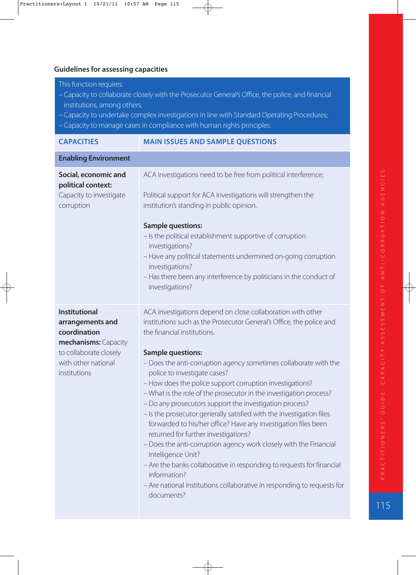#### **Guidelines for assessing capacities**

This function requires:

- Capacity to collaborate closely with the Prosecutor General's Office, the police, and financial institutions, among others;
- Capacity to undertake complex investigations in line with Standard Operating Procedures;
- Capacity to manage cases in compliance with human rights principles.

| <b>CAPACITIES</b>                                                                                                                                 | <b>MAIN ISSUES AND SAMPLE QUESTIONS</b>                                                                                                                                                                                                                                                                                                                                                                                                                                                                                                                                                                                                                                                                                                                                                                                                                                                                                                                        |  |  |  |
|---------------------------------------------------------------------------------------------------------------------------------------------------|----------------------------------------------------------------------------------------------------------------------------------------------------------------------------------------------------------------------------------------------------------------------------------------------------------------------------------------------------------------------------------------------------------------------------------------------------------------------------------------------------------------------------------------------------------------------------------------------------------------------------------------------------------------------------------------------------------------------------------------------------------------------------------------------------------------------------------------------------------------------------------------------------------------------------------------------------------------|--|--|--|
| <b>Enabling Environment</b>                                                                                                                       |                                                                                                                                                                                                                                                                                                                                                                                                                                                                                                                                                                                                                                                                                                                                                                                                                                                                                                                                                                |  |  |  |
| Social, economic and<br>political context:<br>Capacity to investigate<br>corruption                                                               | ACA investigations need to be free from political interference;<br>Political support for ACA investigations will strengthen the<br>institution's standing in public opinion.<br><b>Sample questions:</b><br>- Is the political establishment supportive of corruption<br>investigations?<br>- Have any political statements undermined on-going corruption<br>investigations?<br>- Has there been any interference by politicians in the conduct of<br>investigations?                                                                                                                                                                                                                                                                                                                                                                                                                                                                                         |  |  |  |
| <b>Institutional</b><br>arrangements and<br>coordination<br>mechanisms: Capacity<br>to collaborate closely<br>with other national<br>institutions | ACA investigations depend on close collaboration with other<br>institutions such as the Prosecutor General's Office, the police and<br>the financial institutions.<br><b>Sample questions:</b><br>- Does the anti-corruption agency sometimes collaborate with the<br>police to investigate cases?<br>- How does the police support corruption investigations?<br>- What is the role of the prosecutor in the investigation process?<br>- Do any prosecutors support the investigation process?<br>- Is the prosecutor generally satisfied with the investigation files<br>forwarded to his/her office? Have any investigation files been<br>returned for further investigations?<br>- Does the anti-corruption agency work closely with the Financial<br>Intelligence Unit?<br>- Are the banks collaborative in responding to requests for financial<br>information?<br>- Are national institutions collaborative in responding to requests for<br>documents? |  |  |  |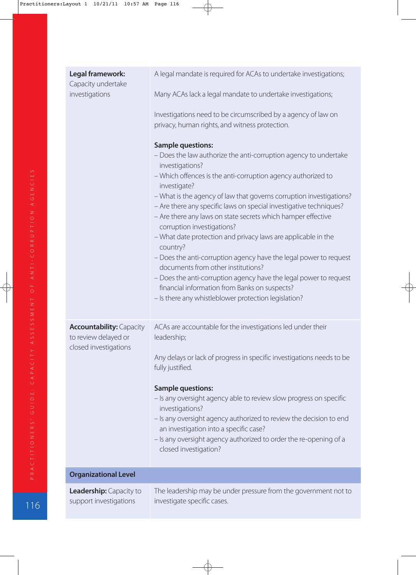| Legal framework:<br>Capacity undertake<br>investigations                         | A legal mandate is required for ACAs to undertake investigations;<br>Many ACAs lack a legal mandate to undertake investigations;<br>Investigations need to be circumscribed by a agency of law on<br>privacy, human rights, and witness protection.<br><b>Sample questions:</b><br>- Does the law authorize the anti-corruption agency to undertake<br>investigations?<br>- Which offences is the anti-corruption agency authorized to<br>investigate?<br>- What is the agency of law that governs corruption investigations?<br>- Are there any specific laws on special investigative techniques?<br>- Are there any laws on state secrets which hamper effective<br>corruption investigations?<br>- What date protection and privacy laws are applicable in the<br>country?<br>- Does the anti-corruption agency have the legal power to request<br>documents from other institutions?<br>- Does the anti-corruption agency have the legal power to request<br>financial information from Banks on suspects?<br>- Is there any whistleblower protection legislation? |
|----------------------------------------------------------------------------------|-------------------------------------------------------------------------------------------------------------------------------------------------------------------------------------------------------------------------------------------------------------------------------------------------------------------------------------------------------------------------------------------------------------------------------------------------------------------------------------------------------------------------------------------------------------------------------------------------------------------------------------------------------------------------------------------------------------------------------------------------------------------------------------------------------------------------------------------------------------------------------------------------------------------------------------------------------------------------------------------------------------------------------------------------------------------------|
| <b>Accountability: Capacity</b><br>to review delayed or<br>closed investigations | ACAs are accountable for the investigations led under their<br>leadership;<br>Any delays or lack of progress in specific investigations needs to be<br>fully justified.<br><b>Sample questions:</b><br>- Is any oversight agency able to review slow progress on specific<br>investigations?<br>- Is any oversight agency authorized to review the decision to end<br>an investigation into a specific case?<br>- Is any oversight agency authorized to order the re-opening of a<br>closed investigation?                                                                                                                                                                                                                                                                                                                                                                                                                                                                                                                                                              |
| <b>Organizational Level</b>                                                      |                                                                                                                                                                                                                                                                                                                                                                                                                                                                                                                                                                                                                                                                                                                                                                                                                                                                                                                                                                                                                                                                         |
| <b>Leadership:</b> Capacity to<br>support investigations                         | The leadership may be under pressure from the government not to<br>investigate specific cases.                                                                                                                                                                                                                                                                                                                                                                                                                                                                                                                                                                                                                                                                                                                                                                                                                                                                                                                                                                          |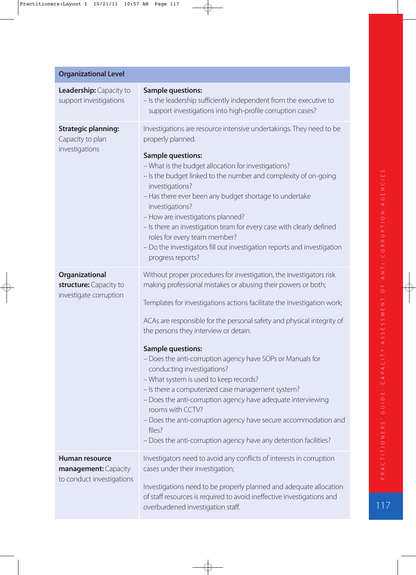| <b>Organizational Level</b>                                                |                                                                                                                                                                                                                                                                                                                                                                                                                                                                                                                                                                                                                                                                                                                                                                                                |
|----------------------------------------------------------------------------|------------------------------------------------------------------------------------------------------------------------------------------------------------------------------------------------------------------------------------------------------------------------------------------------------------------------------------------------------------------------------------------------------------------------------------------------------------------------------------------------------------------------------------------------------------------------------------------------------------------------------------------------------------------------------------------------------------------------------------------------------------------------------------------------|
| Leadership: Capacity to<br>support investigations                          | <b>Sample questions:</b><br>- Is the leadership sufficiently independent from the executive to<br>support investigations into high-profile corruption cases?                                                                                                                                                                                                                                                                                                                                                                                                                                                                                                                                                                                                                                   |
| <b>Strategic planning:</b><br>Capacity to plan<br>investigations           | Investigations are resource intensive undertakings. They need to be<br>properly planned.<br><b>Sample questions:</b><br>- What is the budget allocation for investigations?<br>- Is the budget linked to the number and complexity of on-going<br>investigations?<br>- Has there ever been any budget shortage to undertake<br>investigations?<br>- How are investigations planned?<br>- Is there an investigation team for every case with clearly defined<br>roles for every team member?<br>- Do the investigators fill out investigation reports and investigation<br>progress reports?                                                                                                                                                                                                    |
| Organizational<br>structure: Capacity to<br>investigate corruption         | Without proper procedures for investigation, the investigators risk<br>making professional mistakes or abusing their powers or both;<br>Templates for investigations actions facilitate the investigation work;<br>ACAs are responsible for the personal safety and physical integrity of<br>the persons they interview or detain.<br><b>Sample questions:</b><br>- Does the anti-corruption agency have SOPs or Manuals for<br>conducting investigations?<br>- What system is used to keep records?<br>- Is there a computerized case management system?<br>- Does the anti-corruption agency have adequate interviewing<br>rooms with CCTV?<br>- Does the anti-corruption agency have secure accommodation and<br>files?<br>- Does the anti-corruption agency have any detention facilities? |
| <b>Human resource</b><br>management: Capacity<br>to conduct investigations | Investigators need to avoid any conflicts of interests in corruption<br>cases under their investigation;<br>Investigations need to be properly planned and adequate allocation<br>of staff resources is required to avoid ineffective investigations and<br>overburdened investigation staff.                                                                                                                                                                                                                                                                                                                                                                                                                                                                                                  |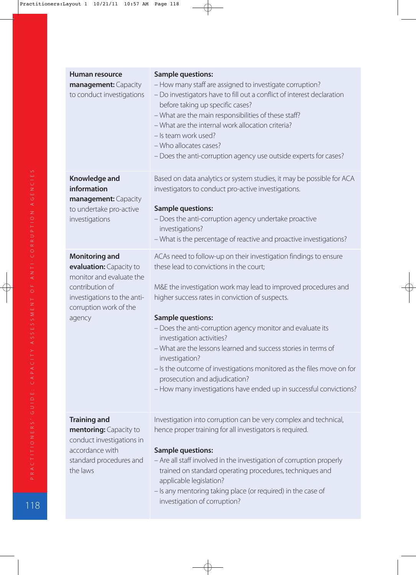| Human resource                                      | <b>Sample questions:</b>                                                                                                           |  |  |  |  |
|-----------------------------------------------------|------------------------------------------------------------------------------------------------------------------------------------|--|--|--|--|
| management: Capacity<br>to conduct investigations   | - How many staff are assigned to investigate corruption?<br>- Do investigators have to fill out a conflict of interest declaration |  |  |  |  |
|                                                     | before taking up specific cases?                                                                                                   |  |  |  |  |
|                                                     | - What are the main responsibilities of these staff?                                                                               |  |  |  |  |
|                                                     | - What are the internal work allocation criteria?                                                                                  |  |  |  |  |
|                                                     | - Is team work used?                                                                                                               |  |  |  |  |
|                                                     | - Who allocates cases?                                                                                                             |  |  |  |  |
|                                                     | - Does the anti-corruption agency use outside experts for cases?                                                                   |  |  |  |  |
| Knowledge and                                       | Based on data analytics or system studies, it may be possible for ACA                                                              |  |  |  |  |
| information<br>management: Capacity                 | investigators to conduct pro-active investigations.                                                                                |  |  |  |  |
| to undertake pro-active                             | <b>Sample questions:</b>                                                                                                           |  |  |  |  |
| investigations                                      | - Does the anti-corruption agency undertake proactive<br>investigations?                                                           |  |  |  |  |
|                                                     | - What is the percentage of reactive and proactive investigations?                                                                 |  |  |  |  |
|                                                     |                                                                                                                                    |  |  |  |  |
| <b>Monitoring and</b>                               | ACAs need to follow-up on their investigation findings to ensure                                                                   |  |  |  |  |
| evaluation: Capacity to<br>monitor and evaluate the | these lead to convictions in the court;                                                                                            |  |  |  |  |
| contribution of                                     | M&E the investigation work may lead to improved procedures and                                                                     |  |  |  |  |
| investigations to the anti-                         | higher success rates in conviction of suspects.                                                                                    |  |  |  |  |
| corruption work of the                              |                                                                                                                                    |  |  |  |  |
| agency                                              | <b>Sample questions:</b>                                                                                                           |  |  |  |  |
|                                                     | - Does the anti-corruption agency monitor and evaluate its<br>investigation activities?                                            |  |  |  |  |
|                                                     | - What are the lessons learned and success stories in terms of<br>investigation?                                                   |  |  |  |  |
|                                                     | - Is the outcome of investigations monitored as the files move on for                                                              |  |  |  |  |
|                                                     | prosecution and adjudication?                                                                                                      |  |  |  |  |
|                                                     | - How many investigations have ended up in successful convictions?                                                                 |  |  |  |  |
|                                                     |                                                                                                                                    |  |  |  |  |
| <b>Training and</b>                                 | Investigation into corruption can be very complex and technical,                                                                   |  |  |  |  |
| mentoring: Capacity to                              | hence proper training for all investigators is required.                                                                           |  |  |  |  |
| conduct investigations in                           |                                                                                                                                    |  |  |  |  |
| accordance with                                     | <b>Sample questions:</b>                                                                                                           |  |  |  |  |
| standard procedures and                             | - Are all staff involved in the investigation of corruption properly                                                               |  |  |  |  |
| the laws                                            | trained on standard operating procedures, techniques and                                                                           |  |  |  |  |
|                                                     | applicable legislation?                                                                                                            |  |  |  |  |
|                                                     | - Is any mentoring taking place (or required) in the case of<br>investigation of corruption?                                       |  |  |  |  |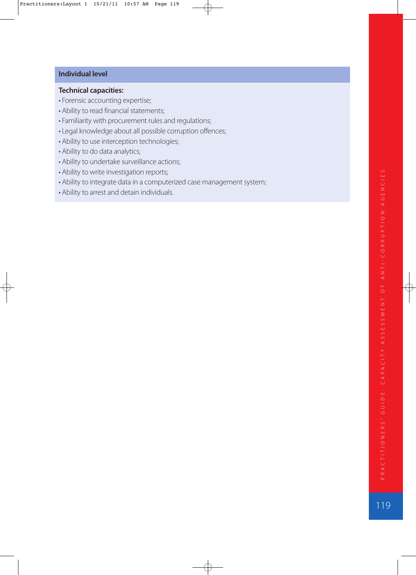#### **Individual level**

#### **Technical capacities:**

- Forensic accounting expertise;
- Ability to read financial statements;
- Familiarity with procurement rules and regulations;
- Legal knowledge about all possible corruption offences;
- Ability to use interception technologies;
- Ability to do data analytics;
- Ability to undertake surveillance actions;
- Ability to write investigation reports;
- Ability to integrate data in a computerized case management system;
- Ability to arrest and detain individuals.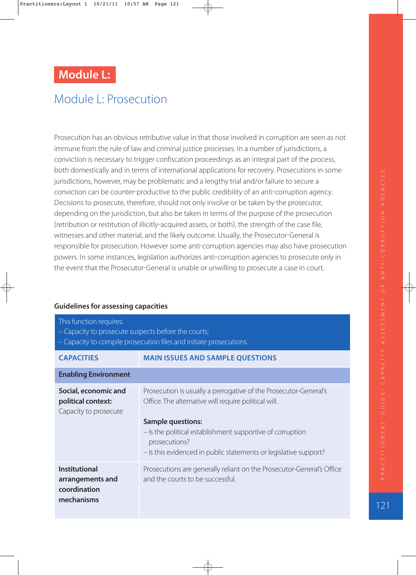# **Module L:**

# Module L: Prosecution

Prosecution has an obvious retributive value in that those involved in corruption are seen as not immune from the rule of law and criminal justice processes. In a number of jurisdictions, a conviction is necessary to trigger confiscation proceedings as an integral part of the process, both domestically and in terms of international applications for recovery. Prosecutions in some jurisdictions, however, may be problematic and a lengthy trial and/or failure to secure a conviction can be counter-productive to the public credibility of an anti-corruption agency. Decisions to prosecute, therefore, should not only involve or be taken by the prosecutor, depending on the jurisdiction, but also be taken in terms of the purpose of the prosecution (retribution or restitution of illicitly-acquired assets, or both), the strength of the case file, witnesses and other material, and the likely outcome. Usually, the Prosecutor-General is responsible for prosecution. However some anti-corruption agencies may also have prosecution powers. In some instances, legislation authorizes anti-corruption agencies to prosecute only in the event that the Prosecutor-General is unable or unwilling to prosecute a case in court.

| This function requires:<br>- Capacity to prosecute suspects before the courts;<br>- Capacity to compile prosecution files and initiate prosecutions. |                                                                                                                                                                                                                                                                                                        |  |  |  |  |
|------------------------------------------------------------------------------------------------------------------------------------------------------|--------------------------------------------------------------------------------------------------------------------------------------------------------------------------------------------------------------------------------------------------------------------------------------------------------|--|--|--|--|
| <b>CAPACITIES</b>                                                                                                                                    | <b>MAIN ISSUES AND SAMPLE QUESTIONS</b>                                                                                                                                                                                                                                                                |  |  |  |  |
| <b>Enabling Environment</b>                                                                                                                          |                                                                                                                                                                                                                                                                                                        |  |  |  |  |
| Social, economic and<br>political context:<br>Capacity to prosecute                                                                                  | Prosecution is usually a prerogative of the Prosecutor-General's<br>Office. The alternative will require political will.<br><b>Sample questions:</b><br>- Is the political establishment supportive of corruption<br>prosecutions?<br>- Is this evidenced in public statements or legislative support? |  |  |  |  |
| <b>Institutional</b><br>arrangements and<br>coordination<br>mechanisms                                                                               | Prosecutions are generally reliant on the Prosecutor-General's Office<br>and the courts to be successful.                                                                                                                                                                                              |  |  |  |  |

#### **Guidelines for assessing capacities**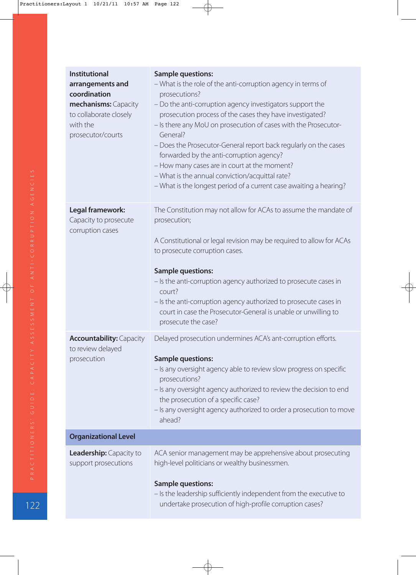| <b>Institutional</b><br>arrangements and<br>coordination<br>mechanisms: Capacity<br>to collaborate closely<br>with the<br>prosecutor/courts | <b>Sample questions:</b><br>- What is the role of the anti-corruption agency in terms of<br>prosecutions?<br>- Do the anti-corruption agency investigators support the<br>prosecution process of the cases they have investigated?<br>- Is there any MoU on prosecution of cases with the Prosecutor-<br>General?<br>- Does the Prosecutor-General report back regularly on the cases<br>forwarded by the anti-corruption agency?<br>- How many cases are in court at the moment?<br>- What is the annual conviction/acquittal rate?<br>- What is the longest period of a current case awaiting a hearing? |
|---------------------------------------------------------------------------------------------------------------------------------------------|------------------------------------------------------------------------------------------------------------------------------------------------------------------------------------------------------------------------------------------------------------------------------------------------------------------------------------------------------------------------------------------------------------------------------------------------------------------------------------------------------------------------------------------------------------------------------------------------------------|
| Legal framework:<br>Capacity to prosecute<br>corruption cases                                                                               | The Constitution may not allow for ACAs to assume the mandate of<br>prosecution;<br>A Constitutional or legal revision may be required to allow for ACAs<br>to prosecute corruption cases.<br><b>Sample questions:</b><br>- Is the anti-corruption agency authorized to prosecute cases in<br>court?<br>- Is the anti-corruption agency authorized to prosecute cases in<br>court in case the Prosecutor-General is unable or unwilling to<br>prosecute the case?                                                                                                                                          |
| <b>Accountability: Capacity</b><br>to review delayed<br>prosecution                                                                         | Delayed prosecution undermines ACA's ant-corruption efforts.<br><b>Sample questions:</b><br>- Is any oversight agency able to review slow progress on specific<br>prosecutions?<br>- Is any oversight agency authorized to review the decision to end<br>the prosecution of a specific case?<br>- Is any oversight agency authorized to order a prosecution to move<br>ahead?                                                                                                                                                                                                                              |
| <b>Organizational Level</b>                                                                                                                 |                                                                                                                                                                                                                                                                                                                                                                                                                                                                                                                                                                                                            |
| <b>Leadership:</b> Capacity to<br>support prosecutions                                                                                      | ACA senior management may be apprehensive about prosecuting<br>high-level politicians or wealthy businessmen.<br><b>Sample questions:</b><br>- Is the leadership sufficiently independent from the executive to<br>undertake prosecution of high-profile corruption cases?                                                                                                                                                                                                                                                                                                                                 |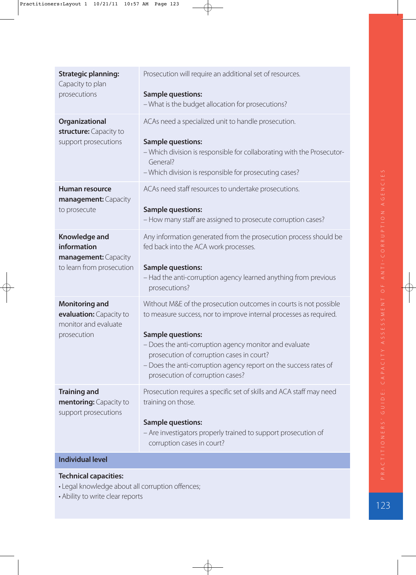| <b>Strategic planning:</b><br>Capacity to plan<br>prosecutions                          | Prosecution will require an additional set of resources.<br><b>Sample questions:</b><br>- What is the budget allocation for prosecutions?                                                                                                                                                                                                                                          |
|-----------------------------------------------------------------------------------------|------------------------------------------------------------------------------------------------------------------------------------------------------------------------------------------------------------------------------------------------------------------------------------------------------------------------------------------------------------------------------------|
| Organizational<br>structure: Capacity to<br>support prosecutions                        | ACAs need a specialized unit to handle prosecution.<br><b>Sample questions:</b><br>- Which division is responsible for collaborating with the Prosecutor-<br>General?<br>- Which division is responsible for prosecuting cases?                                                                                                                                                    |
| Human resource<br>management: Capacity<br>to prosecute                                  | ACAs need staff resources to undertake prosecutions.<br><b>Sample questions:</b><br>- How many staff are assigned to prosecute corruption cases?                                                                                                                                                                                                                                   |
| Knowledge and<br>information<br>management: Capacity<br>to learn from prosecution       | Any information generated from the prosecution process should be<br>fed back into the ACA work processes.<br><b>Sample questions:</b><br>- Had the anti-corruption agency learned anything from previous<br>prosecutions?                                                                                                                                                          |
| <b>Monitoring and</b><br>evaluation: Capacity to<br>monitor and evaluate<br>prosecution | Without M&E of the prosecution outcomes in courts is not possible<br>to measure success, nor to improve internal processes as required.<br><b>Sample questions:</b><br>- Does the anti-corruption agency monitor and evaluate<br>prosecution of corruption cases in court?<br>- Does the anti-corruption agency report on the success rates of<br>prosecution of corruption cases? |
| <b>Training and</b><br>mentoring: Capacity to<br>support prosecutions                   | Prosecution requires a specific set of skills and ACA staff may need<br>training on those.<br><b>Sample questions:</b><br>- Are investigators properly trained to support prosecution of<br>corruption cases in court?                                                                                                                                                             |
| <b>Individual level</b>                                                                 |                                                                                                                                                                                                                                                                                                                                                                                    |
|                                                                                         |                                                                                                                                                                                                                                                                                                                                                                                    |

# **Technical capacities:**

• Legal knowledge about all corruption offences;

• Ability to write clear reports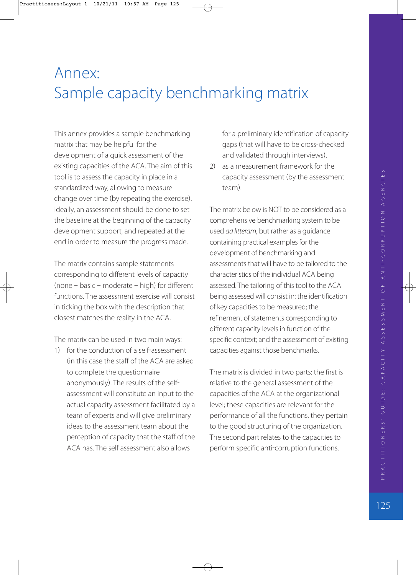# Annex: Sample capacity benchmarking matrix

This annex provides a sample benchmarking matrix that may be helpful for the development of a quick assessment of the existing capacities of the ACA. The aim of this tool is to assess the capacity in place in a standardized way, allowing to measure change over time (by repeating the exercise). Ideally, an assessment should be done to set the baseline at the beginning of the capacity development support, and repeated at the end in order to measure the progress made.

The matrix contains sample statements corresponding to different levels of capacity  $(none - basic - moderate - high)$  for different functions. The assessment exercise will consist in ticking the box with the description that closest matches the reality in the ACA.

The matrix can be used in two main ways:

1) for the conduction of a self-assessment in this case the staff of the ACA are asked to complete the questionnaire anonymously. The results of the self assessment will constitute an input to the actual capacity assessment facilitated by a team of experts and will give preliminary ideas to the assessment team about the perception of capacity that the staff of the ACA has. The self assessment also allows

for a preliminary identification of capacity gaps (that will have to be cross-checked and validated through interviews).

2) as a measurement framework for the capacity assessment (by the assessment team).

The matrix below is NOT to be considered as a comprehensive benchmarking system to be used ad litteram, but rather as a guidance containing practical examples for the development of benchmarking and assessments that will have to be tailored to the characteristics of the individual ACA being assessed. The tailoring of this tool to the ACA being assessed will consist in: the identification of key capacities to be measured; the refinement of statements corresponding to different capacity levels in function of the specific context; and the assessment of existing capacities against those benchmarks.

The matrix is divided in two parts: the first is relative to the general assessment of the capacities of the ACA at the organizational level; these capacities are relevant for the performance of all the functions, they pertain to the good structuring of the organization. The second part relates to the capacities to perform specific anti-corruption functions.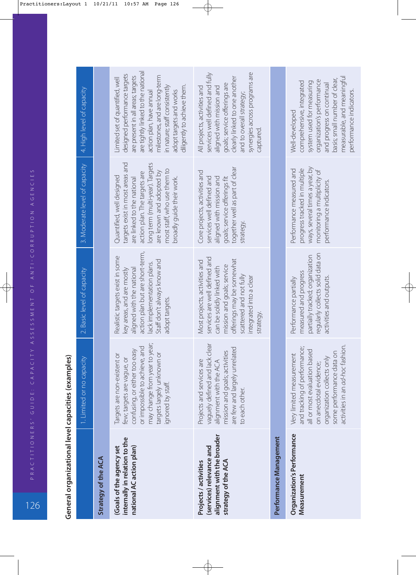| i<br>$\ddot{ }$                |
|--------------------------------|
| ١<br>$\frac{1}{2}$             |
|                                |
| י<br>ג<br>١<br>Ĭ<br>-----<br>١ |
| i<br>ı                         |

**Contract Contract** 

|                                                                                                        | 1. Limited or no capacity                                                                                                                                                                                          | 2. Basic level of capacity                                                                                                                                                                                                | 3. Moderate level of capacity                                                                                                                                                                                                                         | 4. High level of capacity                                                                                                                                                                                                                                                                         |
|--------------------------------------------------------------------------------------------------------|--------------------------------------------------------------------------------------------------------------------------------------------------------------------------------------------------------------------|---------------------------------------------------------------------------------------------------------------------------------------------------------------------------------------------------------------------------|-------------------------------------------------------------------------------------------------------------------------------------------------------------------------------------------------------------------------------------------------------|---------------------------------------------------------------------------------------------------------------------------------------------------------------------------------------------------------------------------------------------------------------------------------------------------|
| Strategy of the ACA                                                                                    |                                                                                                                                                                                                                    |                                                                                                                                                                                                                           |                                                                                                                                                                                                                                                       |                                                                                                                                                                                                                                                                                                   |
| internally in relation to the<br>national AC action plan)<br><b>Goals of the agency set</b>            | may change from year to year;<br>pue<br>confusing, or either too easy<br>targets largely unknown or<br>Targets are non-existent or<br>few; targets are vague, or<br>or impossible to achieve,<br>ignored by staff. | action plan but are short-term,<br>Realistic targets exist in some<br>Staff don't always know and<br>lack implementation plans.<br>aligned with the national<br>key areas, and are mostly<br>adopt targets.               | targets exist in most areas and<br>long term (multi-year). Targets<br>most staff, who use them to<br>are known and adopted by<br>action plan. The targets are<br>Quantified, well designed<br>broadly guide their work.<br>are linked to the national | are tightly linked to the national<br>designed performance targets<br>milestones, and are long-term<br>are present in all areas; targets<br>imited set of quantified, well<br>diligently to achieve them.<br>in nature; staff consistently<br>adopt targets and works<br>action plan, have annual |
| alignment with the broader<br>(services) relevance and<br>strategy of the ACA<br>Projects / activities | clear<br>are few and largely unrelated<br>mission and goals; activities<br>vaguely defined and lack<br>Projects and services are<br>alignment with the ACA<br>to each other.                                       | services are well defined and<br>offerings may be somewhat<br>Most projects, activities and<br>mission and goals; service<br>can be solidly linked with<br>scattered and not fully<br>integrated into a clear<br>strategy | together well as part of clear<br>Core projects, activities and<br>services well defined and<br>aligned with mission and<br>goals; service offerings fit<br>strategy                                                                                  | synergies across programs are<br>services well defined and fully<br>clearly linked to one another<br>goals; service offerings are<br>All projects, activities and<br>aligned with mission and<br>and to overall strategy;<br>captured                                                             |
| Performance Management                                                                                 |                                                                                                                                                                                                                    |                                                                                                                                                                                                                           |                                                                                                                                                                                                                                                       |                                                                                                                                                                                                                                                                                                   |
| <b>Organization's Performance</b><br>Measurement                                                       | activities in an ad-hoc fashion.<br>and tracking of performance;<br>all or most evaluation based<br>some performance data on<br>Very limited measurement<br>organization collects only<br>on anecdotal evidence;   | regularly collects solid data on<br>partially tracked; organization<br>measured and progress<br>activities and outputs<br>Performance partially                                                                           | ways, several times a year, by<br>progress tracked in multiple<br>Performance measured and<br>monitoring a multiplicity of<br>performance indicators.                                                                                                 | measurable, and meaningful<br>basis; small number of clear,<br>organization's performance<br>comprehensive, integrated<br>system used for measuring<br>and progress on continual<br>performance indicators.<br>Well-developed                                                                     |

**Contractor**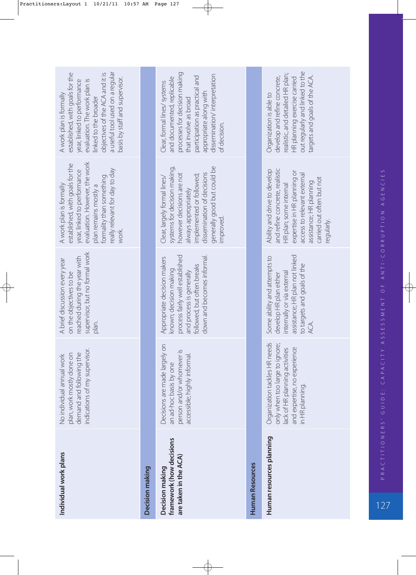| Individual work plans                                                                                                                                                                                                                                      | Decision making | framework (how decisions<br>are taken in the ACA)<br>Decision making                                                                                                                                                             | <b>Human Resources</b> | Human resources planning                                                                                                                                                                                                     |
|------------------------------------------------------------------------------------------------------------------------------------------------------------------------------------------------------------------------------------------------------------|-----------------|----------------------------------------------------------------------------------------------------------------------------------------------------------------------------------------------------------------------------------|------------------------|------------------------------------------------------------------------------------------------------------------------------------------------------------------------------------------------------------------------------|
| indications of my supervisor.<br>plan, work mostly done on<br>demand and following the<br>No individual annual work                                                                                                                                        |                 | Decisions are made largely on<br>person and/or whomever is<br>accessible; highly informal.<br>an ad-hoc basis by one                                                                                                             |                        | Organization tackles HR needs<br>only when too large to ignore;<br>and expertise, no experience<br>lack of HR planning activities<br>in HR planning.                                                                         |
| supervisor, but no formal work<br>reached during the year with<br>A brief discussion every year<br>on the objectives to be<br>plan.                                                                                                                        |                 | down and becomes informal.<br>process fairly well established<br>Appropriate decision makers<br>followed, but often breaks<br>known; decision making<br>and process is generally                                                 |                        | assistance; HR plan not linked<br>Some ability and attempts to<br>to targets and goals of the<br>internally or via external<br>develop HR plan either<br>ACA.                                                                |
| evaluation. However, the work<br>established, with goals for the<br>really relevant for day to day<br>year, linked to performance<br>formality than something<br>A work plan is formally<br>plan remains mostly a<br>work.                                 |                 | systems for decision making,<br>generally good but could be<br>dissemination of decisions<br>however decisions are not<br>implemented or followed;<br>Clear, largely formal lines/<br>always appropriately<br>improved.          |                        | and refine concrete, realistic<br>Ability and drive to develop<br>expertise in HR planning or<br>access to relevant external<br>carried out often but not<br>assistance; HR planning<br>HR plan; some internal<br>regularly. |
| a useful tool used on a regular<br>established, with goals for the<br>objectives of the ACA and it is<br>basis by staff and supervisor.<br>evaluation. The work plan is<br>year, linked to performance<br>A work plan is formally<br>linked to the broader |                 | processes for decision making<br>dissemination/interpretation<br>participation as practical and<br>and documented, replicable<br>Clear, formal lines/ systems<br>appropriate along with<br>that involve as broad<br>of decision. |                        | out regularly and linked to the<br>realistic, and detailed HR plan;<br>targets and goals of the ACA.<br>develop and refine concrete,<br>HR planning exercise carried<br>Organization is able to                              |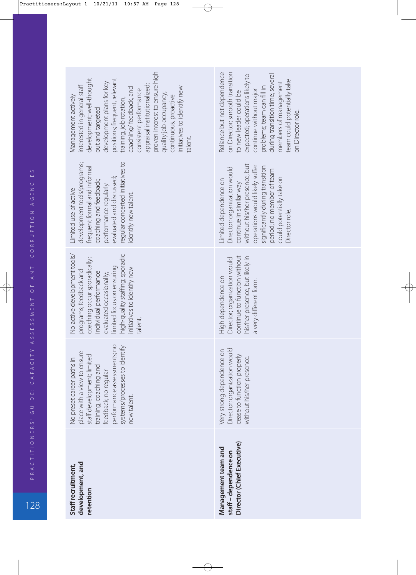|   | ۱                                            |  |
|---|----------------------------------------------|--|
|   | $\frac{1}{2}$                                |  |
|   | Z<br>U<br>U                                  |  |
|   |                                              |  |
|   | $\frac{z}{0}$                                |  |
|   |                                              |  |
|   |                                              |  |
|   |                                              |  |
|   |                                              |  |
|   | $\overline{\phantom{a}}$                     |  |
|   | ⋖                                            |  |
|   | $\overline{O}$                               |  |
|   | H<br>้<br>ษ                                  |  |
|   |                                              |  |
|   | $\zeta$                                      |  |
|   | J<br>Í                                       |  |
|   | Ľ<br>ś<br>d                                  |  |
|   | $\geq$                                       |  |
|   | J                                            |  |
|   | ⊂<br>C                                       |  |
|   | J                                            |  |
|   | $\overline{\Omega}$                          |  |
|   | $\begin{array}{c}\n0 \\ 0 \\ 1\n\end{array}$ |  |
|   |                                              |  |
|   |                                              |  |
|   | Z<br>$\frac{1}{2}$                           |  |
|   | I                                            |  |
|   | I<br>I<br>į<br>$\alpha$                      |  |
|   | $\frac{1}{2}$<br>$\Delta$                    |  |
|   |                                              |  |
|   |                                              |  |
| l |                                              |  |

128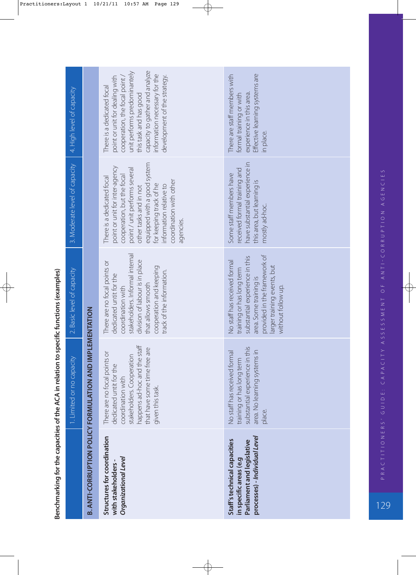|                                                                                                                       | 1. Limited or no capacity                                                                                                                                                                     | 2. Basic level of capacity                                                                                                                                                                                                      | 3. Moderate level of capacity                                                                                                                                                                                                                                                      | 4. High level of capacity                                                                                                                                                                                                                                  |
|-----------------------------------------------------------------------------------------------------------------------|-----------------------------------------------------------------------------------------------------------------------------------------------------------------------------------------------|---------------------------------------------------------------------------------------------------------------------------------------------------------------------------------------------------------------------------------|------------------------------------------------------------------------------------------------------------------------------------------------------------------------------------------------------------------------------------------------------------------------------------|------------------------------------------------------------------------------------------------------------------------------------------------------------------------------------------------------------------------------------------------------------|
|                                                                                                                       | <b>B. ANTI-CORRUPTION POLICY FORMULATION AND IMPLEMENTATION</b>                                                                                                                               |                                                                                                                                                                                                                                 |                                                                                                                                                                                                                                                                                    |                                                                                                                                                                                                                                                            |
| Structures for coordination<br>Organizational Level<br>with stakeholders-                                             | happens ad-hoc and the staff<br>that have some time free are<br>There are no focal points or<br>stakeholders. Cooperation<br>dedicated untit for the<br>coordination with<br>given this task. | stakeholders. Informal internal<br>division of labour is in place<br>There are no focal points or<br>cooperation and keeping<br>track of the information.<br>dedicated untit for the<br>that allows smooth<br>coordination with | equipped with a good system<br>point or unit for inter-agency<br>point / unit performs several<br>cooperation, but the focal<br>There is a dedicated focal<br>coordination with other<br>for keeping track of he<br>information relative to<br>other tasks and in not<br>agencies. | capacity to gather and analyze<br>unit performs predominantely<br>information necessary for the<br>development of the strategy.<br>point or unit for dealing with<br>cooperation, the focal point,<br>There is a dedicated focal<br>this task and has good |
| processes) - Individual Level<br>Staff's technical capacities<br>Parliament and legislative<br>in specific areas (e.g | substantial experience in this<br>area. No learning systems in<br>No staff has received forma<br>training or has long term<br>place.                                                          | provided in the framework of<br>substantial experience in this<br>No staff has received formal<br>larger training events, but<br>training or has long term<br>area. Some training is<br>without follow up.                      | have substantial experience in<br>received formal training and<br>Some staff members have<br>this area, but learning is<br>mostly ad-hoc.                                                                                                                                          | Effective learning systems are<br>There are staff members with<br>experience in this area.<br>formal training or with<br>in place.                                                                                                                         |

Benchmarking for the capacities of the ACA in relation to specific functions (examples) **Benchmarking for the capacities of the ACA in relation to specific functions (examples)**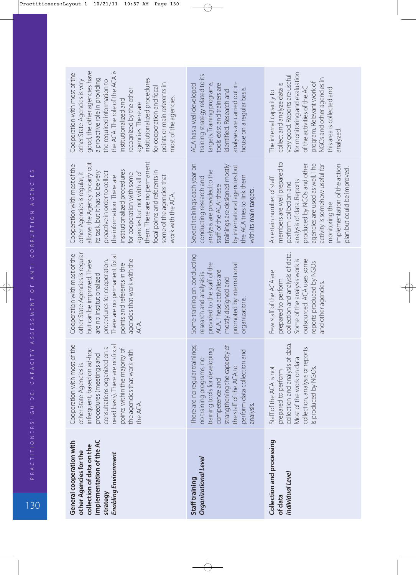| implementation of the AC<br>General cooperation with<br>collection of data on the<br>other Agencies for the<br>Enabling Environment<br>strategy                                                                                                                                                                                                                                                                    | Organizational Level<br>Staff training                                                                                                                                                                                                         | Collection and processing<br>Individual Level<br>of data                                                                                                                                                                                                                                            |
|--------------------------------------------------------------------------------------------------------------------------------------------------------------------------------------------------------------------------------------------------------------------------------------------------------------------------------------------------------------------------------------------------------------------|------------------------------------------------------------------------------------------------------------------------------------------------------------------------------------------------------------------------------------------------|-----------------------------------------------------------------------------------------------------------------------------------------------------------------------------------------------------------------------------------------------------------------------------------------------------|
| Cooperation with most of the<br>need basis). There are no focal<br>consultations organized on a<br>points within the majority of<br>infrequent, based on ad-hoc<br>the agencies that work with<br>procedures (meetings and<br>other State Agencies is<br>the ACA.                                                                                                                                                  | There are no regular trainings;<br>strangthening the capacity of<br>training tools for developing<br>perform data collection and<br>no training programs, no<br>the staff of the ACA to<br>competence and<br>analysis.                         | data.<br>collection, analysis or reports<br>collection and analysis of<br>Most of the work on data<br>Staff of the ACA is not<br>s produced by NGOs.<br>prepared to perform                                                                                                                         |
| other State Agencies is regular<br>Cooperation with most of the<br>There are no permanent focal<br>agencies that work with the<br>procedures for cooperation.<br>but can be improved. There<br>points and referents in the<br>are no institutionalized<br>ACA.                                                                                                                                                     | Some training on conducting<br>provided to the staff of the<br>promoted by international<br>ACA. These activities are<br>research and analysis is<br>mostly designed and<br>organizations                                                      | collection and analysis of data.<br>Some of the analysis work is<br>outsourced. ACA uses some<br>reports produced by NGOs<br>Few staff of the ACA are<br>prepared to perform<br>and other agencies                                                                                                  |
| them. There are no permanent<br>allows the Agency to carry out<br>Cooperation with most of the<br>institutionalized procedures<br>focal points and referents in<br>agencies but not with all of<br>its task, but it has to be very<br>proactive in order to collect<br>other Agencies is regular, it<br>for cooperation with some<br>the information. There are<br>some of the agencies that<br>work with the ACA. | Several trainings each year on<br>trainings are designed mostly<br>by international agencies but<br>analysis are provided to the<br>the ACA tries to link them<br>conducting research and<br>staff of the ACA; these<br>with its main targets. | members are well prepared to<br>produced by NGOs and other<br>agencies are used as well. The<br>activity is somehow useful for<br>implementation of the action<br>plan but could be improved.<br>A certain number of staff<br>analysis of data. Reports<br>perform collection and<br>monitoring the |
| good, the other agencies have<br>the ACA. The role of the ACA is<br>Cooperation with most of the<br>a proactive role in providing<br>institutionalized procedures<br>other State Agencies is very<br>the required information to<br>points or main referents in<br>for cooperation and focal<br>recognized by the other<br>most of the agencies.<br>institutionalized and<br>agencies. There are                   | training strategy related to its<br>analyses are carried out in-<br>ACA has a well developed<br>targets. Training programs<br>tools exist and trainers are<br>house on a regular basis.<br>identified. Research and                            | for monitoring and evaluation<br>very good. Reports are useful<br>NGOs and other agencies in<br>program. Relevant work of<br>collect and analyze data is<br>of the activities of the AC<br>this area is collected and<br>The internal capacity to<br>analyzed.                                      |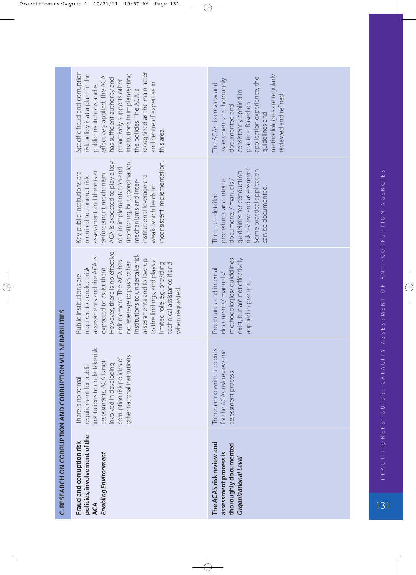| policies, involvement of the<br>Fraud and corruption risk<br><b>Enabling Environment</b><br>ACA                                                                                                                                                                                                                                                                                           | The ACA's risk review and<br>thoroughly documented<br>assessment process is<br>Organizational Level                                                                                                                               |
|-------------------------------------------------------------------------------------------------------------------------------------------------------------------------------------------------------------------------------------------------------------------------------------------------------------------------------------------------------------------------------------------|-----------------------------------------------------------------------------------------------------------------------------------------------------------------------------------------------------------------------------------|
| institutions to undertake risk<br>other national institutions.<br>corruption risk policies of<br>assessments, ACA is not<br>involved in developing<br>requirement for public<br>There is no formal                                                                                                                                                                                        | There are no written records<br>for the ACA's risk review and<br>assessment process.                                                                                                                                              |
| However, there is no effective<br>institutions to undertake risk<br>assessments and the ACA is<br>assessments and follow-up<br>to the findings, and plays a<br>enforcement. The ACA has<br>no leverage to push other<br>limited role, e.g. providing<br>technical assistance if and<br>expected to assist them.<br>required to conduct risk<br>Public institutions are<br>when requested. | exist, but are not effectively<br>methodologies/guidelines<br>Procedures and internal<br>documents/manuals/<br>applied in practice.                                                                                               |
| inconsistent implementation.<br>ACA is expected to play a key<br>monitoring, but coordination<br>role in implementation and<br>assessment and there is an<br>Key public institutions are<br>enforcement mechanism.<br>nstitutional leverage are<br>required to conduct risk<br>mechanisms and inter-<br>weak, which leads to                                                              | risk review and assessment.<br>Some practical application<br>guidelines for conducting<br>procedures and internal<br>documents / manuals,<br>can be documented<br>There are detailed                                              |
| recognized as the main actor<br>Specific fraud and corruption<br>risk policy is at a place in the<br>institutions in implementing<br>effectively applied. The ACA<br>has sufficient authority and<br>proactively supports other<br>and centre of expertise in<br>public institutions and is<br>the policies. The ACA is<br>this area.                                                     | methodologies are regularly<br>application experience, the<br>assessment are thoroughly<br>The ACA's risk review and<br>consistently applied in<br>reviewed and refined<br>practice. Based on<br>documented and<br>guidelines and |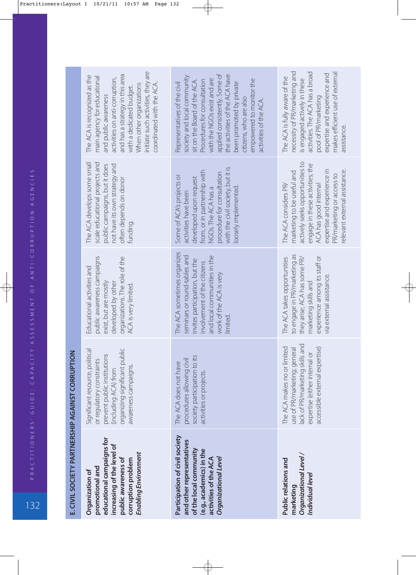132P R AC T I T I O N E R S' G U I D E : C A PAC I T Y A S S E S S M E N T O F A N T I CO R R U P T I O N AG E N C I E S

| $\frac{1}{2}$                                                                                                         |  |
|-----------------------------------------------------------------------------------------------------------------------|--|
|                                                                                                                       |  |
|                                                                                                                       |  |
|                                                                                                                       |  |
|                                                                                                                       |  |
| Ì                                                                                                                     |  |
|                                                                                                                       |  |
|                                                                                                                       |  |
| <b>ACIFUI I UNICO A SINA I A SINA UNICO I ANNI I A SINA I A SINA I A SINA I A SINA I A SINA I A SINA I A SINA I A</b> |  |
|                                                                                                                       |  |

| educational campaigns for<br>increasing of the level of<br>Enabling Environment<br>public awareness of<br>corruption problem<br>promotional and<br>Organization of | organizing significant public<br>Significant resource, political<br>prevent public institutions<br>or regulatory constraints<br>awareness campaigns.<br>(including ACA) from | public awareness campaigns<br>organizations. The role of the<br>Educational activities and<br>developed by other<br>exist, but are mostly<br>ACA is very limited.                                   | The ACA develops some small<br>scale educational projects and<br>public campaigns, but it does<br>not have its own strategy and<br>often depends on donor<br>funding.                                                                                      | initiate such activities, they are<br>and has a strategy in this area<br>The ACA is recognized as the<br>main agency for educational<br>activities on anti-corruption,<br>coordinated with the ACA.<br>When other organizations<br>with a dedicated budget.<br>and public awareness                                                      |
|--------------------------------------------------------------------------------------------------------------------------------------------------------------------|------------------------------------------------------------------------------------------------------------------------------------------------------------------------------|-----------------------------------------------------------------------------------------------------------------------------------------------------------------------------------------------------|------------------------------------------------------------------------------------------------------------------------------------------------------------------------------------------------------------------------------------------------------------|------------------------------------------------------------------------------------------------------------------------------------------------------------------------------------------------------------------------------------------------------------------------------------------------------------------------------------------|
| Participation of civil society<br>and other representatives<br>of the local community<br>(e.g., academics) in the<br>activities of the ACA<br>Organizational Level | society participation to its<br>procedures allowing civil<br>The ACA does not have<br>activities or projects.                                                                | The ACA sometimes organizes<br>seminars or round-tables and<br>and local communities in the<br>invites participation, but the<br>involvement of the citizens<br>work of the ACA is very<br>limited. | with the civil society, but it is<br>from, or in partnership with<br>procedure for consultation<br>Some of ACA's projects or<br>developed upon request<br>loosely implemented<br>NGOs. The ACA has a<br>activities have been                               | applied consistently. Some of<br>the activities of the ACA have<br>society and local community<br>with the NGOs exist and are<br>empowered to monitor the<br>sit on the Board of the ACA.<br>Procedures for consultation<br>Representatives of the civil<br>been promoted by private<br>citizens, who are also<br>activities of the ACA. |
| Organizational Level /<br>Public relations and<br>Individual level<br>marketing                                                                                    | lack of PR/marketing skills and<br>The ACA makes no or limited<br>accessible external expertise)<br>use of PR/marketing; general<br>expertise (either internal or            | to engage in PR/marketing as<br>experience among its staff or<br>they arise; ACA has some PR/<br>The ACA takes opportunities<br>via external assistance.<br>marketing skills and                    | actively seeks opportunities to<br>engage in these activities; the<br>expertise and experience in<br>elevant external assistance.<br>marketing to be useful and<br>PR/marketing or access to<br>ACA has good internal<br>The ACA considers PR <sub>v</sub> | activities. The ACA has a broad<br>necessity of PR/marketing and<br>makes efficient use of external<br>expertise and experience and<br>The ACA is fully aware of the<br>is engaged actively in these<br>pool of PR/marketing<br>assistance.                                                                                              |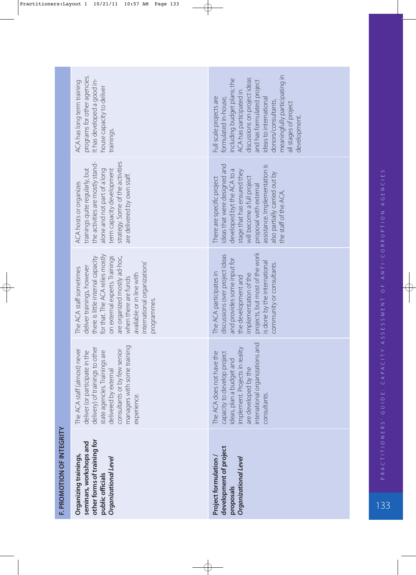| F. PROMOTION OF INTEGRITY | other forms of training for<br>seminars, workshops and<br>Organizing trainings,<br>Organizational Level<br>public officials                                                                                                                                                                         | development of project<br>Project formulation<br>Organizational Level<br>proposals                                                                                                                                                                                                                 |
|---------------------------|-----------------------------------------------------------------------------------------------------------------------------------------------------------------------------------------------------------------------------------------------------------------------------------------------------|----------------------------------------------------------------------------------------------------------------------------------------------------------------------------------------------------------------------------------------------------------------------------------------------------|
|                           | managers with some training<br>delivery) of trainings to other<br>The ACA staff (almost) never<br>consultants or by few senior<br>deliver (or participate in the<br>state agencies. Trainings are<br>delivered by external<br>experience.                                                           | and<br>implement. Projects in reality<br>The ACA does not have the<br>capacity to develop project<br>intenational organizations<br>ideas, plan a budget and<br>are developed by the<br>consultants.                                                                                                |
|                           | for that. The ACA relies mostly<br>on external experts. Trainings<br>there is little internal capacity<br>are organized mostly ad-hoc,<br>international organizations'<br>deliver trainings, however<br>The ACA staff sometimes<br>available or in line with<br>when there are funds<br>programmes. | projects, but most of the work<br>discussions over project ideas<br>and provides some input for<br>s done by the international<br>community or consultants.<br>The ACA participates in<br>implementation of the<br>the development and                                                             |
|                           | strategy. Some of the activities<br>the activities are mostly stand-<br>trainings quite regularly, but<br>alone and not part of a long<br>term capacity development<br>are delivered by own staff.<br><b>ACA</b> hosts or organizes                                                                 | deas that were designed and<br>assistance. Implementation is<br>developed byt the ACA to a<br>stage that has ensured they<br>also partially carried out by<br>will become a full project<br>There are specific project<br>proposal with external<br>the staff of the ACA                           |
|                           | programs for other agencies.<br>It has developed a good in-<br>ACA has long term training<br>house capacity to deliver<br>trainings.                                                                                                                                                                | meaningfully participating in<br>discussions on project ideas<br>including budget plans; the<br>and has formulated project<br>ACA has participated in<br>Full scale projects are<br>formulated in-house,<br>ideas to international<br>donors/consultants,<br>all stages of project<br>development. |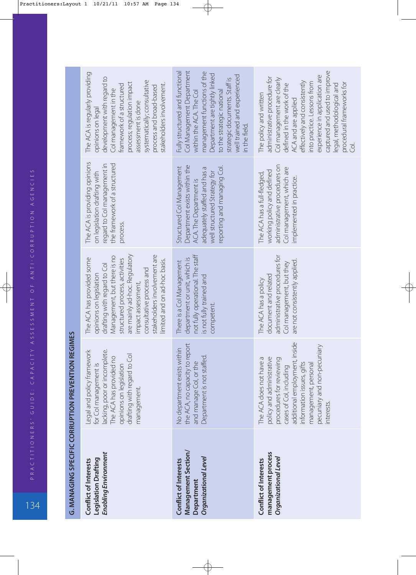134P R AC T I T I O N E R S' G U I D E : C A PAC I T Y A S S E S S M E N T O F A N T I CO R R U P T I O N AG E N C I E S

| G. MANAGING SPECIFIC CORRUPTION PREVENTION REGIMES<br><u>יויינויין</u><br>コミンソニンコ ミフ |  |  |
|--------------------------------------------------------------------------------------|--|--|
|                                                                                      |  |  |
|                                                                                      |  |  |

| Enabling Environment<br><b>Legislation Drafting</b><br>Conflict of Interests                                                                                                                                                                                                                            | Management Section/<br>Organizational Level<br>Conflict of Interests<br>Department                                                                                                                                                                                     | management process<br>Organizational Level<br>Conflict of Interests                                                                                                                                                                                                                                                                      |
|---------------------------------------------------------------------------------------------------------------------------------------------------------------------------------------------------------------------------------------------------------------------------------------------------------|------------------------------------------------------------------------------------------------------------------------------------------------------------------------------------------------------------------------------------------------------------------------|------------------------------------------------------------------------------------------------------------------------------------------------------------------------------------------------------------------------------------------------------------------------------------------------------------------------------------------|
| Legal and policy framework<br>lacking, poor or incomplete.<br>drafting with regard to Col<br>The ACA has provided no<br>for Col management is<br>opinions on legislation<br>management.                                                                                                                 | the ACA, no capacity to report<br>No department exists within<br>Department is not staffed.<br>and manage Col, or the                                                                                                                                                  | additional employment, inside<br>pecuniary and non-pecuniary<br>The ACA does not have a<br>policy and administrative<br>procedures for reviewing<br>nformation issues, gifts<br>management, personal<br>cases of Col, including<br>nterests.                                                                                             |
| are mainly ad-hoc. Regulatory<br>stakeholders involvement are<br>Management, but there is no<br>The ACA has provided some<br>structured process, activities<br>limited and on ad-hoc basis.<br>drafting with regard to Col<br>consultative process and<br>opinions on legislation<br>impact assessment, | not fully operational. The staff<br>department or unit, which is<br>There is a Col Management<br>is not fully trained and<br>competent.                                                                                                                                | administrative procedures for<br>are not consistently applied.<br>Col management, but they<br>document and related<br>The ACA has a policy                                                                                                                                                                                               |
| The ACA is providing opinions<br>the framework of a structured<br>regard to Col management in<br>on legislation drafting with<br>process.                                                                                                                                                               | Department exists within the<br>reporting and managing Col.<br>Structured Col Management<br>adequately staffed and has a<br>well structured Strategy for<br>ACA. The Department is                                                                                     | administrative procedures on<br>Col management, which are<br>working policy and defined<br>The ACA has a full-fledged,<br>implemented in practice.                                                                                                                                                                                       |
| The ACA is regularly providing<br>development with regard to<br>systematically; consultative<br>process; regulation impact<br>stakeholders involvement.<br>framework of a structured<br>process and broad-based<br>Col management in the<br>assessment is done<br>opinions on legal                     | Col Management Department<br>Fully structured and functional<br>management functions of the<br>Department are tightly linked<br>well trained and experienced<br>strategic documents. Staff is<br>within the ACA. The Col<br>to the strategic national<br>in the field. | captured and used to improve<br>experience in application are<br>administrative procedure for<br>Col management are clearly<br>effectively and consistently<br>into practice. Lessons from<br>procedural frameworks for<br>defined in the work of the<br>legal, methodological and<br>The policy and written<br>ACA and are applied<br>ē |

 $\frac{1}{134}$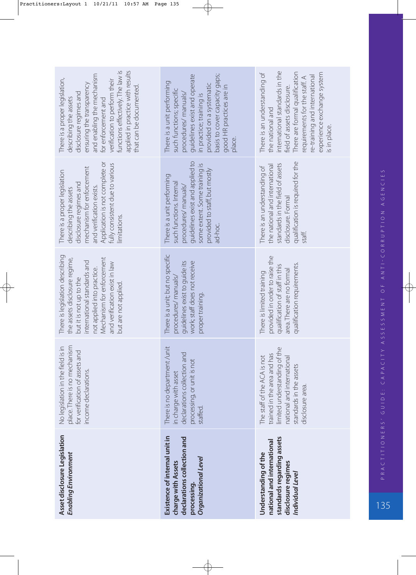| income declarations.<br>Asset disclosure Legislation<br>Enabling Environment                                                                                                                                                                                                                             | processing, or unit is not<br>in charge with asset<br>staffed.<br>Existence of internal unit in<br>declarations collection and<br>Organizational Level<br>charge with Assets<br>processing.                                                  | The staff of the ACA is not<br>national and international<br>standards in the assets<br>disclosure area.<br>standards regarding assets<br>national and international<br>Understanding of the<br>disclosure regimes<br>Individual Level                             |
|----------------------------------------------------------------------------------------------------------------------------------------------------------------------------------------------------------------------------------------------------------------------------------------------------------|----------------------------------------------------------------------------------------------------------------------------------------------------------------------------------------------------------------------------------------------|--------------------------------------------------------------------------------------------------------------------------------------------------------------------------------------------------------------------------------------------------------------------|
| place. There is no mechanism<br>No legislation in the field is in<br>for verification of assets and                                                                                                                                                                                                      | There is no department/unit<br>declarations collection and                                                                                                                                                                                   | limited understanding of the<br>trained in the area and has                                                                                                                                                                                                        |
| There is legislation describing<br>Mechanism for enforcement<br>the assets disclosure regime,<br>international standards and<br>and verification exist in law<br>not applied into practice.<br>but it is not up to the<br>but are not applied.                                                           | There is a unit; but no specific<br>work; staff does not receive<br>guidelines exist to guide its<br>procedures/manuals/<br>proper training.                                                                                                 | provided in order to raise the<br>qualification requirements.<br>qualification of staff in this<br>area. There are no formal<br>There is limited training                                                                                                          |
| Application is not complete or<br>fully consistent due to various<br>mechanism for enforcement<br>There is a proper legislation<br>disclosure regimes and<br>and verification exists.<br>describing the assets<br>limitations.                                                                           | guidelines exist and applied to<br>some extent. Some training is<br>provided to staff, but mostly<br>There is a unit performing<br>such functions. Internal<br>procedures/ manuals/<br>ad-hoc.                                               | qualification is required for the<br>standards in the field of assets<br>the national and international<br>There is an understanding of<br>disclosure. Formal<br>staff.                                                                                            |
| applied in practice with results<br>functions effectively. The law is<br>and enabling the mechanism<br>There is a proper legislation,<br>verification to perform their<br>ensuring the transparency<br>that can be documented.<br>disclosure regimes and<br>describing the assets<br>for enforcement and | guidelines exist and operate<br>basis to cover capacity gaps;<br>There is a unit performing<br>provided on a systematic<br>good HR practices are in<br>such functions; specific<br>procedures/manuals/<br>in practice; training is<br>place. | international standards in the<br>There are formal qualification<br>There is an understanding of<br>experience exchange system<br>e-training and international<br>requirements for the staff. A<br>field of assets disclosure.<br>the national and<br>is in place. |